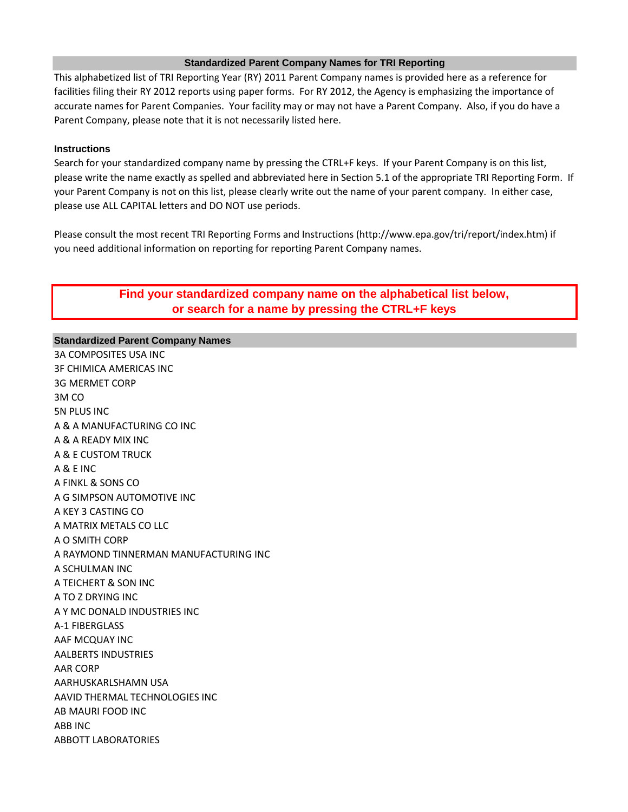## **Standardized Parent Company Names for TRI Reporting**

This alphabetized list of TRI Reporting Year (RY) 2011 Parent Company names is provided here as a reference for facilities filing their RY 2012 reports using paper forms. For RY 2012, the Agency is emphasizing the importance of accurate names for Parent Companies. Your facility may or may not have a Parent Company. Also, if you do have a Parent Company, please note that it is not necessarily listed here.

## **Instructions**

Search for your standardized company name by pressing the CTRL+F keys. If your Parent Company is on this list, please write the name exactly as spelled and abbreviated here in Section 5.1 of the appropriate TRI Reporting Form. If your Parent Company is not on this list, please clearly write out the name of your parent company. In either case, please use ALL CAPITAL letters and DO NOT use periods.

Please consult the most recent TRI Reporting Forms and Instructions (http://www.epa.gov/tri/report/index.htm) if you need additional information on reporting for reporting Parent Company names.

# **Find your standardized company name on the alphabetical list below, or search for a name by pressing the CTRL+F keys**

## **Standardized Parent Company Names**

3A COMPOSITES USA INC 3F CHIMICA AMERICAS INC 3G MERMET CORP 3M CO 5N PLUS INC A & A MANUFACTURING CO INC A & A READY MIX INC A & E CUSTOM TRUCK A & E INC A FINKL & SONS CO A G SIMPSON AUTOMOTIVE INC A KEY 3 CASTING CO A MATRIX METALS CO LLC A O SMITH CORP A RAYMOND TINNERMAN MANUFACTURING INC A SCHULMAN INC A TEICHERT & SON INC A TO Z DRYING INC A Y MC DONALD INDUSTRIES INC A-1 FIBERGLASS AAF MCQUAY INC AALBERTS INDUSTRIES AAR CORP AARHUSKARLSHAMN USA AAVID THERMAL TECHNOLOGIES INC AB MAURI FOOD INC ABB INC ABBOTT LABORATORIES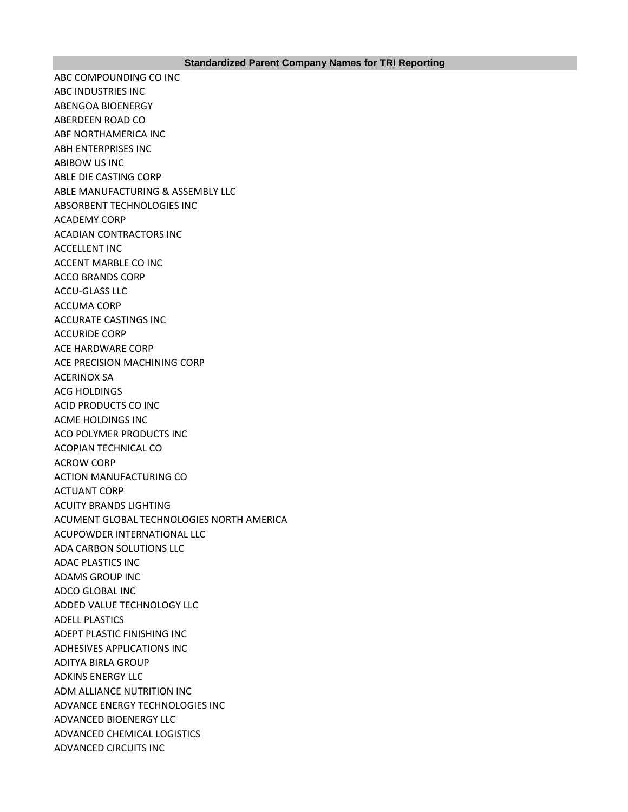ABC COMPOUNDING CO INC ABC INDUSTRIES INC ABENGOA BIOENERGY ABERDEEN ROAD CO ABF NORTHAMERICA INC ABH ENTERPRISES INC ABIBOW US INC ABLE DIE CASTING CORP ABLE MANUFACTURING & ASSEMBLY LLC ABSORBENT TECHNOLOGIES INC ACADEMY CORP ACADIAN CONTRACTORS INC ACCELLENT INC ACCENT MARBLE CO INC ACCO BRANDS CORP ACCU-GLASS LLC ACCUMA CORP ACCURATE CASTINGS INC ACCURIDE CORP ACE HARDWARE CORP ACE PRECISION MACHINING CORP ACERINOX SA ACG HOLDINGS ACID PRODUCTS CO INC ACME HOLDINGS INC ACO POLYMER PRODUCTS INC ACOPIAN TECHNICAL CO ACROW CORP ACTION MANUFACTURING CO ACTUANT CORP ACUITY BRANDS LIGHTING ACUMENT GLOBAL TECHNOLOGIES NORTH AMERICA ACUPOWDER INTERNATIONAL LLC ADA CARBON SOLUTIONS LLC ADAC PLASTICS INC ADAMS GROUP INC ADCO GLOBAL INC ADDED VALUE TECHNOLOGY LLC ADELL PLASTICS ADEPT PLASTIC FINISHING INC ADHESIVES APPLICATIONS INC ADITYA BIRLA GROUP ADKINS ENERGY LLC ADM ALLIANCE NUTRITION INC ADVANCE ENERGY TECHNOLOGIES INC ADVANCED BIOENERGY LLC ADVANCED CHEMICAL LOGISTICS ADVANCED CIRCUITS INC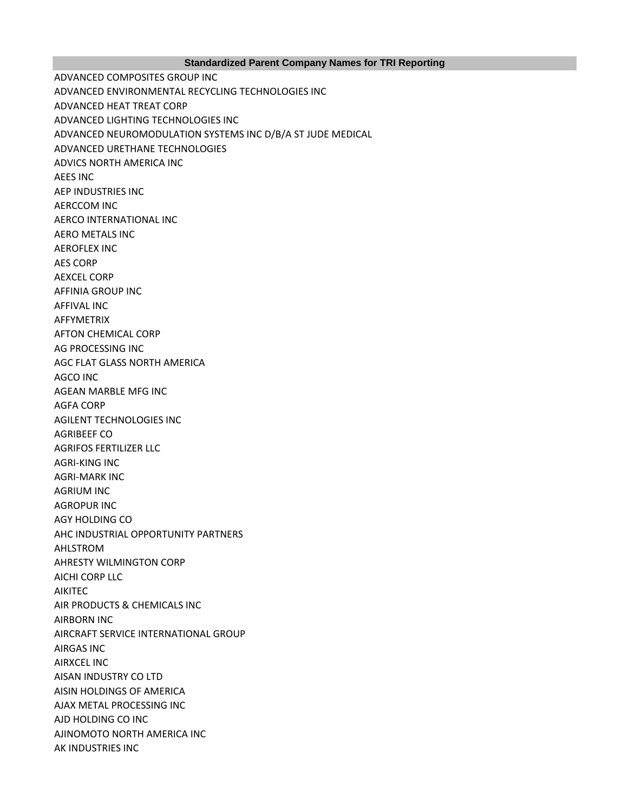### **Standardized Parent Company Names for TRI Reporting**

ADVANCED COMPOSITES GROUP INC ADVANCED ENVIRONMENTAL RECYCLING TECHNOLOGIES INC ADVANCED HEAT TREAT CORP ADVANCED LIGHTING TECHNOLOGIES INC ADVANCED NEUROMODULATION SYSTEMS INC D/B/A ST JUDE MEDICAL ADVANCED URETHANE TECHNOLOGIES ADVICS NORTH AMERICA INC AEES INC AEP INDUSTRIES INC AERCCOM INC AERCO INTERNATIONAL INC AERO METALS INC AEROFLEX INC AES CORP AEXCEL CORP AFFINIA GROUP INC AFFIVAL INC AFFYMETRIX AFTON CHEMICAL CORP AG PROCESSING INC AGC FLAT GLASS NORTH AMERICA AGCO INC AGEAN MARBLE MFG INC AGFA CORP AGILENT TECHNOLOGIES INC AGRIBEEF CO AGRIFOS FERTILIZER LLC AGRI-KING INC AGRI-MARK INC AGRIUM INC AGROPUR INC AGY HOLDING CO AHC INDUSTRIAL OPPORTUNITY PARTNERS AHLSTROM AHRESTY WILMINGTON CORP AICHI CORP LLC AIKITEC AIR PRODUCTS & CHEMICALS INC AIRBORN INC AIRCRAFT SERVICE INTERNATIONAL GROUP AIRGAS INC AIRXCEL INC AISAN INDUSTRY CO LTD AISIN HOLDINGS OF AMERICA AJAX METAL PROCESSING INC AJD HOLDING CO INC AJINOMOTO NORTH AMERICA INC AK INDUSTRIES INC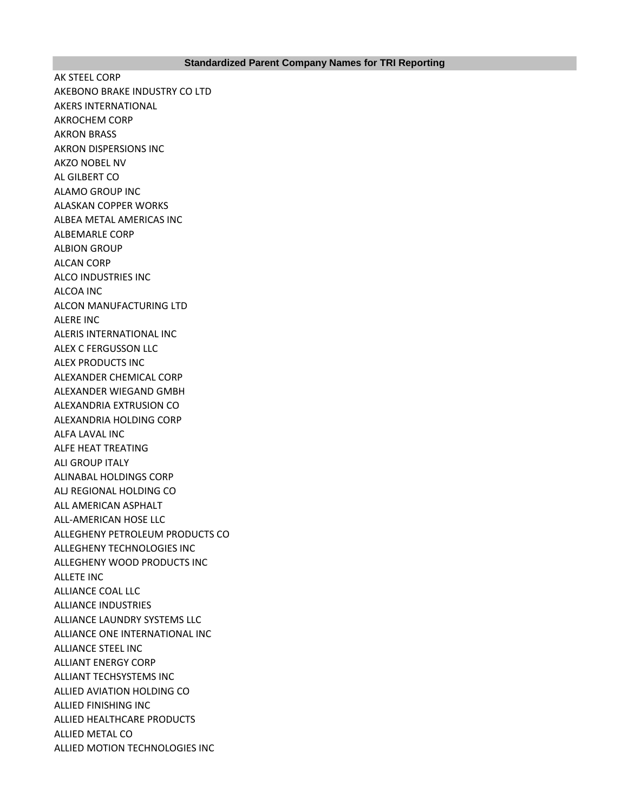AK STEEL CORP AKEBONO BRAKE INDUSTRY CO LTD AKERS INTERNATIONAL AKROCHEM CORP AKRON BRASS AKRON DISPERSIONS INC AKZO NOBEL NV AL GILBERT CO ALAMO GROUP INC ALASKAN COPPER WORKS ALBEA METAL AMERICAS INC ALBEMARLE CORP ALBION GROUP ALCAN CORP ALCO INDUSTRIES INC ALCOA INC ALCON MANUFACTURING LTD ALERE INC ALERIS INTERNATIONAL INC ALEX C FERGUSSON LLC ALEX PRODUCTS INC ALEXANDER CHEMICAL CORP ALEXANDER WIEGAND GMBH ALEXANDRIA EXTRUSION CO ALEXANDRIA HOLDING CORP ALFA LAVAL INC ALFE HEAT TREATING ALI GROUP ITALY ALINABAL HOLDINGS CORP ALJ REGIONAL HOLDING CO ALL AMERICAN ASPHALT ALL-AMERICAN HOSE LLC ALLEGHENY PETROLEUM PRODUCTS CO ALLEGHENY TECHNOLOGIES INC ALLEGHENY WOOD PRODUCTS INC ALLETE INC ALLIANCE COAL LLC ALLIANCE INDUSTRIES ALLIANCE LAUNDRY SYSTEMS LLC ALLIANCE ONE INTERNATIONAL INC ALLIANCE STEEL INC ALLIANT ENERGY CORP ALLIANT TECHSYSTEMS INC ALLIED AVIATION HOLDING CO ALLIED FINISHING INC ALLIED HEALTHCARE PRODUCTS ALLIED METAL CO ALLIED MOTION TECHNOLOGIES INC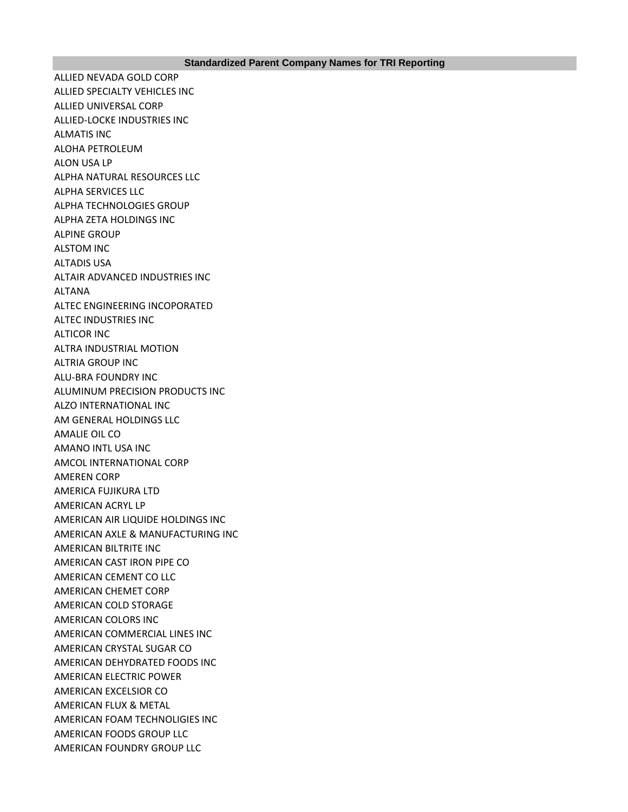ALLIED NEVADA GOLD CORP ALLIED SPECIALTY VEHICLES INC ALLIED UNIVERSAL CORP ALLIED-LOCKE INDUSTRIES INC ALMATIS INC ALOHA PETROLEUM ALON USA LP ALPHA NATURAL RESOURCES LLC ALPHA SERVICES LLC ALPHA TECHNOLOGIES GROUP ALPHA ZETA HOLDINGS INC ALPINE GROUP ALSTOM INC ALTADIS USA ALTAIR ADVANCED INDUSTRIES INC ALTANA ALTEC ENGINEERING INCOPORATED ALTEC INDUSTRIES INC ALTICOR INC ALTRA INDUSTRIAL MOTION ALTRIA GROUP INC ALU-BRA FOUNDRY INC ALUMINUM PRECISION PRODUCTS INC ALZO INTERNATIONAL INC AM GENERAL HOLDINGS LLC AMALIE OIL CO AMANO INTL USA INC AMCOL INTERNATIONAL CORP AMEREN CORP AMERICA FUJIKURA LTD AMERICAN ACRYL LP AMERICAN AIR LIQUIDE HOLDINGS INC AMERICAN AXLE & MANUFACTURING INC AMERICAN BILTRITE INC AMERICAN CAST IRON PIPE CO AMERICAN CEMENT CO LLC AMERICAN CHEMET CORP AMERICAN COLD STORAGE AMERICAN COLORS INC AMERICAN COMMERCIAL LINES INC AMERICAN CRYSTAL SUGAR CO AMERICAN DEHYDRATED FOODS INC AMERICAN ELECTRIC POWER AMERICAN EXCELSIOR CO AMERICAN FLUX & METAL AMERICAN FOAM TECHNOLIGIES INC AMERICAN FOODS GROUP LLC AMERICAN FOUNDRY GROUP LLC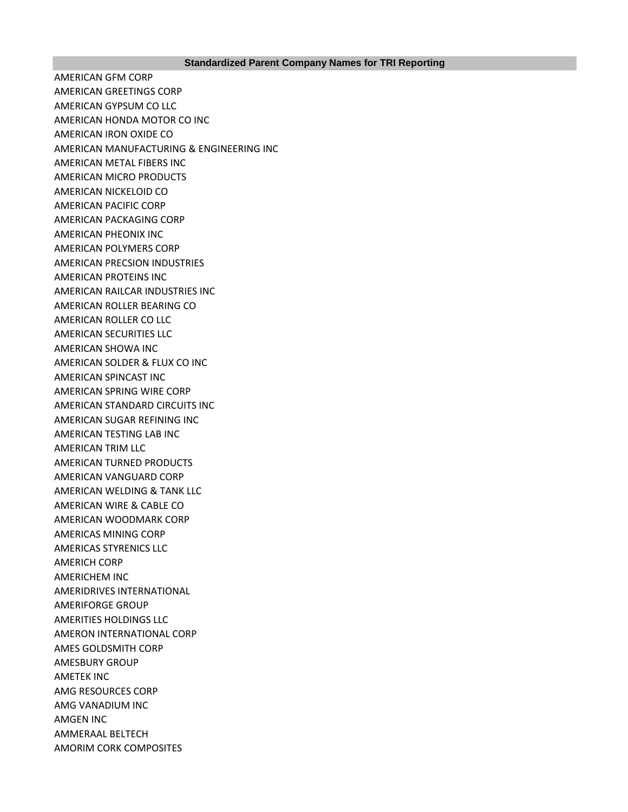AMERICAN GFM CORP AMERICAN GREETINGS CORP AMERICAN GYPSUM CO LLC AMERICAN HONDA MOTOR CO INC AMERICAN IRON OXIDE CO AMERICAN MANUFACTURING & ENGINEERING INC AMERICAN METAL FIBERS INC AMERICAN MICRO PRODUCTS AMERICAN NICKELOID CO AMERICAN PACIFIC CORP AMERICAN PACKAGING CORP AMERICAN PHEONIX INC AMERICAN POLYMERS CORP AMERICAN PRECSION INDUSTRIES AMERICAN PROTEINS INC AMERICAN RAILCAR INDUSTRIES INC AMERICAN ROLLER BEARING CO AMERICAN ROLLER CO LLC AMERICAN SECURITIES LLC AMERICAN SHOWA INC AMERICAN SOLDER & FLUX CO INC AMERICAN SPINCAST INC AMERICAN SPRING WIRE CORP AMERICAN STANDARD CIRCUITS INC AMERICAN SUGAR REFINING INC AMERICAN TESTING LAB INC AMERICAN TRIM LLC AMERICAN TURNED PRODUCTS AMERICAN VANGUARD CORP AMERICAN WELDING & TANK LLC AMERICAN WIRE & CABLE CO AMERICAN WOODMARK CORP AMERICAS MINING CORP AMERICAS STYRENICS LLC AMERICH CORP AMERICHEM INC AMERIDRIVES INTERNATIONAL AMERIFORGE GROUP AMERITIES HOLDINGS LLC AMERON INTERNATIONAL CORP AMES GOLDSMITH CORP AMESBURY GROUP AMETEK INC AMG RESOURCES CORP AMG VANADIUM INC AMGEN INC AMMERAAL BELTECH AMORIM CORK COMPOSITES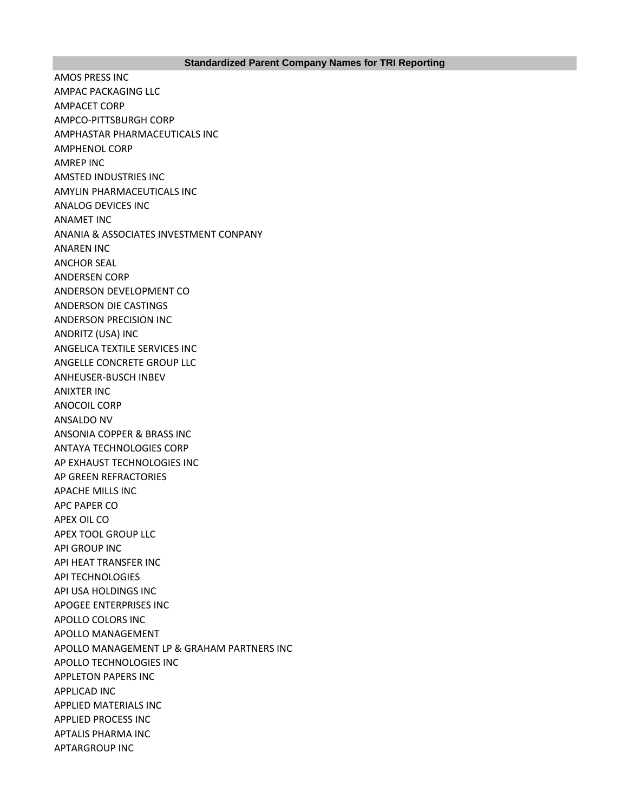AMOS PRESS INC AMPAC PACKAGING LLC AMPACET CORP AMPCO-PITTSBURGH CORP AMPHASTAR PHARMACEUTICALS INC AMPHENOL CORP AMREP INC AMSTED INDUSTRIES INC AMYLIN PHARMACEUTICALS INC ANALOG DEVICES INC ANAMET INC ANANIA & ASSOCIATES INVESTMENT CONPANY ANAREN INC ANCHOR SEAL ANDERSEN CORP ANDERSON DEVELOPMENT CO ANDERSON DIE CASTINGS ANDERSON PRECISION INC ANDRITZ (USA) INC ANGELICA TEXTILE SERVICES INC ANGELLE CONCRETE GROUP LLC ANHEUSER-BUSCH INBEV ANIXTER INC ANOCOIL CORP ANSALDO NV ANSONIA COPPER & BRASS INC ANTAYA TECHNOLOGIES CORP AP EXHAUST TECHNOLOGIES INC AP GREEN REFRACTORIES APACHE MILLS INC APC PAPER CO APEX OIL CO APEX TOOL GROUP LLC API GROUP INC API HEAT TRANSFER INC API TECHNOLOGIES API USA HOLDINGS INC APOGEE ENTERPRISES INC APOLLO COLORS INC APOLLO MANAGEMENT APOLLO MANAGEMENT LP & GRAHAM PARTNERS INC APOLLO TECHNOLOGIES INC APPLETON PAPERS INC APPLICAD INC APPLIED MATERIALS INC APPLIED PROCESS INC APTALIS PHARMA INC APTARGROUP INC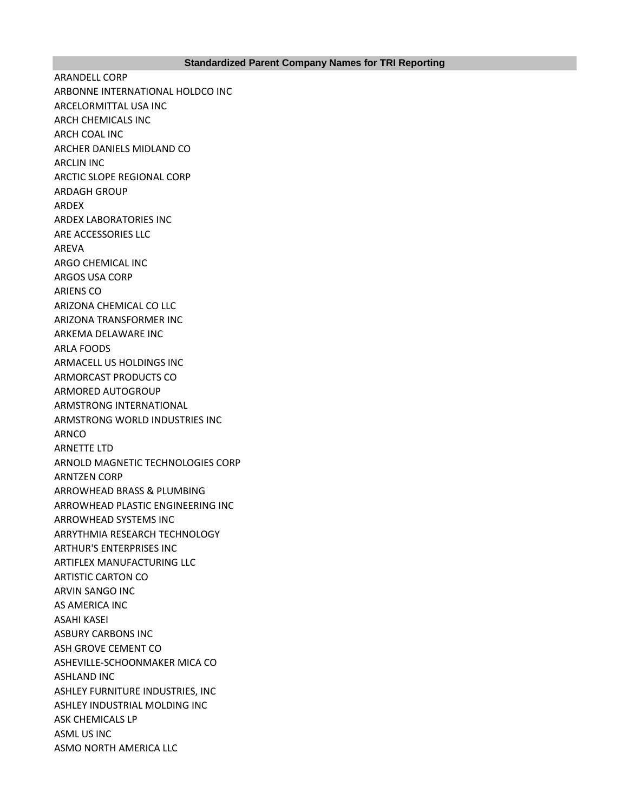ARANDELL CORP ARBONNE INTERNATIONAL HOLDCO INC ARCELORMITTAL USA INC ARCH CHEMICALS INC ARCH COAL INC ARCHER DANIELS MIDLAND CO ARCLIN INC ARCTIC SLOPE REGIONAL CORP ARDAGH GROUP ARDEX ARDEX LABORATORIES INC ARE ACCESSORIES LLC AREVA ARGO CHEMICAL INC ARGOS USA CORP ARIENS CO ARIZONA CHEMICAL CO LLC ARIZONA TRANSFORMER INC ARKEMA DELAWARE INC ARLA FOODS ARMACELL US HOLDINGS INC ARMORCAST PRODUCTS CO ARMORED AUTOGROUP ARMSTRONG INTERNATIONAL ARMSTRONG WORLD INDUSTRIES INC ARNCO ARNETTE LTD ARNOLD MAGNETIC TECHNOLOGIES CORP ARNTZEN CORP ARROWHEAD BRASS & PLUMBING ARROWHEAD PLASTIC ENGINEERING INC ARROWHEAD SYSTEMS INC ARRYTHMIA RESEARCH TECHNOLOGY ARTHUR'S ENTERPRISES INC ARTIFLEX MANUFACTURING LLC ARTISTIC CARTON CO ARVIN SANGO INC AS AMERICA INC ASAHI KASEI ASBURY CARBONS INC ASH GROVE CEMENT CO ASHEVILLE-SCHOONMAKER MICA CO ASHLAND INC ASHLEY FURNITURE INDUSTRIES, INC ASHLEY INDUSTRIAL MOLDING INC ASK CHEMICALS LP ASML US INC ASMO NORTH AMERICA LLC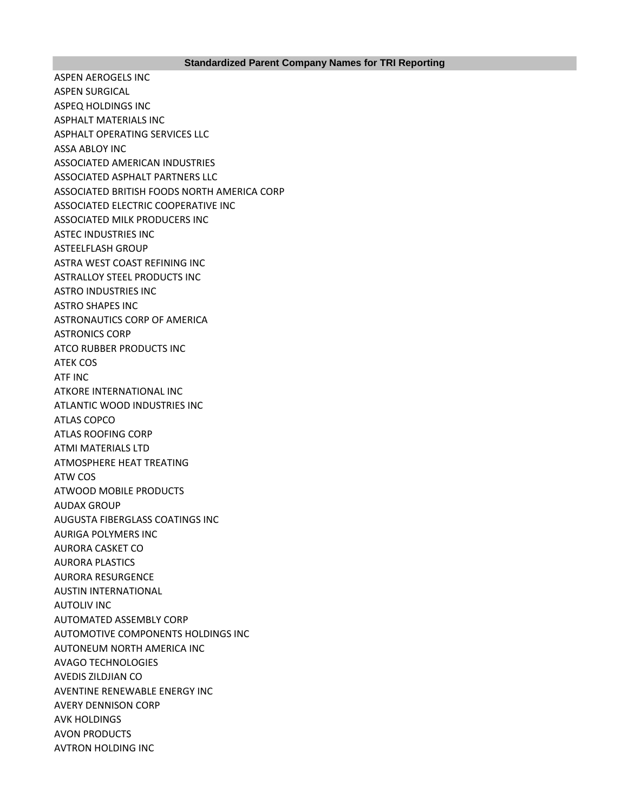ASPEN AEROGELS INC ASPEN SURGICAL ASPEQ HOLDINGS INC ASPHALT MATERIALS INC ASPHALT OPERATING SERVICES LLC ASSA ABLOY INC ASSOCIATED AMERICAN INDUSTRIES ASSOCIATED ASPHALT PARTNERS LLC ASSOCIATED BRITISH FOODS NORTH AMERICA CORP ASSOCIATED ELECTRIC COOPERATIVE INC ASSOCIATED MILK PRODUCERS INC ASTEC INDUSTRIES INC ASTEELFLASH GROUP ASTRA WEST COAST REFINING INC ASTRALLOY STEEL PRODUCTS INC ASTRO INDUSTRIES INC ASTRO SHAPES INC ASTRONAUTICS CORP OF AMERICA ASTRONICS CORP ATCO RUBBER PRODUCTS INC ATEK COS ATF INC ATKORE INTERNATIONAL INC ATLANTIC WOOD INDUSTRIES INC ATLAS COPCO ATLAS ROOFING CORP ATMI MATERIALS LTD ATMOSPHERE HEAT TREATING ATW COS ATWOOD MOBILE PRODUCTS AUDAX GROUP AUGUSTA FIBERGLASS COATINGS INC AURIGA POLYMERS INC AURORA CASKET CO AURORA PLASTICS AURORA RESURGENCE AUSTIN INTERNATIONAL AUTOLIV INC AUTOMATED ASSEMBLY CORP AUTOMOTIVE COMPONENTS HOLDINGS INC AUTONEUM NORTH AMERICA INC AVAGO TECHNOLOGIES AVEDIS ZILDJIAN CO AVENTINE RENEWABLE ENERGY INC AVERY DENNISON CORP AVK HOLDINGS AVON PRODUCTS AVTRON HOLDING INC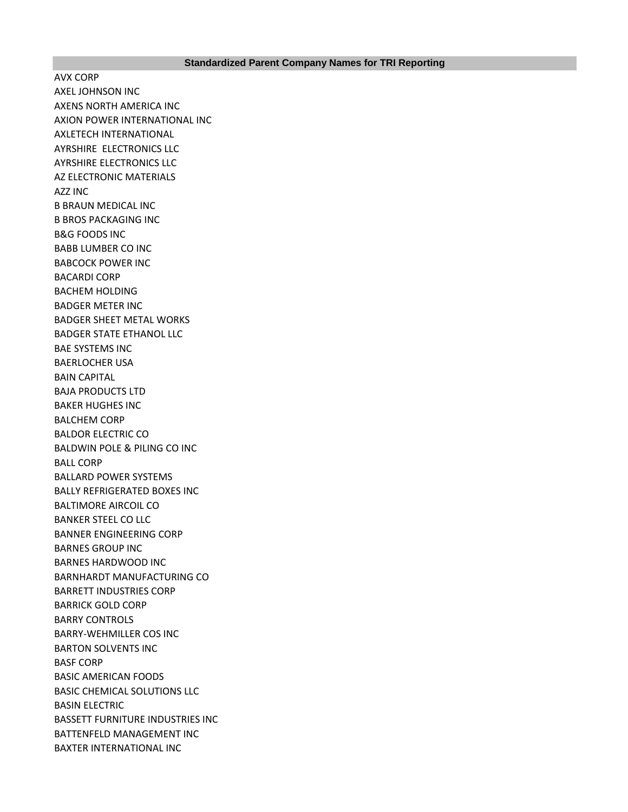AVX CORP AXEL JOHNSON INC AXENS NORTH AMERICA INC AXION POWER INTERNATIONAL INC AXLETECH INTERNATIONAL AYRSHIRE ELECTRONICS LLC AYRSHIRE ELECTRONICS LLC AZ ELECTRONIC MATERIALS AZZ INC B BRAUN MEDICAL INC B BROS PACKAGING INC B&G FOODS INC BABB LUMBER CO INC BABCOCK POWER INC BACARDI CORP BACHEM HOLDING BADGER METER INC BADGER SHEET METAL WORKS BADGER STATE ETHANOL LLC BAE SYSTEMS INC BAERLOCHER USA BAIN CAPITAL BAJA PRODUCTS LTD BAKER HUGHES INC BALCHEM CORP BALDOR ELECTRIC CO BALDWIN POLE & PILING CO INC BALL CORP BALLARD POWER SYSTEMS BALLY REFRIGERATED BOXES INC BALTIMORE AIRCOIL CO BANKER STEEL CO LLC BANNER ENGINEERING CORP BARNES GROUP INC BARNES HARDWOOD INC BARNHARDT MANUFACTURING CO BARRETT INDUSTRIES CORP BARRICK GOLD CORP BARRY CONTROLS BARRY-WEHMILLER COS INC BARTON SOLVENTS INC BASF CORP BASIC AMERICAN FOODS BASIC CHEMICAL SOLUTIONS LLC BASIN ELECTRIC BASSETT FURNITURE INDUSTRIES INC BATTENFELD MANAGEMENT INC BAXTER INTERNATIONAL INC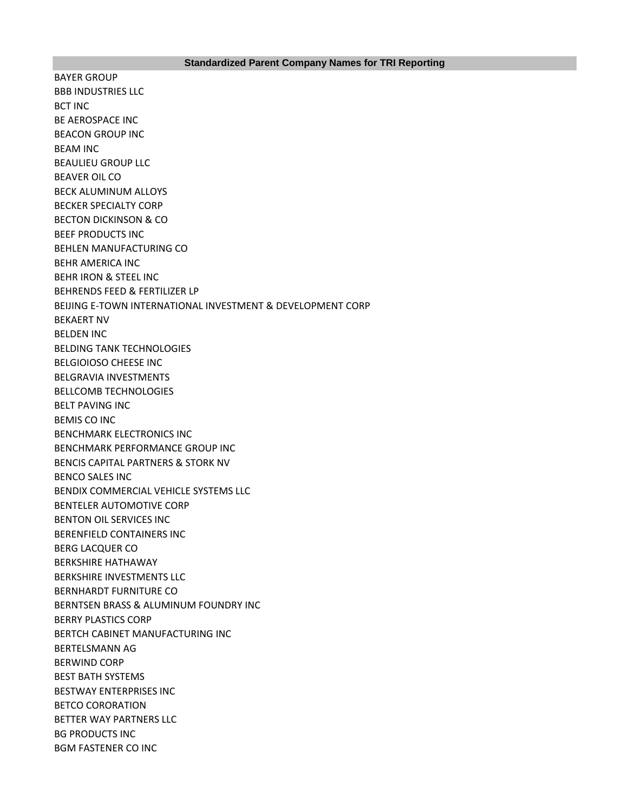BAYER GROUP BBB INDUSTRIES LLC BCT INC BE AEROSPACE INC BEACON GROUP INC BEAM INC BEAULIEU GROUP LLC BEAVER OIL CO BECK ALUMINUM ALLOYS BECKER SPECIALTY CORP BECTON DICKINSON & CO BEEF PRODUCTS INC BEHLEN MANUFACTURING CO BEHR AMERICA INC BEHR IRON & STEEL INC BEHRENDS FEED & FERTILIZER LP BEIJING E-TOWN INTERNATIONAL INVESTMENT & DEVELOPMENT CORP BEKAERT NV BELDEN INC BELDING TANK TECHNOLOGIES BELGIOIOSO CHEESE INC BELGRAVIA INVESTMENTS BELLCOMB TECHNOLOGIES BELT PAVING INC BEMIS CO INC BENCHMARK ELECTRONICS INC BENCHMARK PERFORMANCE GROUP INC BENCIS CAPITAL PARTNERS & STORK NV BENCO SALES INC BENDIX COMMERCIAL VEHICLE SYSTEMS LLC BENTELER AUTOMOTIVE CORP BENTON OIL SERVICES INC BERENFIELD CONTAINERS INC BERG LACQUER CO BERKSHIRE HATHAWAY BERKSHIRE INVESTMENTS LLC BERNHARDT FURNITURE CO BERNTSEN BRASS & ALUMINUM FOUNDRY INC BERRY PLASTICS CORP BERTCH CABINET MANUFACTURING INC BERTELSMANN AG BERWIND CORP BEST BATH SYSTEMS BESTWAY ENTERPRISES INC BETCO CORORATION BETTER WAY PARTNERS LLC BG PRODUCTS INC BGM FASTENER CO INC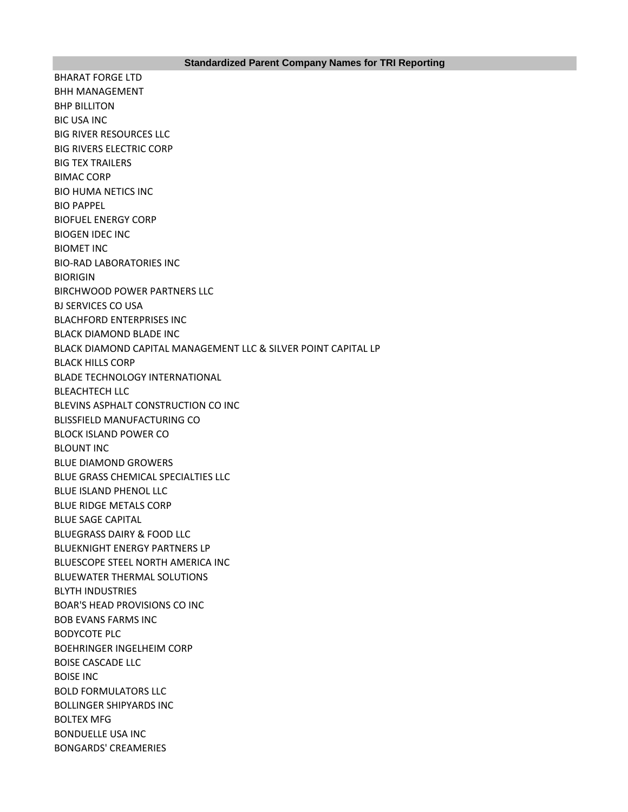BHARAT FORGE LTD BHH MANAGEMENT BHP BILLITON BIC USA INC BIG RIVER RESOURCES LLC BIG RIVERS ELECTRIC CORP BIG TEX TRAILERS BIMAC CORP BIO HUMA NETICS INC BIO PAPPEL BIOFUEL ENERGY CORP BIOGEN IDEC INC BIOMET INC BIO-RAD LABORATORIES INC BIORIGIN BIRCHWOOD POWER PARTNERS LLC BJ SERVICES CO USA BLACHFORD ENTERPRISES INC BLACK DIAMOND BLADE INC BLACK DIAMOND CAPITAL MANAGEMENT LLC & SILVER POINT CAPITAL LP BLACK HILLS CORP BLADE TECHNOLOGY INTERNATIONAL BLEACHTECH LLC BLEVINS ASPHALT CONSTRUCTION CO INC BLISSFIELD MANUFACTURING CO BLOCK ISLAND POWER CO BLOUNT INC BLUE DIAMOND GROWERS BLUE GRASS CHEMICAL SPECIALTIES LLC BLUE ISLAND PHENOL LLC BLUE RIDGE METALS CORP BLUE SAGE CAPITAL BLUEGRASS DAIRY & FOOD LLC BLUEKNIGHT ENERGY PARTNERS LP BLUESCOPE STEEL NORTH AMERICA INC BLUEWATER THERMAL SOLUTIONS BLYTH INDUSTRIES BOAR'S HEAD PROVISIONS CO INC BOB EVANS FARMS INC BODYCOTE PLC BOEHRINGER INGELHEIM CORP BOISE CASCADE LLC BOISE INC BOLD FORMULATORS LLC BOLLINGER SHIPYARDS INC BOLTEX MFG BONDUELLE USA INC BONGARDS' CREAMERIES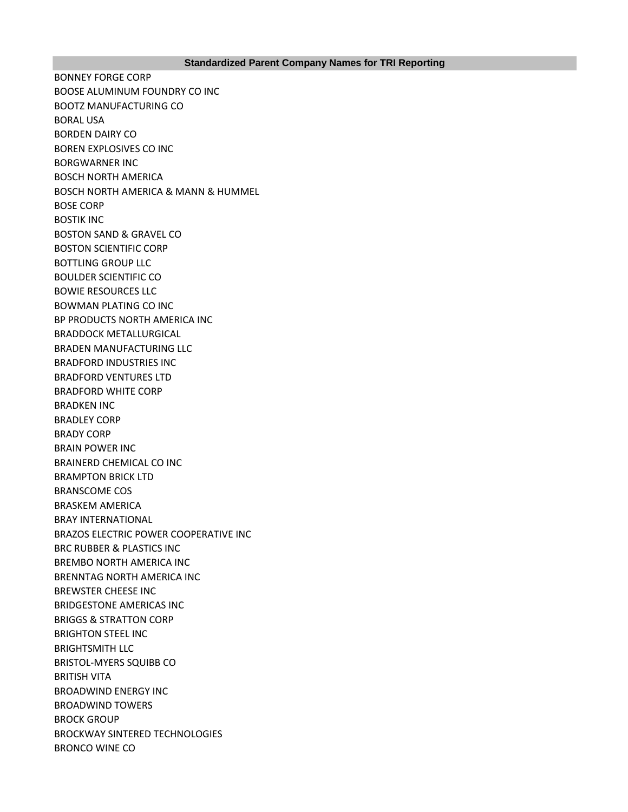BONNEY FORGE CORP BOOSE ALUMINUM FOUNDRY CO INC BOOTZ MANUFACTURING CO BORAL USA BORDEN DAIRY CO BOREN EXPLOSIVES CO INC BORGWARNER INC BOSCH NORTH AMERICA BOSCH NORTH AMERICA & MANN & HUMMEL BOSE CORP BOSTIK INC BOSTON SAND & GRAVEL CO BOSTON SCIENTIFIC CORP BOTTLING GROUP LLC BOULDER SCIENTIFIC CO BOWIE RESOURCES LLC BOWMAN PLATING CO INC BP PRODUCTS NORTH AMERICA INC BRADDOCK METALLURGICAL BRADEN MANUFACTURING LLC BRADFORD INDUSTRIES INC BRADFORD VENTURES LTD BRADFORD WHITE CORP BRADKEN INC BRADLEY CORP BRADY CORP BRAIN POWER INC BRAINERD CHEMICAL CO INC BRAMPTON BRICK LTD BRANSCOME COS BRASKEM AMERICA BRAY INTERNATIONAL BRAZOS ELECTRIC POWER COOPERATIVE INC BRC RUBBER & PLASTICS INC BREMBO NORTH AMERICA INC BRENNTAG NORTH AMERICA INC BREWSTER CHEESE INC BRIDGESTONE AMERICAS INC BRIGGS & STRATTON CORP BRIGHTON STEEL INC BRIGHTSMITH LLC BRISTOL-MYERS SQUIBB CO BRITISH VITA BROADWIND ENERGY INC BROADWIND TOWERS BROCK GROUP BROCKWAY SINTERED TECHNOLOGIES BRONCO WINE CO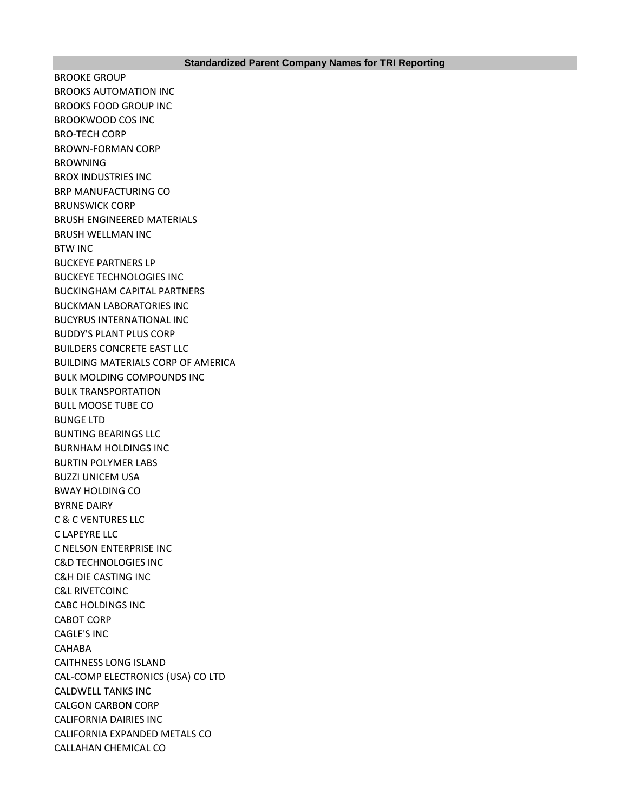BROOKE GROUP BROOKS AUTOMATION INC BROOKS FOOD GROUP INC BROOKWOOD COS INC BRO-TECH CORP BROWN-FORMAN CORP BROWNING BROX INDUSTRIES INC BRP MANUFACTURING CO BRUNSWICK CORP BRUSH ENGINEERED MATERIALS BRUSH WELLMAN INC BTW INC BUCKEYE PARTNERS LP BUCKEYE TECHNOLOGIES INC BUCKINGHAM CAPITAL PARTNERS BUCKMAN LABORATORIES INC BUCYRUS INTERNATIONAL INC BUDDY'S PLANT PLUS CORP BUILDERS CONCRETE EAST LLC BUILDING MATERIALS CORP OF AMERICA BULK MOLDING COMPOUNDS INC BULK TRANSPORTATION BULL MOOSE TUBE CO BUNGE LTD BUNTING BEARINGS LLC BURNHAM HOLDINGS INC BURTIN POLYMER LABS BUZZI UNICEM USA BWAY HOLDING CO BYRNE DAIRY C & C VENTURES LLC C LAPEYRE LLC C NELSON ENTERPRISE INC C&D TECHNOLOGIES INC C&H DIE CASTING INC C&L RIVETCOINC CABC HOLDINGS INC CABOT CORP CAGLE'S INC CAHABA CAITHNESS LONG ISLAND CAL-COMP ELECTRONICS (USA) CO LTD CALDWELL TANKS INC CALGON CARBON CORP CALIFORNIA DAIRIES INC CALIFORNIA EXPANDED METALS CO CALLAHAN CHEMICAL CO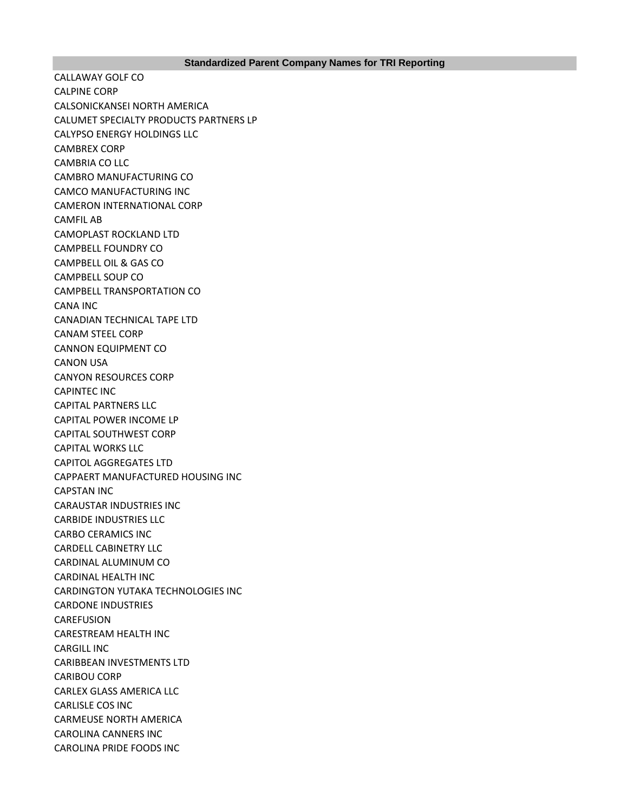CALLAWAY GOLF CO CALPINE CORP CALSONICKANSEI NORTH AMERICA CALUMET SPECIALTY PRODUCTS PARTNERS LP CALYPSO ENERGY HOLDINGS LLC CAMBREX CORP CAMBRIA CO LLC CAMBRO MANUFACTURING CO CAMCO MANUFACTURING INC CAMERON INTERNATIONAL CORP CAMFIL AB CAMOPLAST ROCKLAND LTD CAMPBELL FOUNDRY CO CAMPBELL OIL & GAS CO CAMPBELL SOUP CO CAMPBELL TRANSPORTATION CO CANA INC CANADIAN TECHNICAL TAPE LTD CANAM STEEL CORP CANNON EQUIPMENT CO CANON USA CANYON RESOURCES CORP CAPINTEC INC CAPITAL PARTNERS LLC CAPITAL POWER INCOME LP CAPITAL SOUTHWEST CORP CAPITAL WORKS LLC CAPITOL AGGREGATES LTD CAPPAERT MANUFACTURED HOUSING INC CAPSTAN INC CARAUSTAR INDUSTRIES INC CARBIDE INDUSTRIES LLC CARBO CERAMICS INC CARDELL CABINETRY LLC CARDINAL ALUMINUM CO CARDINAL HEALTH INC CARDINGTON YUTAKA TECHNOLOGIES INC CARDONE INDUSTRIES CAREFUSION CARESTREAM HEALTH INC CARGILL INC CARIBBEAN INVESTMENTS LTD CARIBOU CORP CARLEX GLASS AMERICA LLC CARLISLE COS INC CARMEUSE NORTH AMERICA CAROLINA CANNERS INC CAROLINA PRIDE FOODS INC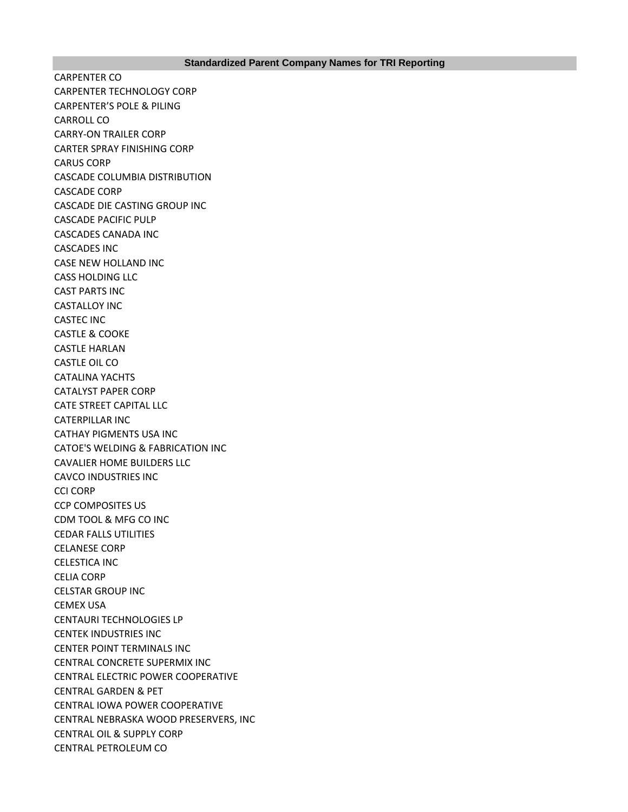CARPENTER CO CARPENTER TECHNOLOGY CORP CARPENTER'S POLE & PILING CARROLL CO CARRY-ON TRAILER CORP CARTER SPRAY FINISHING CORP CARUS CORP CASCADE COLUMBIA DISTRIBUTION CASCADE CORP CASCADE DIE CASTING GROUP INC CASCADE PACIFIC PULP CASCADES CANADA INC CASCADES INC CASE NEW HOLLAND INC CASS HOLDING LLC CAST PARTS INC CASTALLOY INC CASTEC INC CASTLE & COOKE CASTLE HARLAN CASTLE OIL CO CATALINA YACHTS CATALYST PAPER CORP CATE STREET CAPITAL LLC CATERPILLAR INC CATHAY PIGMENTS USA INC CATOE'S WELDING & FABRICATION INC CAVALIER HOME BUILDERS LLC CAVCO INDUSTRIES INC CCI CORP CCP COMPOSITES US CDM TOOL & MFG CO INC CEDAR FALLS UTILITIES CELANESE CORP CELESTICA INC CELIA CORP CELSTAR GROUP INC CEMEX USA CENTAURI TECHNOLOGIES LP CENTEK INDUSTRIES INC CENTER POINT TERMINALS INC CENTRAL CONCRETE SUPERMIX INC CENTRAL ELECTRIC POWER COOPERATIVE CENTRAL GARDEN & PET CENTRAL IOWA POWER COOPERATIVE CENTRAL NEBRASKA WOOD PRESERVERS, INC CENTRAL OIL & SUPPLY CORP CENTRAL PETROLEUM CO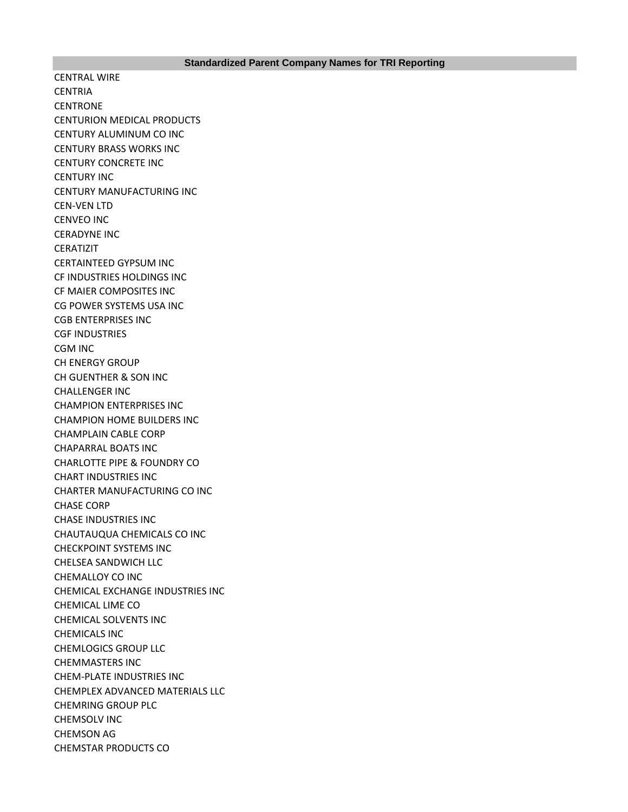CENTRAL WIRE **CENTRIA CENTRONE** CENTURION MEDICAL PRODUCTS CENTURY ALUMINUM CO INC CENTURY BRASS WORKS INC CENTURY CONCRETE INC CENTURY INC CENTURY MANUFACTURING INC CEN-VEN LTD CENVEO INC CERADYNE INC CERATIZIT CERTAINTEED GYPSUM INC CF INDUSTRIES HOLDINGS INC CF MAIER COMPOSITES INC CG POWER SYSTEMS USA INC CGB ENTERPRISES INC CGF INDUSTRIES CGM INC CH ENERGY GROUP CH GUENTHER & SON INC CHALLENGER INC CHAMPION ENTERPRISES INC CHAMPION HOME BUILDERS INC CHAMPLAIN CABLE CORP CHAPARRAL BOATS INC CHARLOTTE PIPE & FOUNDRY CO CHART INDUSTRIES INC CHARTER MANUFACTURING CO INC CHASE CORP CHASE INDUSTRIES INC CHAUTAUQUA CHEMICALS CO INC CHECKPOINT SYSTEMS INC CHELSEA SANDWICH LLC CHEMALLOY CO INC CHEMICAL EXCHANGE INDUSTRIES INC CHEMICAL LIME CO CHEMICAL SOLVENTS INC CHEMICALS INC CHEMLOGICS GROUP LLC CHEMMASTERS INC CHEM-PLATE INDUSTRIES INC CHEMPLEX ADVANCED MATERIALS LLC CHEMRING GROUP PLC CHEMSOLV INC CHEMSON AG CHEMSTAR PRODUCTS CO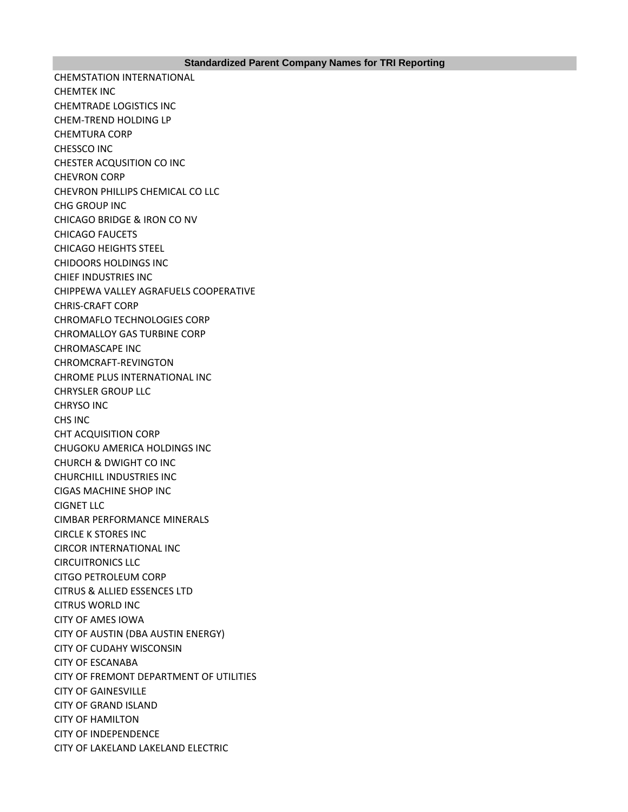CHEMSTATION INTERNATIONAL CHEMTEK INC CHEMTRADE LOGISTICS INC CHEM-TREND HOLDING LP CHEMTURA CORP CHESSCO INC CHESTER ACQUSITION CO INC CHEVRON CORP CHEVRON PHILLIPS CHEMICAL CO LLC CHG GROUP INC CHICAGO BRIDGE & IRON CO NV CHICAGO FAUCETS CHICAGO HEIGHTS STEEL CHIDOORS HOLDINGS INC CHIEF INDUSTRIES INC CHIPPEWA VALLEY AGRAFUELS COOPERATIVE CHRIS-CRAFT CORP CHROMAFLO TECHNOLOGIES CORP CHROMALLOY GAS TURBINE CORP CHROMASCAPE INC CHROMCRAFT-REVINGTON CHROME PLUS INTERNATIONAL INC CHRYSLER GROUP LLC CHRYSO INC CHS INC CHT ACQUISITION CORP CHUGOKU AMERICA HOLDINGS INC CHURCH & DWIGHT CO INC CHURCHILL INDUSTRIES INC CIGAS MACHINE SHOP INC CIGNET LLC CIMBAR PERFORMANCE MINERALS CIRCLE K STORES INC CIRCOR INTERNATIONAL INC CIRCUITRONICS LLC CITGO PETROLEUM CORP CITRUS & ALLIED ESSENCES LTD CITRUS WORLD INC CITY OF AMES IOWA CITY OF AUSTIN (DBA AUSTIN ENERGY) CITY OF CUDAHY WISCONSIN CITY OF ESCANABA CITY OF FREMONT DEPARTMENT OF UTILITIES CITY OF GAINESVILLE CITY OF GRAND ISLAND CITY OF HAMILTON CITY OF INDEPENDENCE CITY OF LAKELAND LAKELAND ELECTRIC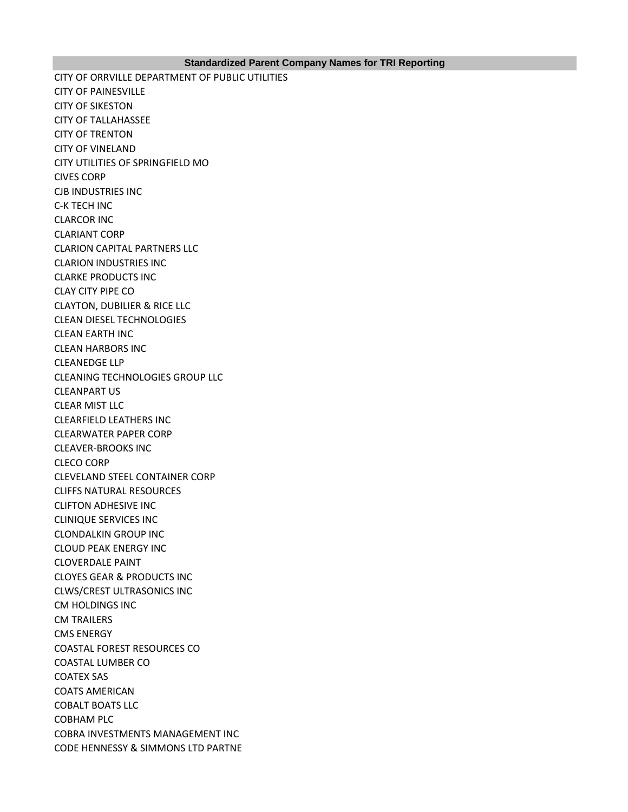### **Standardized Parent Company Names for TRI Reporting**

CITY OF ORRVILLE DEPARTMENT OF PUBLIC UTILITIES CITY OF PAINESVILLE CITY OF SIKESTON CITY OF TALLAHASSEE CITY OF TRENTON CITY OF VINELAND CITY UTILITIES OF SPRINGFIELD MO CIVES CORP CJB INDUSTRIES INC C-K TECH INC CLARCOR INC CLARIANT CORP CLARION CAPITAL PARTNERS LLC CLARION INDUSTRIES INC CLARKE PRODUCTS INC CLAY CITY PIPE CO CLAYTON, DUBILIER & RICE LLC CLEAN DIESEL TECHNOLOGIES CLEAN EARTH INC CLEAN HARBORS INC CLEANEDGE LLP CLEANING TECHNOLOGIES GROUP LLC CLEANPART US CLEAR MIST LLC CLEARFIELD LEATHERS INC CLEARWATER PAPER CORP CLEAVER-BROOKS INC CLECO CORP CLEVELAND STEEL CONTAINER CORP CLIFFS NATURAL RESOURCES CLIFTON ADHESIVE INC CLINIQUE SERVICES INC CLONDALKIN GROUP INC CLOUD PEAK ENERGY INC CLOVERDALE PAINT CLOYES GEAR & PRODUCTS INC CLWS/CREST ULTRASONICS INC CM HOLDINGS INC CM TRAILERS CMS ENERGY COASTAL FOREST RESOURCES CO COASTAL LUMBER CO COATEX SAS COATS AMERICAN COBALT BOATS LLC COBHAM PLC COBRA INVESTMENTS MANAGEMENT INC CODE HENNESSY & SIMMONS LTD PARTNE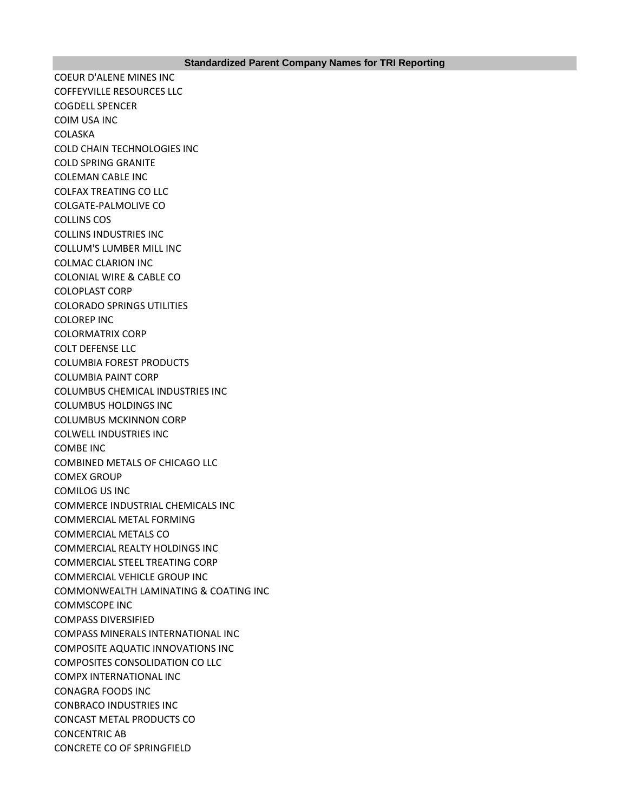COEUR D'ALENE MINES INC COFFEYVILLE RESOURCES LLC COGDELL SPENCER COIM USA INC COLASKA COLD CHAIN TECHNOLOGIES INC COLD SPRING GRANITE COLEMAN CABLE INC COLFAX TREATING CO LLC COLGATE-PALMOLIVE CO COLLINS COS COLLINS INDUSTRIES INC COLLUM'S LUMBER MILL INC COLMAC CLARION INC COLONIAL WIRE & CABLE CO COLOPLAST CORP COLORADO SPRINGS UTILITIES COLOREP INC COLORMATRIX CORP COLT DEFENSE LLC COLUMBIA FOREST PRODUCTS COLUMBIA PAINT CORP COLUMBUS CHEMICAL INDUSTRIES INC COLUMBUS HOLDINGS INC COLUMBUS MCKINNON CORP COLWELL INDUSTRIES INC COMBE INC COMBINED METALS OF CHICAGO LLC COMEX GROUP COMILOG US INC COMMERCE INDUSTRIAL CHEMICALS INC COMMERCIAL METAL FORMING COMMERCIAL METALS CO COMMERCIAL REALTY HOLDINGS INC COMMERCIAL STEEL TREATING CORP COMMERCIAL VEHICLE GROUP INC COMMONWEALTH LAMINATING & COATING INC COMMSCOPE INC COMPASS DIVERSIFIED COMPASS MINERALS INTERNATIONAL INC COMPOSITE AQUATIC INNOVATIONS INC COMPOSITES CONSOLIDATION CO LLC COMPX INTERNATIONAL INC CONAGRA FOODS INC CONBRACO INDUSTRIES INC CONCAST METAL PRODUCTS CO CONCENTRIC AB CONCRETE CO OF SPRINGFIELD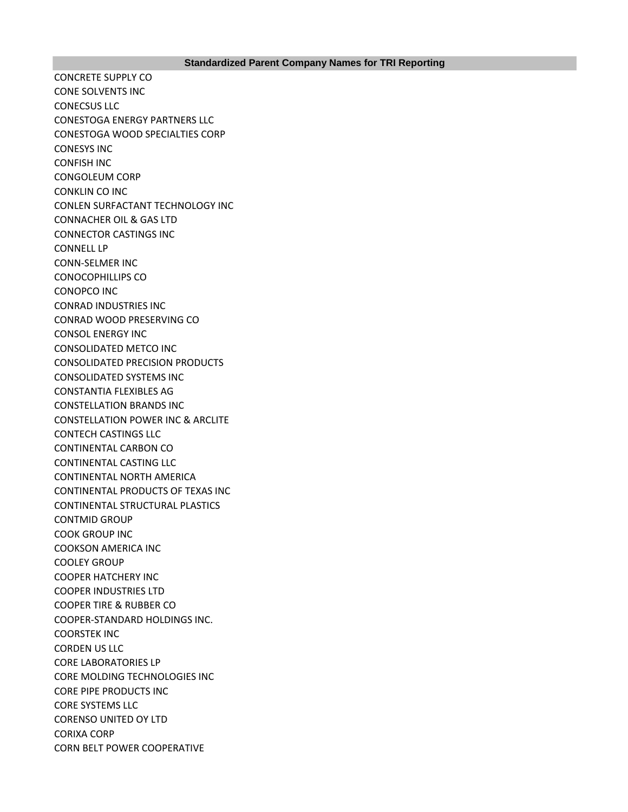CONCRETE SUPPLY CO CONE SOLVENTS INC CONECSUS LLC CONESTOGA ENERGY PARTNERS LLC CONESTOGA WOOD SPECIALTIES CORP CONESYS INC CONFISH INC CONGOLEUM CORP CONKLIN CO INC CONLEN SURFACTANT TECHNOLOGY INC CONNACHER OIL & GAS LTD CONNECTOR CASTINGS INC CONNELL LP CONN-SELMER INC CONOCOPHILLIPS CO CONOPCO INC CONRAD INDUSTRIES INC CONRAD WOOD PRESERVING CO CONSOL ENERGY INC CONSOLIDATED METCO INC CONSOLIDATED PRECISION PRODUCTS CONSOLIDATED SYSTEMS INC CONSTANTIA FLEXIBLES AG CONSTELLATION BRANDS INC CONSTELLATION POWER INC & ARCLITE CONTECH CASTINGS LLC CONTINENTAL CARBON CO CONTINENTAL CASTING LLC CONTINENTAL NORTH AMERICA CONTINENTAL PRODUCTS OF TEXAS INC CONTINENTAL STRUCTURAL PLASTICS CONTMID GROUP COOK GROUP INC COOKSON AMERICA INC COOLEY GROUP COOPER HATCHERY INC COOPER INDUSTRIES LTD COOPER TIRE & RUBBER CO COOPER-STANDARD HOLDINGS INC. COORSTEK INC CORDEN US LLC CORE LABORATORIES LP CORE MOLDING TECHNOLOGIES INC CORE PIPE PRODUCTS INC CORE SYSTEMS LLC CORENSO UNITED OY LTD CORIXA CORP CORN BELT POWER COOPERATIVE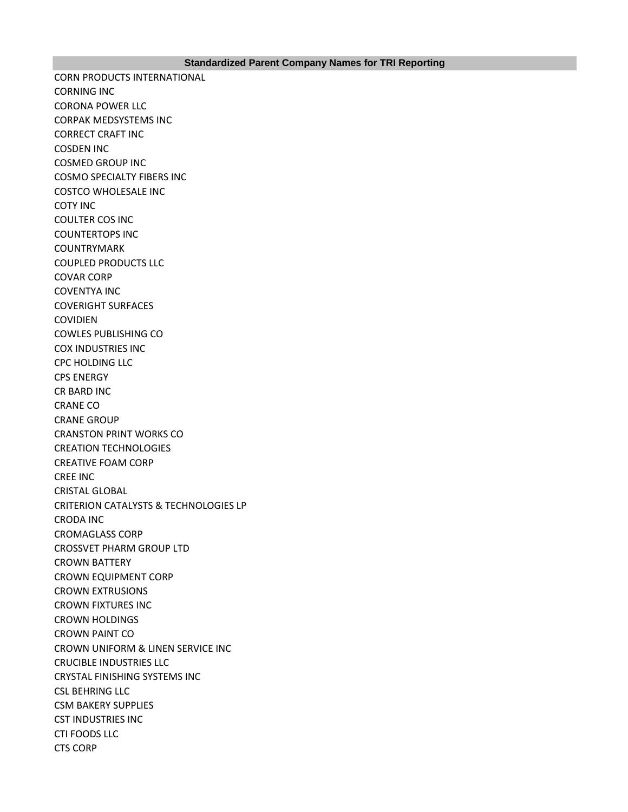CORN PRODUCTS INTERNATIONAL CORNING INC CORONA POWER LLC CORPAK MEDSYSTEMS INC CORRECT CRAFT INC COSDEN INC COSMED GROUP INC COSMO SPECIALTY FIBERS INC COSTCO WHOLESALE INC COTY INC COULTER COS INC COUNTERTOPS INC COUNTRYMARK COUPLED PRODUCTS LLC COVAR CORP COVENTYA INC COVERIGHT SURFACES COVIDIEN COWLES PUBLISHING CO COX INDUSTRIES INC CPC HOLDING LLC CPS ENERGY CR BARD INC CRANE CO CRANE GROUP CRANSTON PRINT WORKS CO CREATION TECHNOLOGIES CREATIVE FOAM CORP CREE INC CRISTAL GLOBAL CRITERION CATALYSTS & TECHNOLOGIES LP CRODA INC CROMAGLASS CORP CROSSVET PHARM GROUP LTD CROWN BATTERY CROWN EQUIPMENT CORP CROWN EXTRUSIONS CROWN FIXTURES INC CROWN HOLDINGS CROWN PAINT CO CROWN UNIFORM & LINEN SERVICE INC CRUCIBLE INDUSTRIES LLC CRYSTAL FINISHING SYSTEMS INC CSL BEHRING LLC CSM BAKERY SUPPLIES CST INDUSTRIES INC CTI FOODS LLC CTS CORP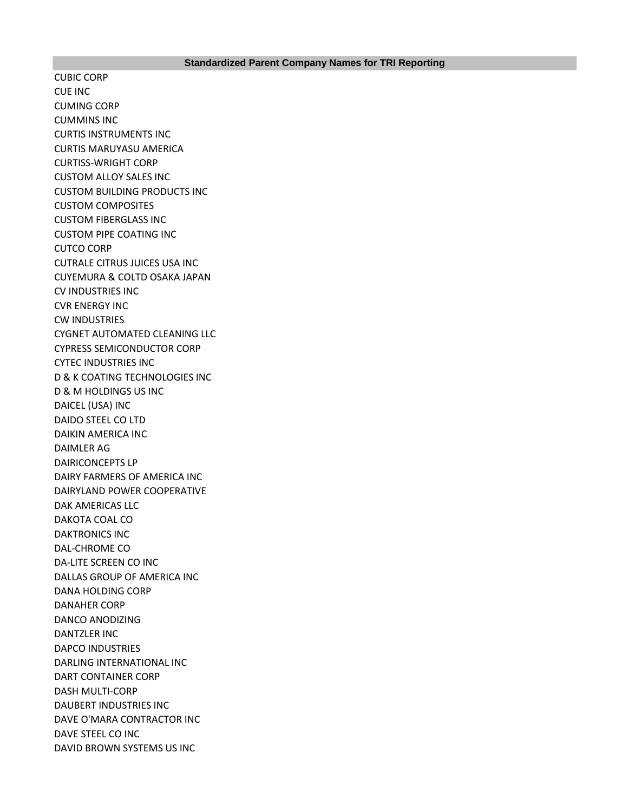CUBIC CORP CUE INC CUMING CORP CUMMINS INC CURTIS INSTRUMENTS INC CURTIS MARUYASU AMERICA CURTISS-WRIGHT CORP CUSTOM ALLOY SALES INC CUSTOM BUILDING PRODUCTS INC CUSTOM COMPOSITES CUSTOM FIBERGLASS INC CUSTOM PIPE COATING INC CUTCO CORP CUTRALE CITRUS JUICES USA INC CUYEMURA & COLTD OSAKA JAPAN CV INDUSTRIES INC CVR ENERGY INC CW INDUSTRIES CYGNET AUTOMATED CLEANING LLC CYPRESS SEMICONDUCTOR CORP CYTEC INDUSTRIES INC D & K COATING TECHNOLOGIES INC D & M HOLDINGS US INC DAICEL (USA) INC DAIDO STEEL CO LTD DAIKIN AMERICA INC DAIMLER AG DAIRICONCEPTS LP DAIRY FARMERS OF AMERICA INC DAIRYLAND POWER COOPERATIVE DAK AMERICAS LLC DAKOTA COAL CO DAKTRONICS INC DAL-CHROME CO DA-LITE SCREEN CO INC DALLAS GROUP OF AMERICA INC DANA HOLDING CORP DANAHER CORP DANCO ANODIZING DANTZLER INC DAPCO INDUSTRIES DARLING INTERNATIONAL INC DART CONTAINER CORP DASH MULTI-CORP DAUBERT INDUSTRIES INC DAVE O'MARA CONTRACTOR INC DAVE STEEL CO INC DAVID BROWN SYSTEMS US INC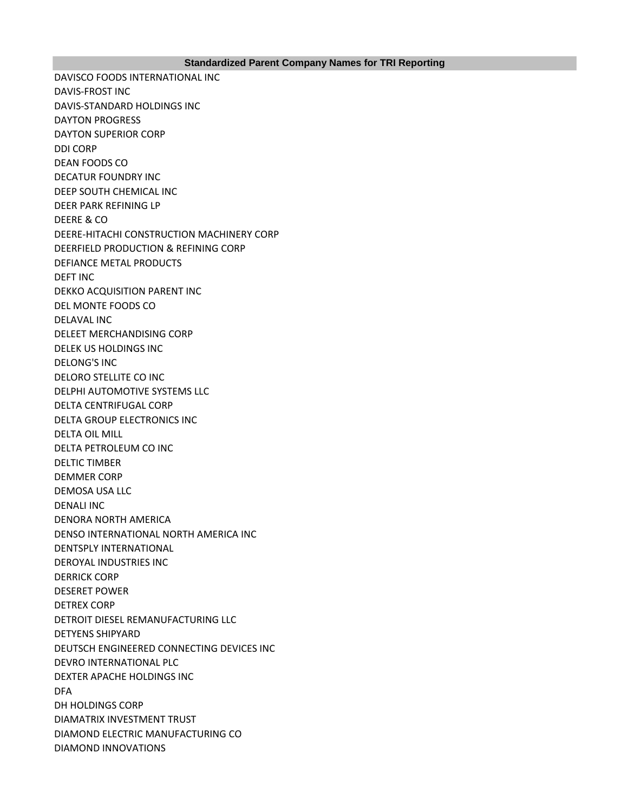DAVISCO FOODS INTERNATIONAL INC DAVIS-FROST INC DAVIS-STANDARD HOLDINGS INC DAYTON PROGRESS DAYTON SUPERIOR CORP DDI CORP DEAN FOODS CO DECATUR FOUNDRY INC DEEP SOUTH CHEMICAL INC DEER PARK REFINING LP DEERE & CO DEERE-HITACHI CONSTRUCTION MACHINERY CORP DEERFIELD PRODUCTION & REFINING CORP DEFIANCE METAL PRODUCTS DEFT INC DEKKO ACQUISITION PARENT INC DEL MONTE FOODS CO DELAVAL INC DELEET MERCHANDISING CORP DELEK US HOLDINGS INC DELONG'S INC DELORO STELLITE CO INC DELPHI AUTOMOTIVE SYSTEMS LLC DELTA CENTRIFUGAL CORP DELTA GROUP ELECTRONICS INC DELTA OIL MILL DELTA PETROLEUM CO INC DELTIC TIMBER DEMMER CORP DEMOSA USA LLC DENALI INC DENORA NORTH AMERICA DENSO INTERNATIONAL NORTH AMERICA INC DENTSPLY INTERNATIONAL DEROYAL INDUSTRIES INC DERRICK CORP DESERET POWER DETREX CORP DETROIT DIESEL REMANUFACTURING LLC DETYENS SHIPYARD DEUTSCH ENGINEERED CONNECTING DEVICES INC DEVRO INTERNATIONAL PLC DEXTER APACHE HOLDINGS INC DFA DH HOLDINGS CORP DIAMATRIX INVESTMENT TRUST DIAMOND ELECTRIC MANUFACTURING CO DIAMOND INNOVATIONS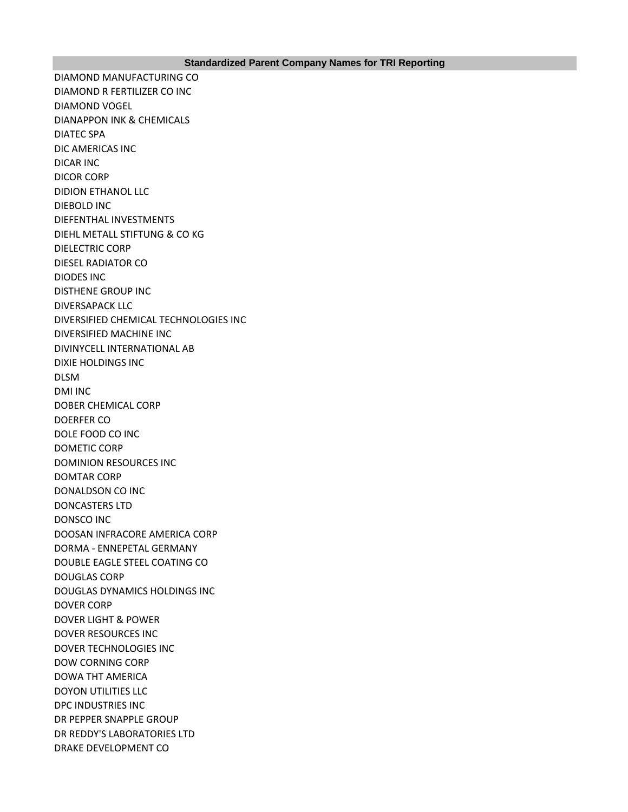DIAMOND MANUFACTURING CO DIAMOND R FERTILIZER CO INC DIAMOND VOGEL DIANAPPON INK & CHEMICALS DIATEC SPA DIC AMERICAS INC DICAR INC DICOR CORP DIDION ETHANOL LLC DIEBOLD INC DIEFENTHAL INVESTMENTS DIEHL METALL STIFTUNG & CO KG DIELECTRIC CORP DIESEL RADIATOR CO DIODES INC DISTHENE GROUP INC DIVERSAPACK LLC DIVERSIFIED CHEMICAL TECHNOLOGIES INC DIVERSIFIED MACHINE INC DIVINYCELL INTERNATIONAL AB DIXIE HOLDINGS INC DLSM DMI INC DOBER CHEMICAL CORP DOERFER CO DOLE FOOD CO INC DOMETIC CORP DOMINION RESOURCES INC DOMTAR CORP DONALDSON CO INC DONCASTERS LTD DONSCO INC DOOSAN INFRACORE AMERICA CORP DORMA - ENNEPETAL GERMANY DOUBLE EAGLE STEEL COATING CO DOUGLAS CORP DOUGLAS DYNAMICS HOLDINGS INC DOVER CORP DOVER LIGHT & POWER DOVER RESOURCES INC DOVER TECHNOLOGIES INC DOW CORNING CORP DOWA THT AMERICA DOYON UTILITIES LLC DPC INDUSTRIES INC DR PEPPER SNAPPLE GROUP DR REDDY'S LABORATORIES LTD DRAKE DEVELOPMENT CO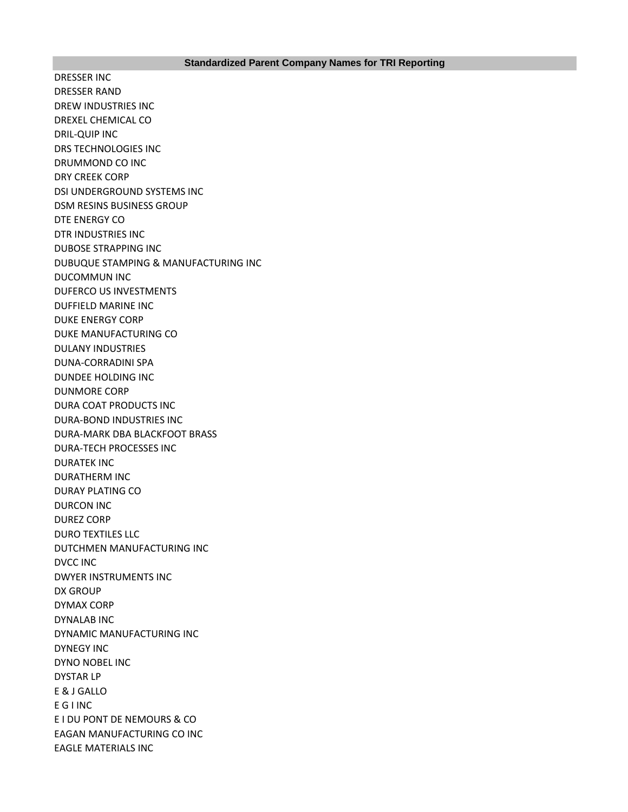DRESSER INC DRESSER RAND DREW INDUSTRIES INC DREXEL CHEMICAL CO DRIL-QUIP INC DRS TECHNOLOGIES INC DRUMMOND CO INC DRY CREEK CORP DSI UNDERGROUND SYSTEMS INC DSM RESINS BUSINESS GROUP DTE ENERGY CO DTR INDUSTRIES INC DUBOSE STRAPPING INC DUBUQUE STAMPING & MANUFACTURING INC DUCOMMUN INC DUFERCO US INVESTMENTS DUFFIELD MARINE INC DUKE ENERGY CORP DUKE MANUFACTURING CO DULANY INDUSTRIES DUNA-CORRADINI SPA DUNDEE HOLDING INC DUNMORE CORP DURA COAT PRODUCTS INC DURA-BOND INDUSTRIES INC DURA-MARK DBA BLACKFOOT BRASS DURA-TECH PROCESSES INC DURATEK INC DURATHERM INC DURAY PLATING CO DURCON INC DUREZ CORP DURO TEXTILES LLC DUTCHMEN MANUFACTURING INC DVCC INC DWYER INSTRUMENTS INC DX GROUP DYMAX CORP DYNALAB INC DYNAMIC MANUFACTURING INC DYNEGY INC DYNO NOBEL INC DYSTAR LP E & J GALLO E G I INC E I DU PONT DE NEMOURS & CO EAGAN MANUFACTURING CO INC EAGLE MATERIALS INC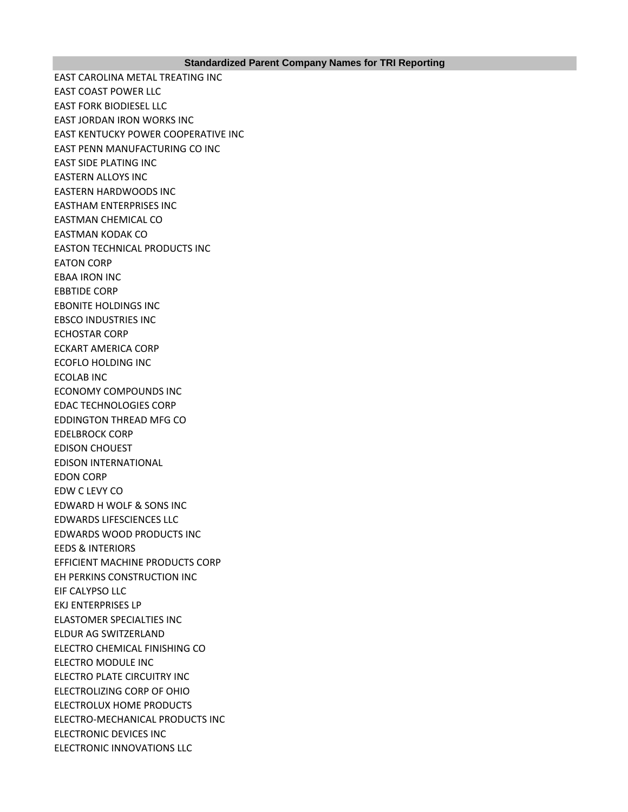EAST CAROLINA METAL TREATING INC EAST COAST POWER LLC EAST FORK BIODIESEL LLC EAST JORDAN IRON WORKS INC EAST KENTUCKY POWER COOPERATIVE INC EAST PENN MANUFACTURING CO INC EAST SIDE PLATING INC EASTERN ALLOYS INC EASTERN HARDWOODS INC EASTHAM ENTERPRISES INC EASTMAN CHEMICAL CO EASTMAN KODAK CO EASTON TECHNICAL PRODUCTS INC EATON CORP EBAA IRON INC EBBTIDE CORP EBONITE HOLDINGS INC EBSCO INDUSTRIES INC ECHOSTAR CORP ECKART AMERICA CORP ECOFLO HOLDING INC ECOLAB INC ECONOMY COMPOUNDS INC EDAC TECHNOLOGIES CORP EDDINGTON THREAD MFG CO EDELBROCK CORP EDISON CHOUEST EDISON INTERNATIONAL EDON CORP EDW C LEVY CO EDWARD H WOLF & SONS INC EDWARDS LIFESCIENCES LLC EDWARDS WOOD PRODUCTS INC EEDS & INTERIORS EFFICIENT MACHINE PRODUCTS CORP EH PERKINS CONSTRUCTION INC EIF CALYPSO LLC EKJ ENTERPRISES LP ELASTOMER SPECIALTIES INC ELDUR AG SWITZERLAND ELECTRO CHEMICAL FINISHING CO ELECTRO MODULE INC ELECTRO PLATE CIRCUITRY INC ELECTROLIZING CORP OF OHIO ELECTROLUX HOME PRODUCTS ELECTRO-MECHANICAL PRODUCTS INC ELECTRONIC DEVICES INC ELECTRONIC INNOVATIONS LLC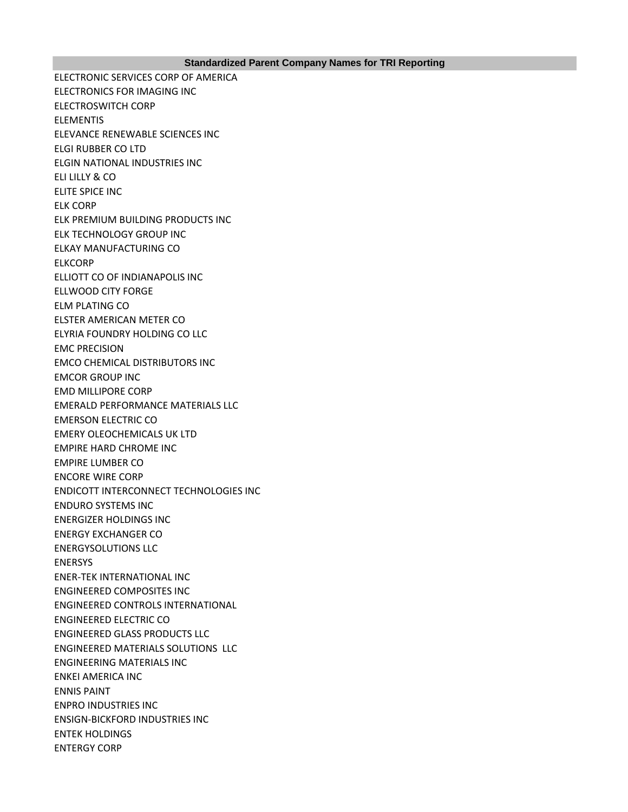ELECTRONIC SERVICES CORP OF AMERICA ELECTRONICS FOR IMAGING INC ELECTROSWITCH CORP ELEMENTIS ELEVANCE RENEWABLE SCIENCES INC ELGI RUBBER CO LTD ELGIN NATIONAL INDUSTRIES INC ELI LILLY & CO ELITE SPICE INC ELK CORP ELK PREMIUM BUILDING PRODUCTS INC ELK TECHNOLOGY GROUP INC ELKAY MANUFACTURING CO ELKCORP ELLIOTT CO OF INDIANAPOLIS INC ELLWOOD CITY FORGE ELM PLATING CO ELSTER AMERICAN METER CO ELYRIA FOUNDRY HOLDING CO LLC EMC PRECISION EMCO CHEMICAL DISTRIBUTORS INC EMCOR GROUP INC EMD MILLIPORE CORP EMERALD PERFORMANCE MATERIALS LLC EMERSON ELECTRIC CO EMERY OLEOCHEMICALS UK LTD EMPIRE HARD CHROME INC EMPIRE LUMBER CO ENCORE WIRE CORP ENDICOTT INTERCONNECT TECHNOLOGIES INC ENDURO SYSTEMS INC ENERGIZER HOLDINGS INC ENERGY EXCHANGER CO ENERGYSOLUTIONS LLC ENERSYS ENER-TEK INTERNATIONAL INC ENGINEERED COMPOSITES INC ENGINEERED CONTROLS INTERNATIONAL ENGINEERED ELECTRIC CO ENGINEERED GLASS PRODUCTS LLC ENGINEERED MATERIALS SOLUTIONS LLC ENGINEERING MATERIALS INC ENKEI AMERICA INC ENNIS PAINT ENPRO INDUSTRIES INC ENSIGN-BICKFORD INDUSTRIES INC ENTEK HOLDINGS ENTERGY CORP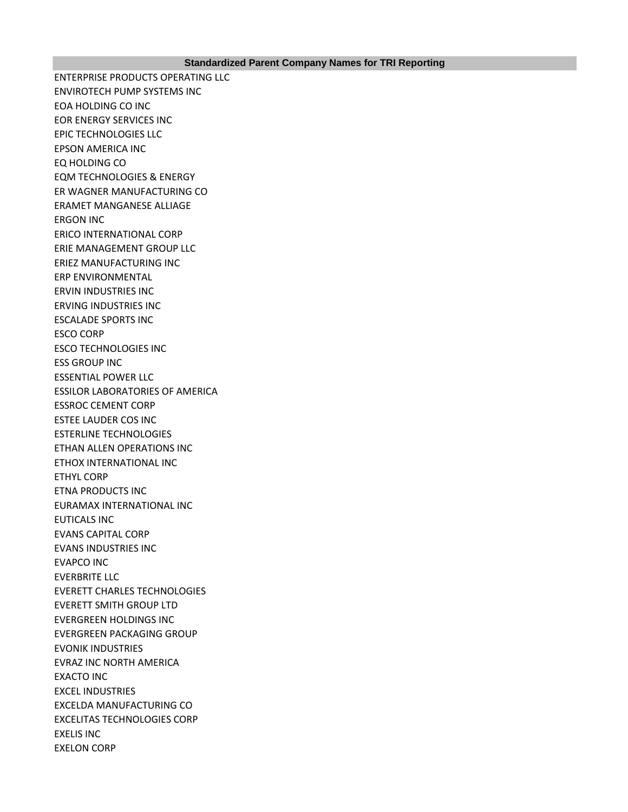ENTERPRISE PRODUCTS OPERATING LLC ENVIROTECH PUMP SYSTEMS INC EOA HOLDING CO INC EOR ENERGY SERVICES INC EPIC TECHNOLOGIES LLC EPSON AMERICA INC EQ HOLDING CO EQM TECHNOLOGIES & ENERGY ER WAGNER MANUFACTURING CO ERAMET MANGANESE ALLIAGE ERGON INC ERICO INTERNATIONAL CORP ERIE MANAGEMENT GROUP LLC ERIEZ MANUFACTURING INC ERP ENVIRONMENTAL ERVIN INDUSTRIES INC ERVING INDUSTRIES INC ESCALADE SPORTS INC ESCO CORP ESCO TECHNOLOGIES INC ESS GROUP INC ESSENTIAL POWER LLC ESSILOR LABORATORIES OF AMERICA ESSROC CEMENT CORP ESTEE LAUDER COS INC ESTERLINE TECHNOLOGIES ETHAN ALLEN OPERATIONS INC ETHOX INTERNATIONAL INC ETHYL CORP ETNA PRODUCTS INC EURAMAX INTERNATIONAL INC EUTICALS INC EVANS CAPITAL CORP EVANS INDUSTRIES INC EVAPCO INC EVERBRITE LLC EVERETT CHARLES TECHNOLOGIES EVERETT SMITH GROUP LTD EVERGREEN HOLDINGS INC EVERGREEN PACKAGING GROUP EVONIK INDUSTRIES EVRAZ INC NORTH AMERICA EXACTO INC EXCEL INDUSTRIES EXCELDA MANUFACTURING CO EXCELITAS TECHNOLOGIES CORP EXELIS INC EXELON CORP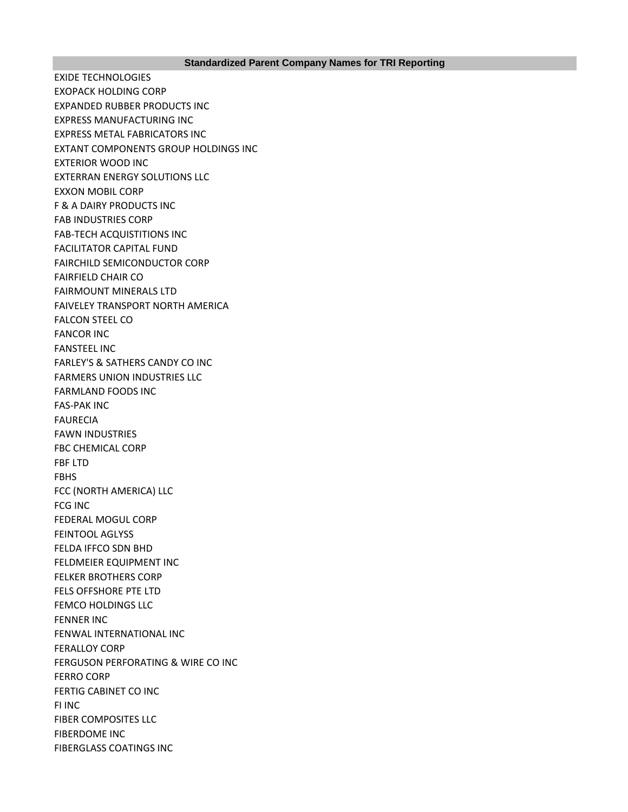EXIDE TECHNOLOGIES EXOPACK HOLDING CORP EXPANDED RUBBER PRODUCTS INC EXPRESS MANUFACTURING INC EXPRESS METAL FABRICATORS INC EXTANT COMPONENTS GROUP HOLDINGS INC EXTERIOR WOOD INC EXTERRAN ENERGY SOLUTIONS LLC EXXON MOBIL CORP F & A DAIRY PRODUCTS INC FAB INDUSTRIES CORP FAB-TECH ACQUISTITIONS INC FACILITATOR CAPITAL FUND FAIRCHILD SEMICONDUCTOR CORP FAIRFIELD CHAIR CO FAIRMOUNT MINERALS LTD FAIVELEY TRANSPORT NORTH AMERICA FALCON STEEL CO FANCOR INC FANSTEEL INC FARLEY'S & SATHERS CANDY CO INC FARMERS UNION INDUSTRIES LLC FARMLAND FOODS INC FAS-PAK INC FAURECIA FAWN INDUSTRIES FBC CHEMICAL CORP FBF LTD FBHS FCC (NORTH AMERICA) LLC FCG INC FEDERAL MOGUL CORP FEINTOOL AGLYSS FELDA IFFCO SDN BHD FELDMEIER EQUIPMENT INC FELKER BROTHERS CORP FELS OFFSHORE PTE LTD FEMCO HOLDINGS LLC FENNER INC FENWAL INTERNATIONAL INC FERALLOY CORP FERGUSON PERFORATING & WIRE CO INC FERRO CORP FERTIG CABINET CO INC FI INC FIBER COMPOSITES LLC FIBERDOME INC FIBERGLASS COATINGS INC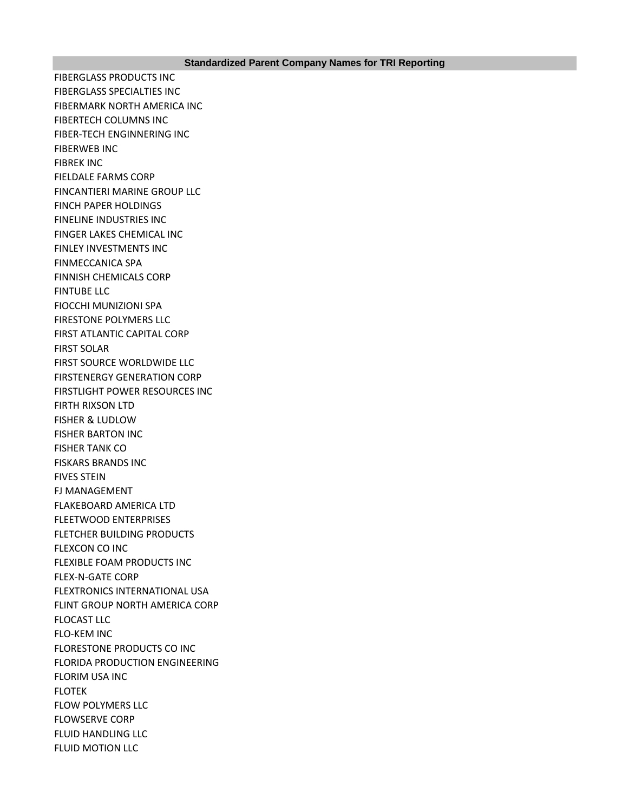FIBERGLASS PRODUCTS INC FIBERGLASS SPECIALTIES INC FIBERMARK NORTH AMERICA INC FIBERTECH COLUMNS INC FIBER-TECH ENGINNERING INC FIBERWEB INC FIBREK INC FIELDALE FARMS CORP FINCANTIERI MARINE GROUP LLC FINCH PAPER HOLDINGS FINELINE INDUSTRIES INC FINGER LAKES CHEMICAL INC FINLEY INVESTMENTS INC FINMECCANICA SPA FINNISH CHEMICALS CORP FINTUBE LLC FIOCCHI MUNIZIONI SPA FIRESTONE POLYMERS LLC FIRST ATLANTIC CAPITAL CORP FIRST SOLAR FIRST SOURCE WORLDWIDE LLC FIRSTENERGY GENERATION CORP FIRSTLIGHT POWER RESOURCES INC FIRTH RIXSON LTD FISHER & LUDLOW FISHER BARTON INC FISHER TANK CO FISKARS BRANDS INC FIVES STEIN FJ MANAGEMENT FLAKEBOARD AMERICA LTD FLEETWOOD ENTERPRISES FLETCHER BUILDING PRODUCTS FLEXCON CO INC FLEXIBLE FOAM PRODUCTS INC FLEX-N-GATE CORP FLEXTRONICS INTERNATIONAL USA FLINT GROUP NORTH AMERICA CORP FLOCAST LLC FLO-KEM INC FLORESTONE PRODUCTS CO INC FLORIDA PRODUCTION ENGINEERING FLORIM USA INC **FLOTEK** FLOW POLYMERS LLC FLOWSERVE CORP FLUID HANDLING LLC FLUID MOTION LLC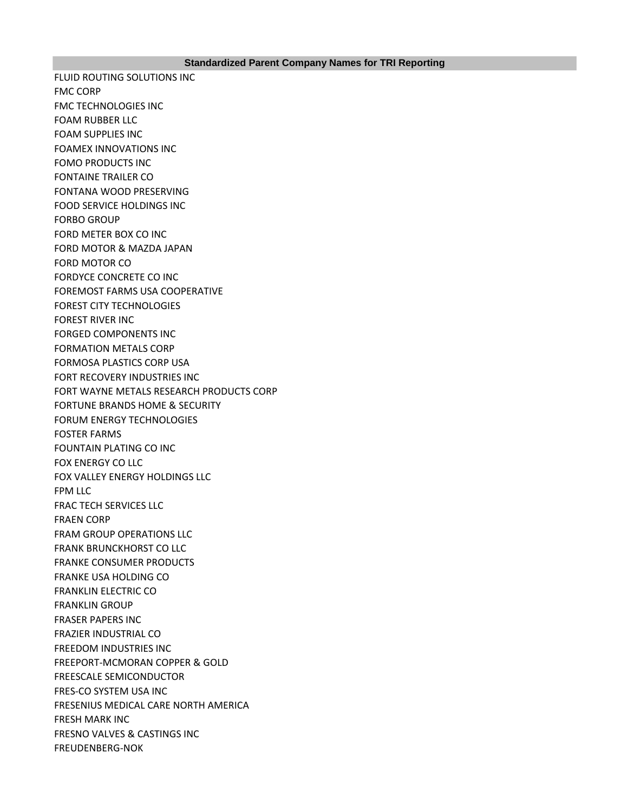FLUID ROUTING SOLUTIONS INC FMC CORP FMC TECHNOLOGIES INC FOAM RUBBER LLC FOAM SUPPLIES INC FOAMEX INNOVATIONS INC FOMO PRODUCTS INC FONTAINE TRAILER CO FONTANA WOOD PRESERVING FOOD SERVICE HOLDINGS INC FORBO GROUP FORD METER BOX CO INC FORD MOTOR & MAZDA JAPAN FORD MOTOR CO FORDYCE CONCRETE CO INC FOREMOST FARMS USA COOPERATIVE FOREST CITY TECHNOLOGIES FOREST RIVER INC FORGED COMPONENTS INC FORMATION METALS CORP FORMOSA PLASTICS CORP USA FORT RECOVERY INDUSTRIES INC FORT WAYNE METALS RESEARCH PRODUCTS CORP FORTUNE BRANDS HOME & SECURITY FORUM ENERGY TECHNOLOGIES FOSTER FARMS FOUNTAIN PLATING CO INC FOX ENERGY CO LLC FOX VALLEY ENERGY HOLDINGS LLC FPM LLC FRAC TECH SERVICES LLC FRAEN CORP FRAM GROUP OPERATIONS LLC FRANK BRUNCKHORST CO LLC FRANKE CONSUMER PRODUCTS FRANKE USA HOLDING CO FRANKLIN ELECTRIC CO FRANKLIN GROUP FRASER PAPERS INC FRAZIER INDUSTRIAL CO FREEDOM INDUSTRIES INC FREEPORT-MCMORAN COPPER & GOLD FREESCALE SEMICONDUCTOR FRES-CO SYSTEM USA INC FRESENIUS MEDICAL CARE NORTH AMERICA FRESH MARK INC FRESNO VALVES & CASTINGS INC FREUDENBERG-NOK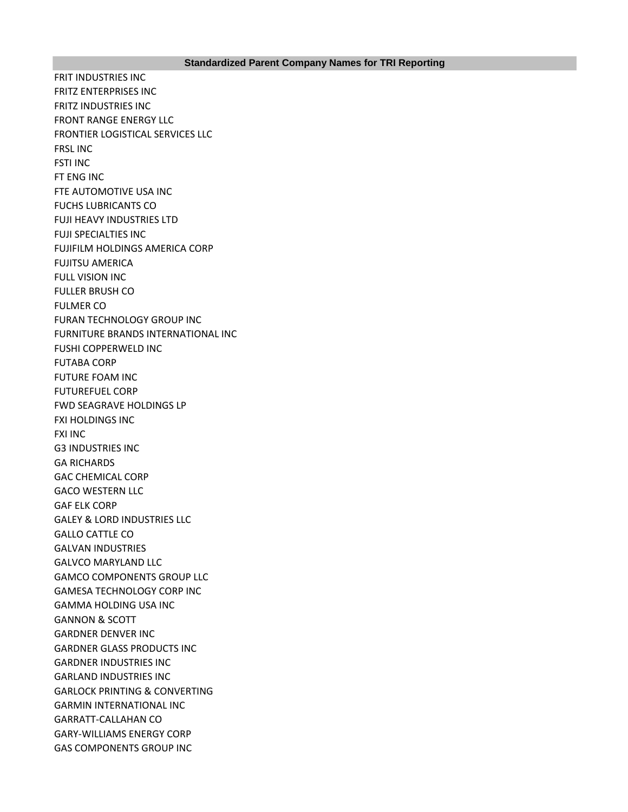FRIT INDUSTRIES INC FRITZ ENTERPRISES INC FRITZ INDUSTRIES INC FRONT RANGE ENERGY LLC FRONTIER LOGISTICAL SERVICES LLC FRSL INC FSTI INC FT ENG INC FTE AUTOMOTIVE USA INC FUCHS LUBRICANTS CO FUJI HEAVY INDUSTRIES LTD FUJI SPECIALTIES INC FUJIFILM HOLDINGS AMERICA CORP FUJITSU AMERICA FULL VISION INC FULLER BRUSH CO FULMER CO FURAN TECHNOLOGY GROUP INC FURNITURE BRANDS INTERNATIONAL INC FUSHI COPPERWELD INC FUTABA CORP FUTURE FOAM INC FUTUREFUEL CORP FWD SEAGRAVE HOLDINGS LP FXI HOLDINGS INC FXI INC G3 INDUSTRIES INC GA RICHARDS GAC CHEMICAL CORP GACO WESTERN LLC GAF ELK CORP GALEY & LORD INDUSTRIES LLC GALLO CATTLE CO GALVAN INDUSTRIES GALVCO MARYLAND LLC GAMCO COMPONENTS GROUP LLC GAMESA TECHNOLOGY CORP INC GAMMA HOLDING USA INC GANNON & SCOTT GARDNER DENVER INC GARDNER GLASS PRODUCTS INC GARDNER INDUSTRIES INC GARLAND INDUSTRIES INC GARLOCK PRINTING & CONVERTING GARMIN INTERNATIONAL INC GARRATT-CALLAHAN CO GARY-WILLIAMS ENERGY CORP GAS COMPONENTS GROUP INC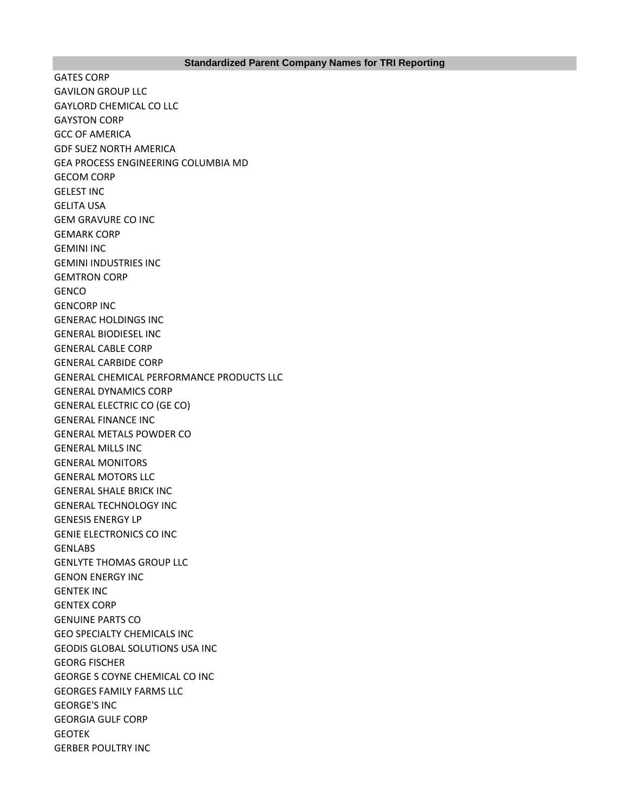### **Standardized Parent Company Names for TRI Reporting**

GATES CORP GAVILON GROUP LLC GAYLORD CHEMICAL CO LLC GAYSTON CORP GCC OF AMERICA GDF SUEZ NORTH AMERICA GEA PROCESS ENGINEERING COLUMBIA MD GECOM CORP GELEST INC GELITA USA GEM GRAVURE CO INC GEMARK CORP GEMINI INC GEMINI INDUSTRIES INC GEMTRON CORP **GENCO** GENCORP INC GENERAC HOLDINGS INC GENERAL BIODIESEL INC GENERAL CABLE CORP GENERAL CARBIDE CORP GENERAL CHEMICAL PERFORMANCE PRODUCTS LLC GENERAL DYNAMICS CORP GENERAL ELECTRIC CO (GE CO) GENERAL FINANCE INC GENERAL METALS POWDER CO GENERAL MILLS INC GENERAL MONITORS GENERAL MOTORS LLC GENERAL SHALE BRICK INC GENERAL TECHNOLOGY INC GENESIS ENERGY LP GENIE ELECTRONICS CO INC **GENLABS** GENLYTE THOMAS GROUP LLC GENON ENERGY INC GENTEK INC GENTEX CORP GENUINE PARTS CO GEO SPECIALTY CHEMICALS INC GEODIS GLOBAL SOLUTIONS USA INC GEORG FISCHER GEORGE S COYNE CHEMICAL CO INC GEORGES FAMILY FARMS LLC GEORGE'S INC GEORGIA GULF CORP **GEOTEK** GERBER POULTRY INC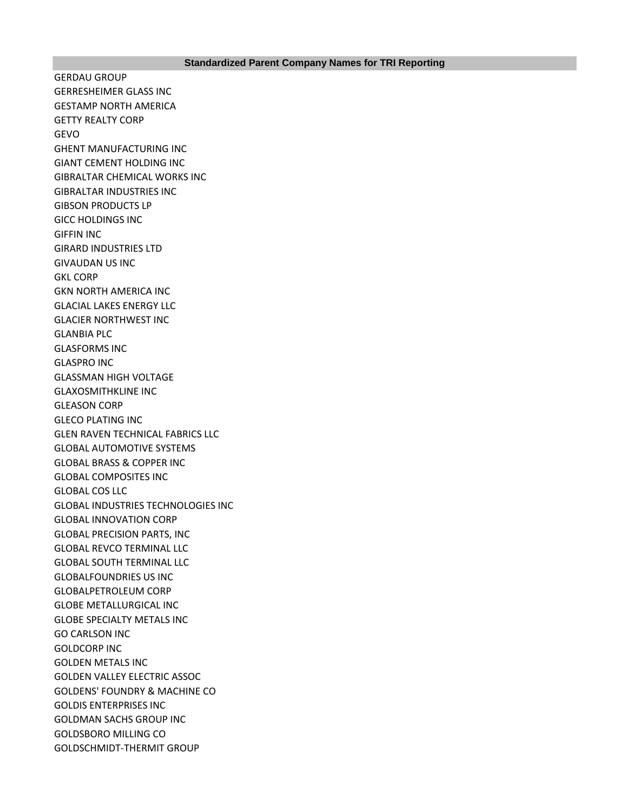GERDAU GROUP GERRESHEIMER GLASS INC GESTAMP NORTH AMERICA GETTY REALTY CORP GEVO GHENT MANUFACTURING INC GIANT CEMENT HOLDING INC GIBRALTAR CHEMICAL WORKS INC GIBRALTAR INDUSTRIES INC GIBSON PRODUCTS LP GICC HOLDINGS INC GIFFIN INC GIRARD INDUSTRIES LTD GIVAUDAN US INC GKL CORP GKN NORTH AMERICA INC GLACIAL LAKES ENERGY LLC GLACIER NORTHWEST INC GLANBIA PLC GLASFORMS INC GLASPRO INC GLASSMAN HIGH VOLTAGE GLAXOSMITHKLINE INC GLEASON CORP GLECO PLATING INC GLEN RAVEN TECHNICAL FABRICS LLC GLOBAL AUTOMOTIVE SYSTEMS GLOBAL BRASS & COPPER INC GLOBAL COMPOSITES INC GLOBAL COS LLC GLOBAL INDUSTRIES TECHNOLOGIES INC GLOBAL INNOVATION CORP GLOBAL PRECISION PARTS, INC GLOBAL REVCO TERMINAL LLC GLOBAL SOUTH TERMINAL LLC GLOBALFOUNDRIES US INC GLOBALPETROLEUM CORP GLOBE METALLURGICAL INC GLOBE SPECIALTY METALS INC GO CARLSON INC GOLDCORP INC GOLDEN METALS INC GOLDEN VALLEY ELECTRIC ASSOC GOLDENS' FOUNDRY & MACHINE CO GOLDIS ENTERPRISES INC GOLDMAN SACHS GROUP INC GOLDSBORO MILLING CO GOLDSCHMIDT-THERMIT GROUP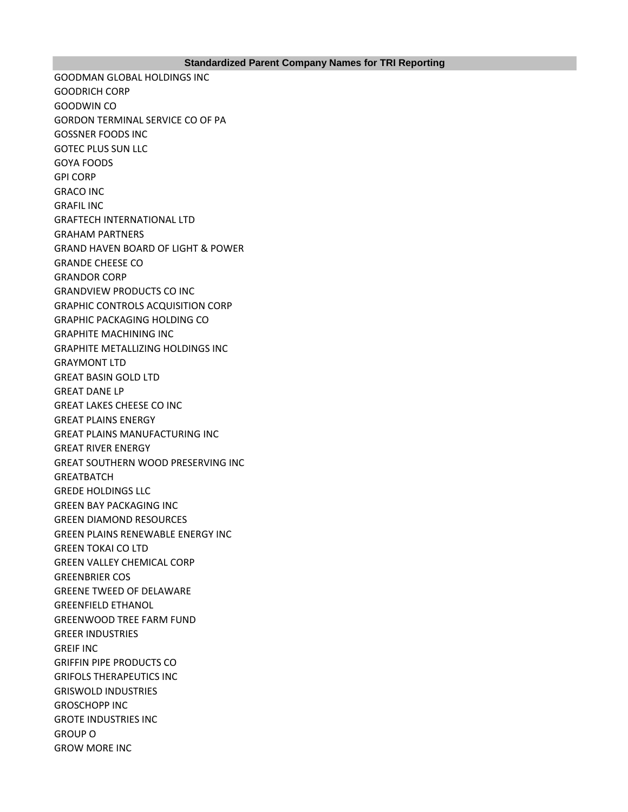GOODMAN GLOBAL HOLDINGS INC GOODRICH CORP GOODWIN CO GORDON TERMINAL SERVICE CO OF PA GOSSNER FOODS INC GOTEC PLUS SUN LLC GOYA FOODS GPI CORP GRACO INC GRAFIL INC GRAFTECH INTERNATIONAL LTD GRAHAM PARTNERS GRAND HAVEN BOARD OF LIGHT & POWER GRANDE CHEESE CO GRANDOR CORP GRANDVIEW PRODUCTS CO INC GRAPHIC CONTROLS ACQUISITION CORP GRAPHIC PACKAGING HOLDING CO GRAPHITE MACHINING INC GRAPHITE METALLIZING HOLDINGS INC GRAYMONT LTD GREAT BASIN GOLD LTD GREAT DANE LP GREAT LAKES CHEESE CO INC GREAT PLAINS ENERGY GREAT PLAINS MANUFACTURING INC GREAT RIVER ENERGY GREAT SOUTHERN WOOD PRESERVING INC **GREATBATCH** GREDE HOLDINGS LLC GREEN BAY PACKAGING INC GREEN DIAMOND RESOURCES GREEN PLAINS RENEWABLE ENERGY INC GREEN TOKAI CO LTD GREEN VALLEY CHEMICAL CORP GREENBRIER COS GREENE TWEED OF DELAWARE GREENFIELD ETHANOL GREENWOOD TREE FARM FUND GREER INDUSTRIES GREIF INC GRIFFIN PIPE PRODUCTS CO GRIFOLS THERAPEUTICS INC GRISWOLD INDUSTRIES GROSCHOPP INC GROTE INDUSTRIES INC GROUP O GROW MORE INC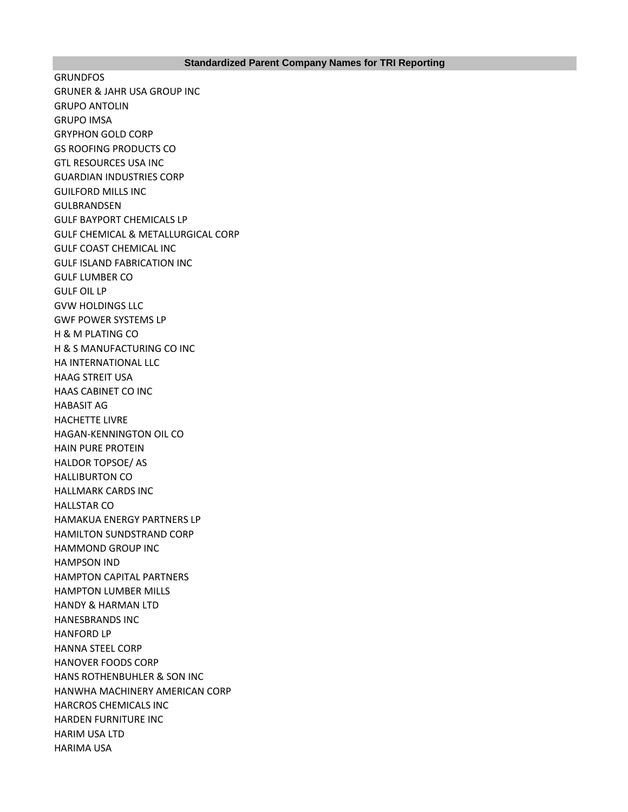GRUNDFOS GRUNER & JAHR USA GROUP INC GRUPO ANTOLIN GRUPO IMSA GRYPHON GOLD CORP GS ROOFING PRODUCTS CO GTL RESOURCES USA INC GUARDIAN INDUSTRIES CORP GUILFORD MILLS INC GULBRANDSEN GULF BAYPORT CHEMICALS LP GULF CHEMICAL & METALLURGICAL CORP GULF COAST CHEMICAL INC GULF ISLAND FABRICATION INC GULF LUMBER CO GULF OIL LP GVW HOLDINGS LLC GWF POWER SYSTEMS LP H & M PLATING CO H & S MANUFACTURING CO INC HA INTERNATIONAL LLC HAAG STREIT USA HAAS CABINET CO INC HABASIT AG HACHETTE LIVRE HAGAN-KENNINGTON OIL CO HAIN PURE PROTEIN HALDOR TOPSOE/ AS HALLIBURTON CO HALLMARK CARDS INC HALLSTAR CO HAMAKUA ENERGY PARTNERS LP HAMILTON SUNDSTRAND CORP HAMMOND GROUP INC HAMPSON IND HAMPTON CAPITAL PARTNERS HAMPTON LUMBER MILLS HANDY & HARMAN LTD HANESBRANDS INC HANFORD LP HANNA STEEL CORP HANOVER FOODS CORP HANS ROTHENBUHLER & SON INC HANWHA MACHINERY AMERICAN CORP HARCROS CHEMICALS INC HARDEN FURNITURE INC HARIM USA LTD HARIMA USA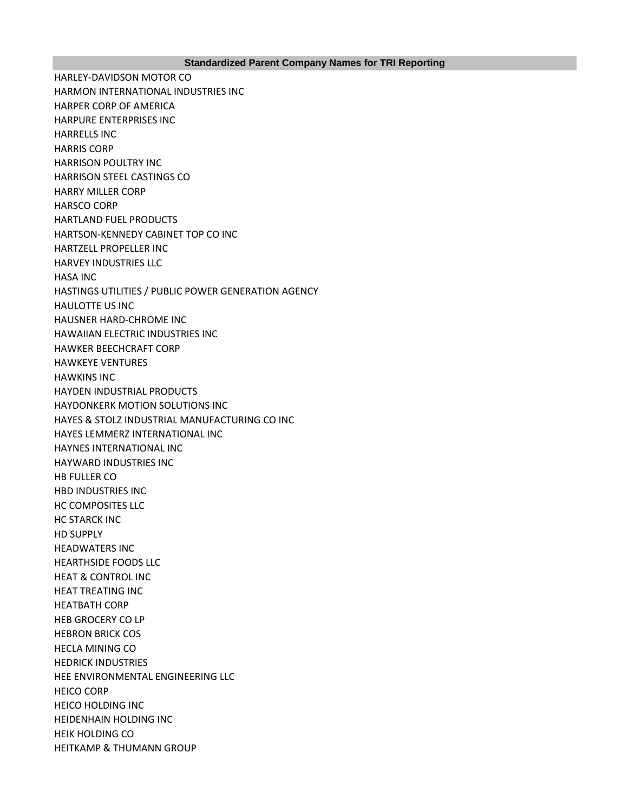HARLEY-DAVIDSON MOTOR CO HARMON INTERNATIONAL INDUSTRIES INC HARPER CORP OF AMERICA HARPURE ENTERPRISES INC HARRELLS INC HARRIS CORP HARRISON POULTRY INC HARRISON STEEL CASTINGS CO HARRY MILLER CORP HARSCO CORP HARTLAND FUEL PRODUCTS HARTSON-KENNEDY CABINET TOP CO INC HARTZELL PROPELLER INC HARVEY INDUSTRIES LLC HASA INC HASTINGS UTILITIES / PUBLIC POWER GENERATION AGENCY HAULOTTE US INC HAUSNER HARD-CHROME INC HAWAIIAN ELECTRIC INDUSTRIES INC HAWKER BEECHCRAFT CORP HAWKEYE VENTURES HAWKINS INC HAYDEN INDUSTRIAL PRODUCTS HAYDONKERK MOTION SOLUTIONS INC HAYES & STOLZ INDUSTRIAL MANUFACTURING CO INC HAYES LEMMERZ INTERNATIONAL INC HAYNES INTERNATIONAL INC HAYWARD INDUSTRIES INC HB FULLER CO HBD INDUSTRIES INC HC COMPOSITES LLC HC STARCK INC HD SUPPLY HEADWATERS INC HEARTHSIDE FOODS LLC HEAT & CONTROL INC HEAT TREATING INC HEATBATH CORP HEB GROCERY CO LP HEBRON BRICK COS HECLA MINING CO HEDRICK INDUSTRIES HEE ENVIRONMENTAL ENGINEERING LLC HEICO CORP HEICO HOLDING INC HEIDENHAIN HOLDING INC HEIK HOLDING CO HEITKAMP & THUMANN GROUP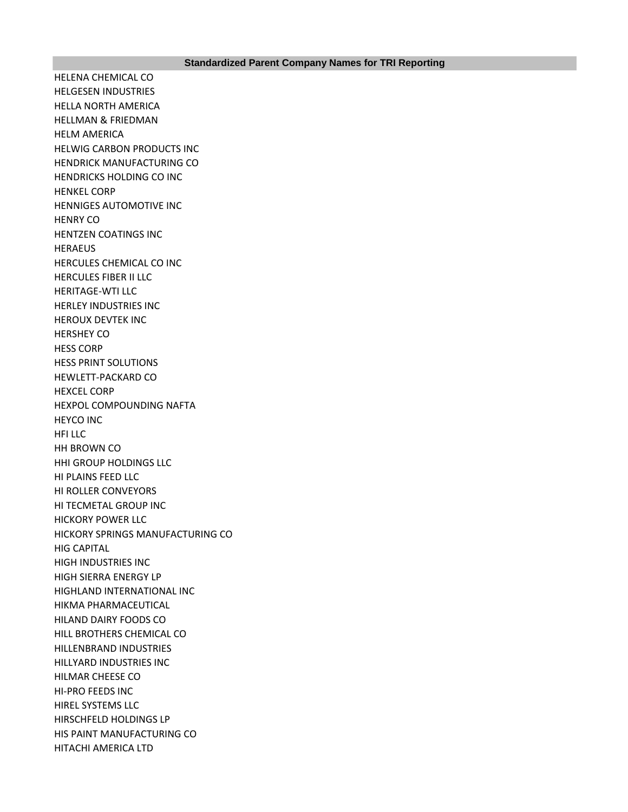HELENA CHEMICAL CO HELGESEN INDUSTRIES HELLA NORTH AMERICA HELLMAN & FRIEDMAN HELM AMERICA HELWIG CARBON PRODUCTS INC HENDRICK MANUFACTURING CO HENDRICKS HOLDING CO INC HENKEL CORP HENNIGES AUTOMOTIVE INC HENRY CO HENTZEN COATINGS INC HERAEUS HERCULES CHEMICAL CO INC HERCULES FIBER II LLC HERITAGE-WTI LLC HERLEY INDUSTRIES INC HEROUX DEVTEK INC HERSHEY CO HESS CORP HESS PRINT SOLUTIONS HEWLETT-PACKARD CO HEXCEL CORP HEXPOL COMPOUNDING NAFTA HEYCO INC HFI LLC HH BROWN CO HHI GROUP HOLDINGS LLC HI PLAINS FEED LLC HI ROLLER CONVEYORS HI TECMETAL GROUP INC HICKORY POWER LLC HICKORY SPRINGS MANUFACTURING CO HIG CAPITAL HIGH INDUSTRIES INC HIGH SIERRA ENERGY LP HIGHLAND INTERNATIONAL INC HIKMA PHARMACEUTICAL HILAND DAIRY FOODS CO HILL BROTHERS CHEMICAL CO HILLENBRAND INDUSTRIES HILLYARD INDUSTRIES INC HILMAR CHEESE CO HI-PRO FEEDS INC HIREL SYSTEMS LLC HIRSCHFELD HOLDINGS LP HIS PAINT MANUFACTURING CO HITACHI AMERICA LTD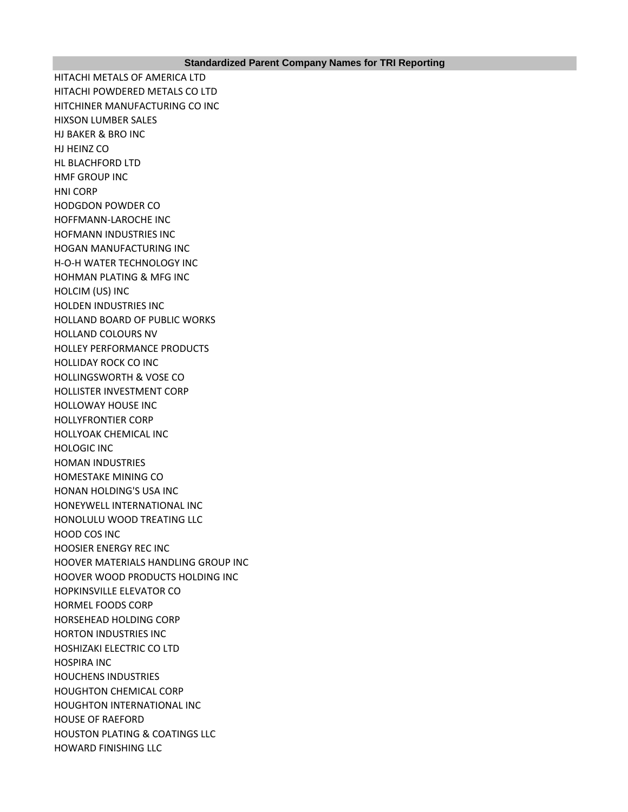HITACHI METALS OF AMERICA LTD HITACHI POWDERED METALS CO LTD HITCHINER MANUFACTURING CO INC HIXSON LUMBER SALES HJ BAKER & BRO INC HJ HEINZ CO HL BLACHFORD LTD HMF GROUP INC HNI CORP HODGDON POWDER CO HOFFMANN-LAROCHE INC HOFMANN INDUSTRIES INC HOGAN MANUFACTURING INC H-O-H WATER TECHNOLOGY INC HOHMAN PLATING & MFG INC HOLCIM (US) INC HOLDEN INDUSTRIES INC HOLLAND BOARD OF PUBLIC WORKS HOLLAND COLOURS NV HOLLEY PERFORMANCE PRODUCTS HOLLIDAY ROCK CO INC HOLLINGSWORTH & VOSE CO HOLLISTER INVESTMENT CORP HOLLOWAY HOUSE INC HOLLYFRONTIER CORP HOLLYOAK CHEMICAL INC HOLOGIC INC HOMAN INDUSTRIES HOMESTAKE MINING CO HONAN HOLDING'S USA INC HONEYWELL INTERNATIONAL INC HONOLULU WOOD TREATING LLC HOOD COS INC HOOSIER ENERGY REC INC HOOVER MATERIALS HANDLING GROUP INC HOOVER WOOD PRODUCTS HOLDING INC HOPKINSVILLE ELEVATOR CO HORMEL FOODS CORP HORSEHEAD HOLDING CORP HORTON INDUSTRIES INC HOSHIZAKI ELECTRIC CO LTD HOSPIRA INC HOUCHENS INDUSTRIES HOUGHTON CHEMICAL CORP HOUGHTON INTERNATIONAL INC HOUSE OF RAEFORD HOUSTON PLATING & COATINGS LLC HOWARD FINISHING LLC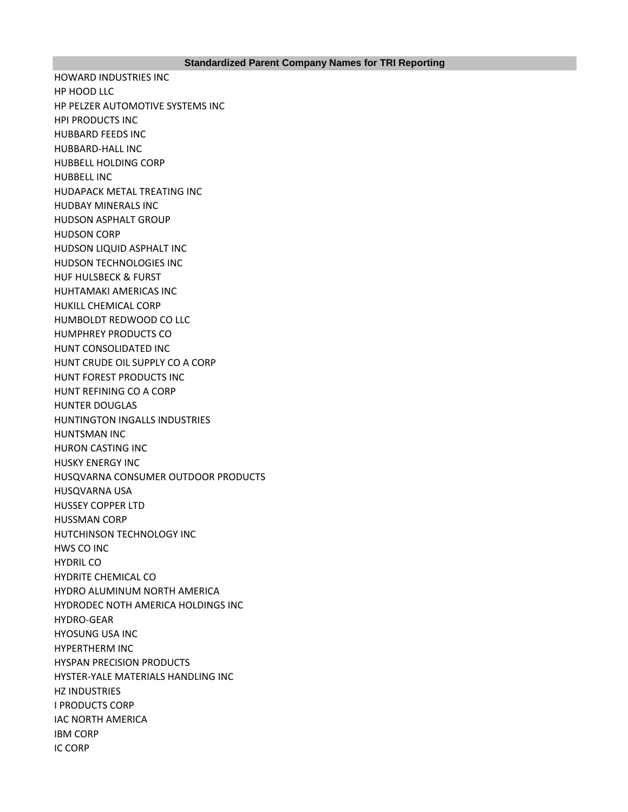HOWARD INDUSTRIES INC HP HOOD LLC HP PELZER AUTOMOTIVE SYSTEMS INC HPI PRODUCTS INC HUBBARD FEEDS INC HUBBARD-HALL INC HUBBELL HOLDING CORP HUBBELL INC HUDAPACK METAL TREATING INC HUDBAY MINERALS INC HUDSON ASPHALT GROUP HUDSON CORP HUDSON LIQUID ASPHALT INC HUDSON TECHNOLOGIES INC HUF HULSBECK & FURST HUHTAMAKI AMERICAS INC HUKILL CHEMICAL CORP HUMBOLDT REDWOOD CO LLC HUMPHREY PRODUCTS CO HUNT CONSOLIDATED INC HUNT CRUDE OIL SUPPLY CO A CORP HUNT FOREST PRODUCTS INC HUNT REFINING CO A CORP HUNTER DOUGLAS HUNTINGTON INGALLS INDUSTRIES HUNTSMAN INC HURON CASTING INC HUSKY ENERGY INC HUSQVARNA CONSUMER OUTDOOR PRODUCTS HUSQVARNA USA HUSSEY COPPER LTD HUSSMAN CORP HUTCHINSON TECHNOLOGY INC HWS CO INC HYDRIL CO HYDRITE CHEMICAL CO HYDRO ALUMINUM NORTH AMERICA HYDRODEC NOTH AMERICA HOLDINGS INC HYDRO-GEAR HYOSUNG USA INC HYPERTHERM INC HYSPAN PRECISION PRODUCTS HYSTER-YALE MATERIALS HANDLING INC HZ INDUSTRIES I PRODUCTS CORP IAC NORTH AMERICA IBM CORP IC CORP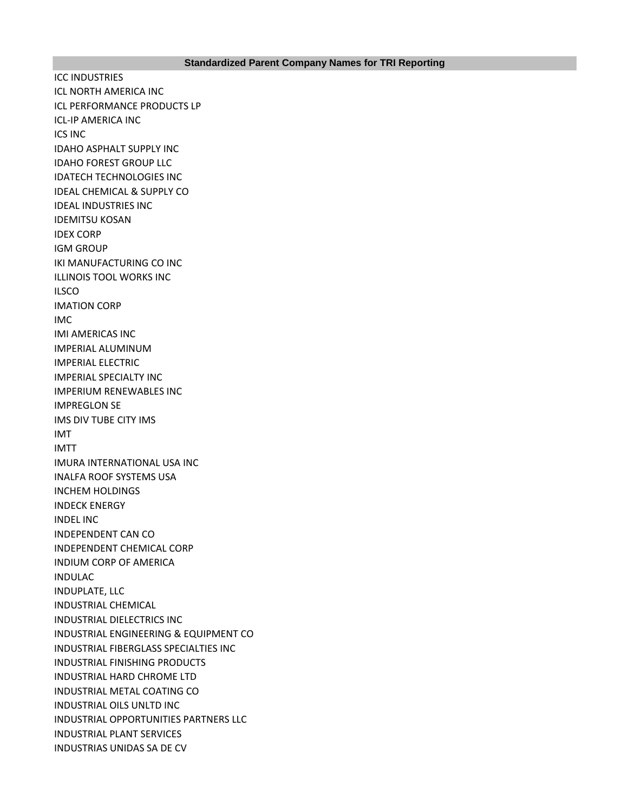ICC INDUSTRIES ICL NORTH AMERICA INC ICL PERFORMANCE PRODUCTS LP ICL-IP AMERICA INC ICS INC IDAHO ASPHALT SUPPLY INC IDAHO FOREST GROUP LLC IDATECH TECHNOLOGIES INC IDEAL CHEMICAL & SUPPLY CO IDEAL INDUSTRIES INC IDEMITSU KOSAN IDEX CORP IGM GROUP IKI MANUFACTURING CO INC ILLINOIS TOOL WORKS INC ILSCO IMATION CORP IMC IMI AMERICAS INC IMPERIAL ALUMINUM IMPERIAL ELECTRIC IMPERIAL SPECIALTY INC IMPERIUM RENEWABLES INC IMPREGLON SE IMS DIV TUBE CITY IMS IMT IMTT IMURA INTERNATIONAL USA INC INALFA ROOF SYSTEMS USA INCHEM HOLDINGS INDECK ENERGY INDEL INC INDEPENDENT CAN CO INDEPENDENT CHEMICAL CORP INDIUM CORP OF AMERICA INDULAC INDUPLATE, LLC INDUSTRIAL CHEMICAL INDUSTRIAL DIELECTRICS INC INDUSTRIAL ENGINEERING & EQUIPMENT CO INDUSTRIAL FIBERGLASS SPECIALTIES INC INDUSTRIAL FINISHING PRODUCTS INDUSTRIAL HARD CHROME LTD INDUSTRIAL METAL COATING CO INDUSTRIAL OILS UNLTD INC INDUSTRIAL OPPORTUNITIES PARTNERS LLC INDUSTRIAL PLANT SERVICES INDUSTRIAS UNIDAS SA DE CV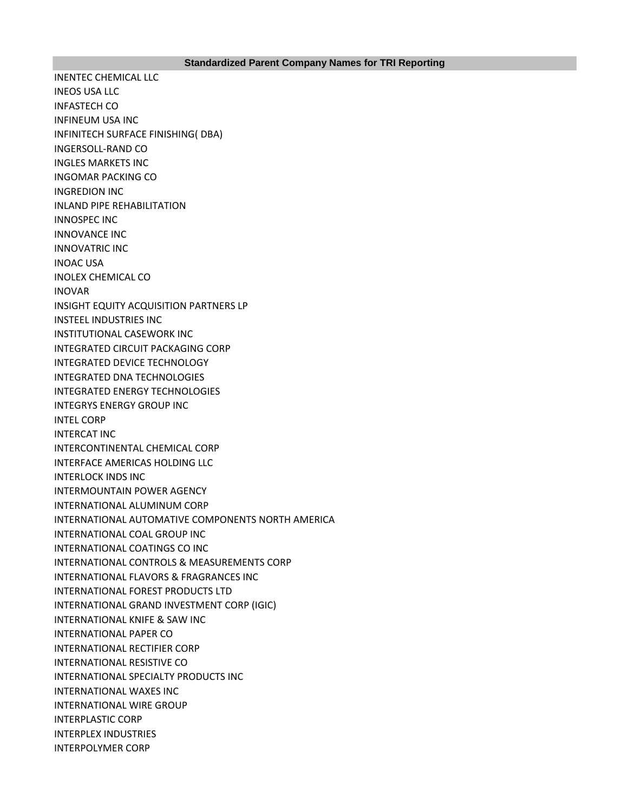INENTEC CHEMICAL LLC INEOS USA LLC INFASTECH CO INFINEUM USA INC INFINITECH SURFACE FINISHING( DBA) INGERSOLL-RAND CO INGLES MARKETS INC INGOMAR PACKING CO INGREDION INC INLAND PIPE REHABILITATION INNOSPEC INC INNOVANCE INC INNOVATRIC INC INOAC USA INOLEX CHEMICAL CO INOVAR INSIGHT EQUITY ACQUISITION PARTNERS LP INSTEEL INDUSTRIES INC INSTITUTIONAL CASEWORK INC INTEGRATED CIRCUIT PACKAGING CORP INTEGRATED DEVICE TECHNOLOGY INTEGRATED DNA TECHNOLOGIES INTEGRATED ENERGY TECHNOLOGIES INTEGRYS ENERGY GROUP INC INTEL CORP INTERCAT INC INTERCONTINENTAL CHEMICAL CORP INTERFACE AMERICAS HOLDING LLC INTERLOCK INDS INC INTERMOUNTAIN POWER AGENCY INTERNATIONAL ALUMINUM CORP INTERNATIONAL AUTOMATIVE COMPONENTS NORTH AMERICA INTERNATIONAL COAL GROUP INC INTERNATIONAL COATINGS CO INC INTERNATIONAL CONTROLS & MEASUREMENTS CORP INTERNATIONAL FLAVORS & FRAGRANCES INC INTERNATIONAL FOREST PRODUCTS LTD INTERNATIONAL GRAND INVESTMENT CORP (IGIC) INTERNATIONAL KNIFE & SAW INC INTERNATIONAL PAPER CO INTERNATIONAL RECTIFIER CORP INTERNATIONAL RESISTIVE CO INTERNATIONAL SPECIALTY PRODUCTS INC INTERNATIONAL WAXES INC INTERNATIONAL WIRE GROUP INTERPLASTIC CORP INTERPLEX INDUSTRIES INTERPOLYMER CORP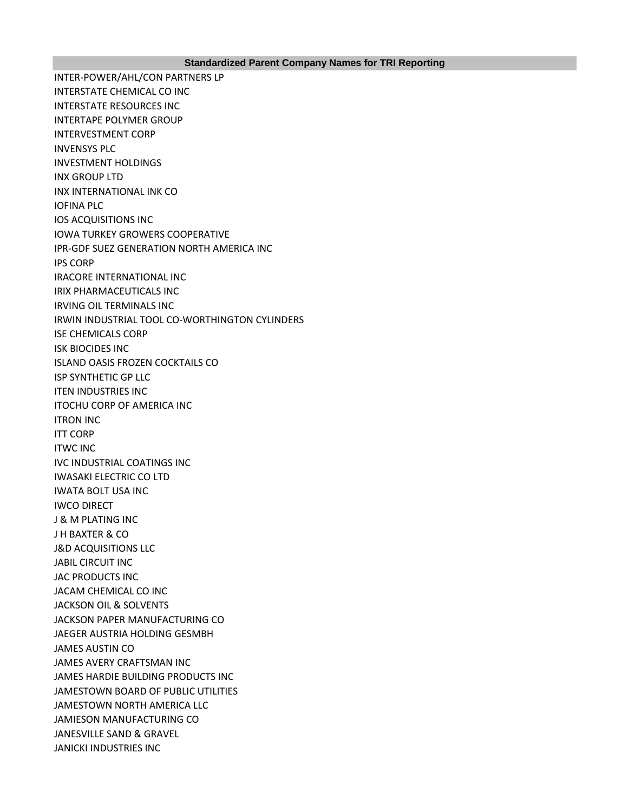INTER-POWER/AHL/CON PARTNERS LP INTERSTATE CHEMICAL CO INC INTERSTATE RESOURCES INC INTERTAPE POLYMER GROUP INTERVESTMENT CORP INVENSYS PLC INVESTMENT HOLDINGS INX GROUP LTD INX INTERNATIONAL INK CO IOFINA PLC IOS ACQUISITIONS INC IOWA TURKEY GROWERS COOPERATIVE IPR-GDF SUEZ GENERATION NORTH AMERICA INC IPS CORP IRACORE INTERNATIONAL INC IRIX PHARMACEUTICALS INC IRVING OIL TERMINALS INC IRWIN INDUSTRIAL TOOL CO-WORTHINGTON CYLINDERS ISE CHEMICALS CORP ISK BIOCIDES INC ISLAND OASIS FROZEN COCKTAILS CO ISP SYNTHETIC GP LLC ITEN INDUSTRIES INC ITOCHU CORP OF AMERICA INC ITRON INC ITT CORP ITWC INC IVC INDUSTRIAL COATINGS INC IWASAKI ELECTRIC CO LTD IWATA BOLT USA INC IWCO DIRECT J & M PLATING INC J H BAXTER & CO J&D ACQUISITIONS LLC JABIL CIRCUIT INC JAC PRODUCTS INC JACAM CHEMICAL CO INC JACKSON OIL & SOLVENTS JACKSON PAPER MANUFACTURING CO JAEGER AUSTRIA HOLDING GESMBH JAMES AUSTIN CO JAMES AVERY CRAFTSMAN INC JAMES HARDIE BUILDING PRODUCTS INC JAMESTOWN BOARD OF PUBLIC UTILITIES JAMESTOWN NORTH AMERICA LLC JAMIESON MANUFACTURING CO JANESVILLE SAND & GRAVEL JANICKI INDUSTRIES INC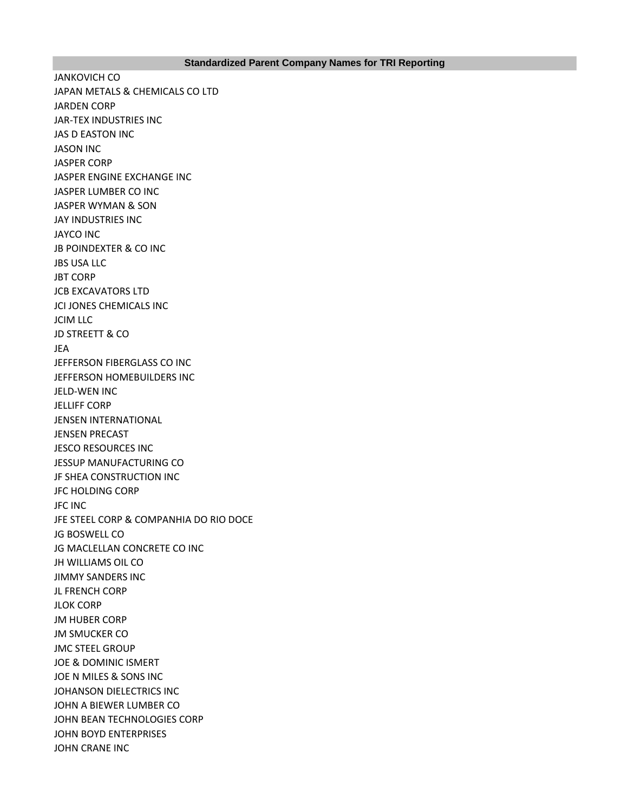JANKOVICH CO JAPAN METALS & CHEMICALS CO LTD JARDEN CORP JAR-TEX INDUSTRIES INC JAS D EASTON INC JASON INC JASPER CORP JASPER ENGINE EXCHANGE INC JASPER LUMBER CO INC JASPER WYMAN & SON JAY INDUSTRIES INC JAYCO INC JB POINDEXTER & CO INC JBS USA LLC JBT CORP JCB EXCAVATORS LTD JCI JONES CHEMICALS INC JCIM LLC JD STREETT & CO JEA JEFFERSON FIBERGLASS CO INC JEFFERSON HOMEBUILDERS INC JELD-WEN INC JELLIFF CORP JENSEN INTERNATIONAL JENSEN PRECAST JESCO RESOURCES INC JESSUP MANUFACTURING CO JF SHEA CONSTRUCTION INC JFC HOLDING CORP JFC INC JFE STEEL CORP & COMPANHIA DO RIO DOCE JG BOSWELL CO JG MACLELLAN CONCRETE CO INC JH WILLIAMS OIL CO JIMMY SANDERS INC JL FRENCH CORP JLOK CORP JM HUBER CORP JM SMUCKER CO JMC STEEL GROUP JOE & DOMINIC ISMERT JOE N MILES & SONS INC JOHANSON DIELECTRICS INC JOHN A BIEWER LUMBER CO JOHN BEAN TECHNOLOGIES CORP JOHN BOYD ENTERPRISES JOHN CRANE INC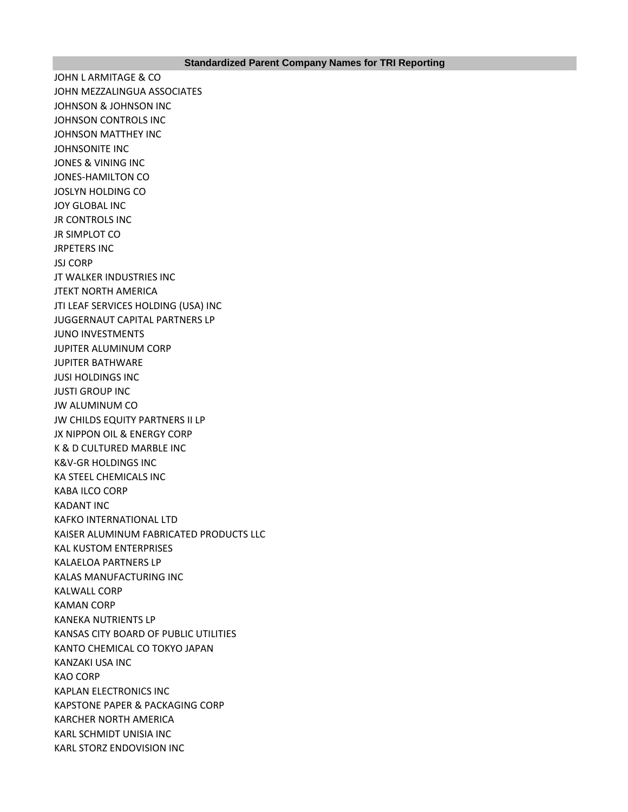JOHN L ARMITAGE & CO JOHN MEZZALINGUA ASSOCIATES JOHNSON & JOHNSON INC JOHNSON CONTROLS INC JOHNSON MATTHEY INC JOHNSONITE INC JONES & VINING INC JONES-HAMILTON CO JOSLYN HOLDING CO JOY GLOBAL INC JR CONTROLS INC JR SIMPLOT CO JRPETERS INC JSJ CORP JT WALKER INDUSTRIES INC JTEKT NORTH AMERICA JTI LEAF SERVICES HOLDING (USA) INC JUGGERNAUT CAPITAL PARTNERS LP JUNO INVESTMENTS JUPITER ALUMINUM CORP JUPITER BATHWARE JUSI HOLDINGS INC JUSTI GROUP INC JW ALUMINUM CO JW CHILDS EQUITY PARTNERS II LP JX NIPPON OIL & ENERGY CORP K & D CULTURED MARBLE INC K&V-GR HOLDINGS INC KA STEEL CHEMICALS INC KABA ILCO CORP KADANT INC KAFKO INTERNATIONAL LTD KAISER ALUMINUM FABRICATED PRODUCTS LLC KAL KUSTOM ENTERPRISES KALAELOA PARTNERS LP KALAS MANUFACTURING INC KALWALL CORP KAMAN CORP KANEKA NUTRIENTS LP KANSAS CITY BOARD OF PUBLIC UTILITIES KANTO CHEMICAL CO TOKYO JAPAN KANZAKI USA INC KAO CORP KAPLAN ELECTRONICS INC KAPSTONE PAPER & PACKAGING CORP KARCHER NORTH AMERICA KARL SCHMIDT UNISIA INC KARL STORZ ENDOVISION INC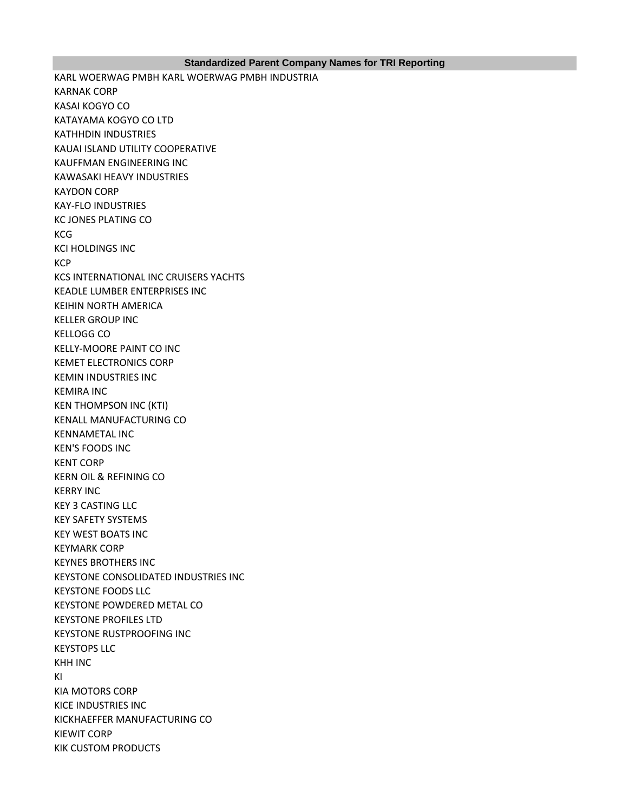## **Standardized Parent Company Names for TRI Reporting**

KARL WOERWAG PMBH KARL WOERWAG PMBH INDUSTRIA KARNAK CORP KASAI KOGYO CO KATAYAMA KOGYO CO LTD KATHHDIN INDUSTRIES KAUAI ISLAND UTILITY COOPERATIVE KAUFFMAN ENGINEERING INC KAWASAKI HEAVY INDUSTRIES KAYDON CORP KAY-FLO INDUSTRIES KC JONES PLATING CO **KCG** KCI HOLDINGS INC **KCP** KCS INTERNATIONAL INC CRUISERS YACHTS KEADLE LUMBER ENTERPRISES INC KEIHIN NORTH AMERICA KELLER GROUP INC KELLOGG CO KELLY-MOORE PAINT CO INC KEMET ELECTRONICS CORP KEMIN INDUSTRIES INC KEMIRA INC KEN THOMPSON INC (KTI) KENALL MANUFACTURING CO KENNAMETAL INC KEN'S FOODS INC KENT CORP KERN OIL & REFINING CO KERRY INC KEY 3 CASTING LLC KEY SAFETY SYSTEMS KEY WEST BOATS INC KEYMARK CORP KEYNES BROTHERS INC KEYSTONE CONSOLIDATED INDUSTRIES INC KEYSTONE FOODS LLC KEYSTONE POWDERED METAL CO KEYSTONE PROFILES LTD KEYSTONE RUSTPROOFING INC KEYSTOPS LLC KHH INC KI KIA MOTORS CORP KICE INDUSTRIES INC KICKHAEFFER MANUFACTURING CO KIEWIT CORP KIK CUSTOM PRODUCTS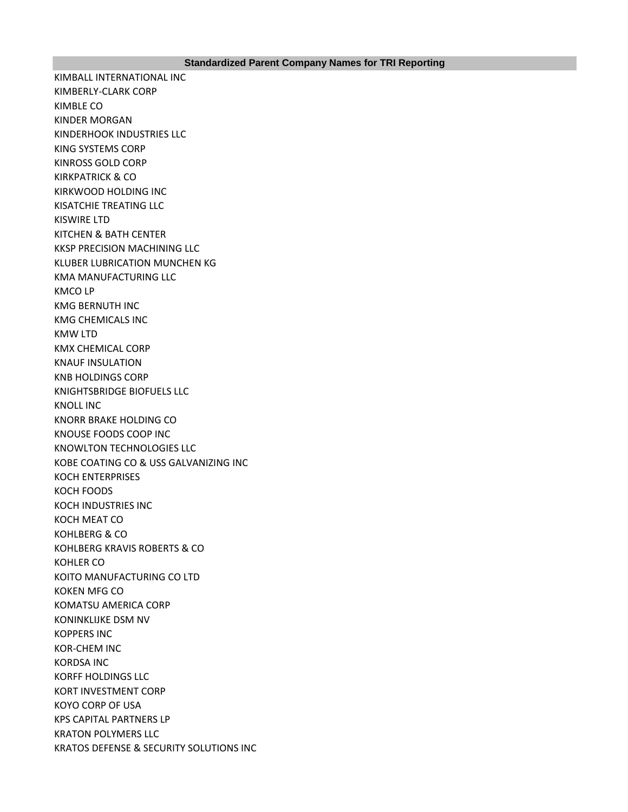KIMBALL INTERNATIONAL INC KIMBERLY-CLARK CORP KIMBLE CO KINDER MORGAN KINDERHOOK INDUSTRIES LLC KING SYSTEMS CORP KINROSS GOLD CORP KIRKPATRICK & CO KIRKWOOD HOLDING INC KISATCHIE TREATING LLC KISWIRE LTD KITCHEN & BATH CENTER KKSP PRECISION MACHINING LLC KLUBER LUBRICATION MUNCHEN KG KMA MANUFACTURING LLC KMCO LP KMG BERNUTH INC KMG CHEMICALS INC KMW LTD KMX CHEMICAL CORP KNAUF INSULATION KNB HOLDINGS CORP KNIGHTSBRIDGE BIOFUELS LLC KNOLL INC KNORR BRAKE HOLDING CO KNOUSE FOODS COOP INC KNOWLTON TECHNOLOGIES LLC KOBE COATING CO & USS GALVANIZING INC KOCH ENTERPRISES KOCH FOODS KOCH INDUSTRIES INC KOCH MEAT CO KOHLBERG & CO KOHLBERG KRAVIS ROBERTS & CO KOHLER CO KOITO MANUFACTURING CO LTD KOKEN MFG CO KOMATSU AMERICA CORP KONINKLIJKE DSM NV KOPPERS INC KOR-CHEM INC KORDSA INC KORFF HOLDINGS LLC KORT INVESTMENT CORP KOYO CORP OF USA KPS CAPITAL PARTNERS LP KRATON POLYMERS LLC KRATOS DEFENSE & SECURITY SOLUTIONS INC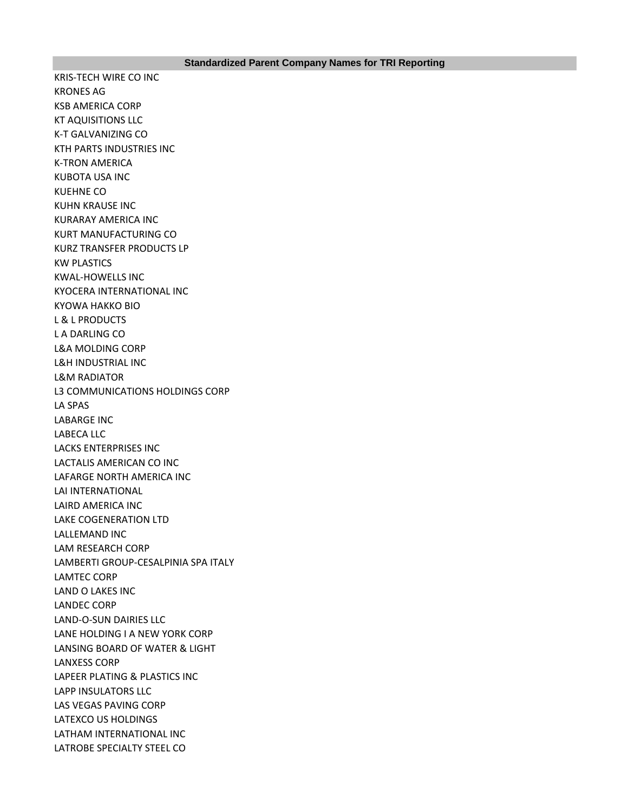KRIS-TECH WIRE CO INC KRONES AG KSB AMERICA CORP KT AQUISITIONS LLC K-T GALVANIZING CO KTH PARTS INDUSTRIES INC K-TRON AMERICA KUBOTA USA INC KUEHNE CO KUHN KRAUSE INC KURARAY AMERICA INC KURT MANUFACTURING CO KURZ TRANSFER PRODUCTS LP KW PLASTICS KWAL-HOWELLS INC KYOCERA INTERNATIONAL INC KYOWA HAKKO BIO L & L PRODUCTS L A DARLING CO L&A MOLDING CORP L&H INDUSTRIAL INC L&M RADIATOR L3 COMMUNICATIONS HOLDINGS CORP LA SPAS LABARGE INC LABECA LLC LACKS ENTERPRISES INC LACTALIS AMERICAN CO INC LAFARGE NORTH AMERICA INC LAI INTERNATIONAL LAIRD AMERICA INC LAKE COGENERATION LTD LALLEMAND INC LAM RESEARCH CORP LAMBERTI GROUP-CESALPINIA SPA ITALY LAMTEC CORP LAND O LAKES INC LANDEC CORP LAND-O-SUN DAIRIES LLC LANE HOLDING I A NEW YORK CORP LANSING BOARD OF WATER & LIGHT LANXESS CORP LAPEER PLATING & PLASTICS INC LAPP INSULATORS LLC LAS VEGAS PAVING CORP LATEXCO US HOLDINGS LATHAM INTERNATIONAL INC LATROBE SPECIALTY STEEL CO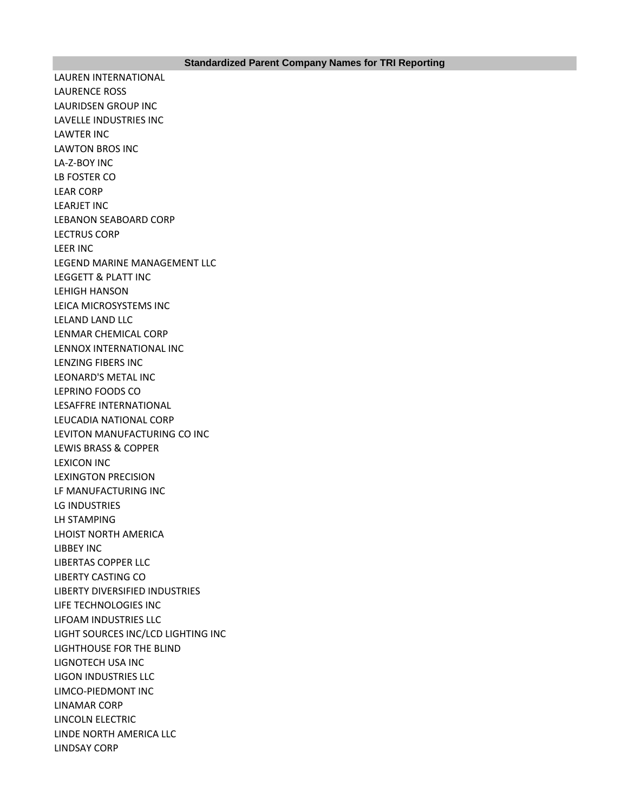LAUREN INTERNATIONAL LAURENCE ROSS LAURIDSEN GROUP INC LAVELLE INDUSTRIES INC LAWTER INC LAWTON BROS INC LA-Z-BOY INC LB FOSTER CO LEAR CORP LEARJET INC LEBANON SEABOARD CORP LECTRUS CORP LEER INC LEGEND MARINE MANAGEMENT LLC LEGGETT & PLATT INC LEHIGH HANSON LEICA MICROSYSTEMS INC LELAND LAND LLC LENMAR CHEMICAL CORP LENNOX INTERNATIONAL INC LENZING FIBERS INC LEONARD'S METAL INC LEPRINO FOODS CO LESAFFRE INTERNATIONAL LEUCADIA NATIONAL CORP LEVITON MANUFACTURING CO INC LEWIS BRASS & COPPER LEXICON INC LEXINGTON PRECISION LF MANUFACTURING INC LG INDUSTRIES LH STAMPING LHOIST NORTH AMERICA LIBBEY INC LIBERTAS COPPER LLC LIBERTY CASTING CO LIBERTY DIVERSIFIED INDUSTRIES LIFE TECHNOLOGIES INC LIFOAM INDUSTRIES LLC LIGHT SOURCES INC/LCD LIGHTING INC LIGHTHOUSE FOR THE BLIND LIGNOTECH USA INC LIGON INDUSTRIES LLC LIMCO-PIEDMONT INC LINAMAR CORP LINCOLN ELECTRIC LINDE NORTH AMERICA LLC LINDSAY CORP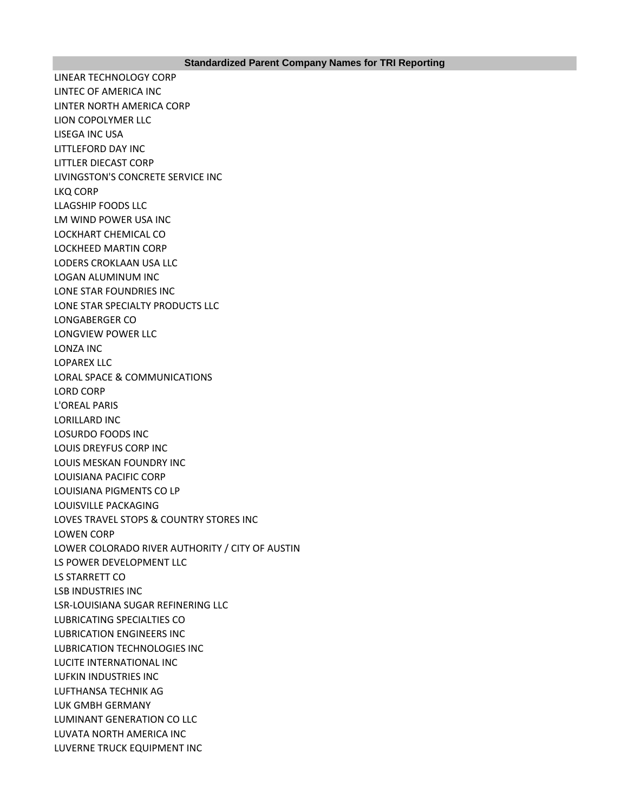LINEAR TECHNOLOGY CORP LINTEC OF AMERICA INC LINTER NORTH AMERICA CORP LION COPOLYMER LLC LISEGA INC USA LITTLEFORD DAY INC LITTLER DIECAST CORP LIVINGSTON'S CONCRETE SERVICE INC LKQ CORP LLAGSHIP FOODS LLC LM WIND POWER USA INC LOCKHART CHEMICAL CO LOCKHEED MARTIN CORP LODERS CROKLAAN USA LLC LOGAN ALUMINUM INC LONE STAR FOUNDRIES INC LONE STAR SPECIALTY PRODUCTS LLC LONGABERGER CO LONGVIEW POWER LLC LONZA INC LOPAREX LLC LORAL SPACE & COMMUNICATIONS LORD CORP L'OREAL PARIS LORILLARD INC LOSURDO FOODS INC LOUIS DREYFUS CORP INC LOUIS MESKAN FOUNDRY INC LOUISIANA PACIFIC CORP LOUISIANA PIGMENTS CO LP LOUISVILLE PACKAGING LOVES TRAVEL STOPS & COUNTRY STORES INC LOWEN CORP LOWER COLORADO RIVER AUTHORITY / CITY OF AUSTIN LS POWER DEVELOPMENT LLC LS STARRETT CO LSB INDUSTRIES INC LSR-LOUISIANA SUGAR REFINERING LLC LUBRICATING SPECIALTIES CO LUBRICATION ENGINEERS INC LUBRICATION TECHNOLOGIES INC LUCITE INTERNATIONAL INC LUFKIN INDUSTRIES INC LUFTHANSA TECHNIK AG LUK GMBH GERMANY LUMINANT GENERATION CO LLC LUVATA NORTH AMERICA INC LUVERNE TRUCK EQUIPMENT INC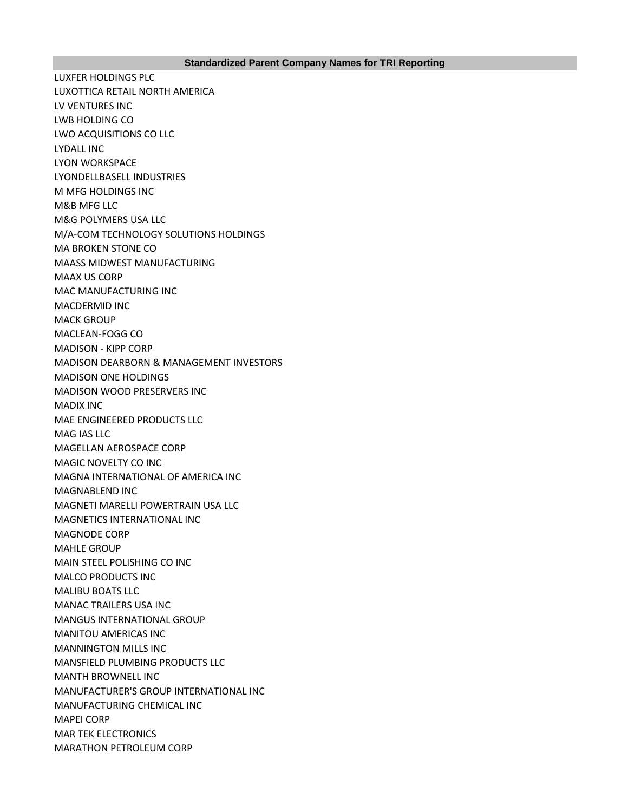LUXFER HOLDINGS PLC LUXOTTICA RETAIL NORTH AMERICA LV VENTURES INC LWB HOLDING CO LWO ACQUISITIONS CO LLC LYDALL INC LYON WORKSPACE LYONDELLBASELL INDUSTRIES M MFG HOLDINGS INC M&B MFG LLC M&G POLYMERS USA LLC M/A-COM TECHNOLOGY SOLUTIONS HOLDINGS MA BROKEN STONE CO MAASS MIDWEST MANUFACTURING MAAX US CORP MAC MANUFACTURING INC MACDERMID INC MACK GROUP MACLEAN-FOGG CO MADISON - KIPP CORP MADISON DEARBORN & MANAGEMENT INVESTORS MADISON ONE HOLDINGS MADISON WOOD PRESERVERS INC MADIX INC MAE ENGINEERED PRODUCTS LLC MAG IAS LLC MAGELLAN AEROSPACE CORP MAGIC NOVELTY CO INC MAGNA INTERNATIONAL OF AMERICA INC MAGNABLEND INC MAGNETI MARELLI POWERTRAIN USA LLC MAGNETICS INTERNATIONAL INC MAGNODE CORP MAHLE GROUP MAIN STEEL POLISHING CO INC MALCO PRODUCTS INC MALIBU BOATS LLC MANAC TRAILERS USA INC MANGUS INTERNATIONAL GROUP MANITOU AMERICAS INC MANNINGTON MILLS INC MANSFIELD PLUMBING PRODUCTS LLC MANTH BROWNELL INC MANUFACTURER'S GROUP INTERNATIONAL INC MANUFACTURING CHEMICAL INC MAPEI CORP MAR TEK ELECTRONICS MARATHON PETROLEUM CORP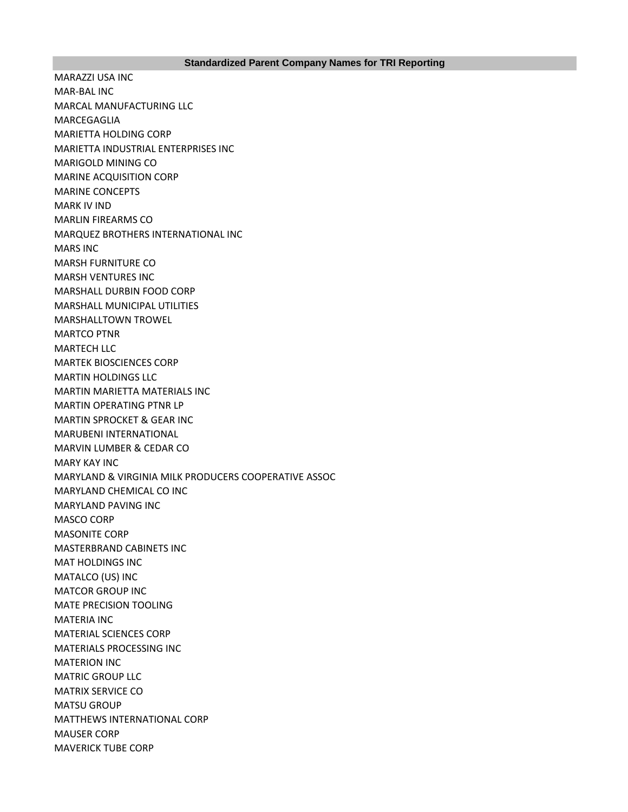## **Standardized Parent Company Names for TRI Reporting**

MARAZZI USA INC MAR-BAL INC MARCAL MANUFACTURING LLC MARCEGAGLIA MARIETTA HOLDING CORP MARIETTA INDUSTRIAL ENTERPRISES INC MARIGOLD MINING CO MARINE ACQUISITION CORP MARINE CONCEPTS MARK IV IND MARLIN FIREARMS CO MARQUEZ BROTHERS INTERNATIONAL INC MARS INC MARSH FURNITURE CO MARSH VENTURES INC MARSHALL DURBIN FOOD CORP MARSHALL MUNICIPAL UTILITIES MARSHALLTOWN TROWEL MARTCO PTNR MARTECH LLC MARTEK BIOSCIENCES CORP MARTIN HOLDINGS LLC MARTIN MARIETTA MATERIALS INC MARTIN OPERATING PTNR LP MARTIN SPROCKET & GEAR INC MARUBENI INTERNATIONAL MARVIN LUMBER & CEDAR CO MARY KAY INC MARYLAND & VIRGINIA MILK PRODUCERS COOPERATIVE ASSOC MARYLAND CHEMICAL CO INC MARYLAND PAVING INC MASCO CORP MASONITE CORP MASTERBRAND CABINETS INC MAT HOLDINGS INC MATALCO (US) INC MATCOR GROUP INC MATE PRECISION TOOLING MATERIA INC MATERIAL SCIENCES CORP MATERIALS PROCESSING INC MATERION INC MATRIC GROUP LLC MATRIX SERVICE CO MATSU GROUP MATTHEWS INTERNATIONAL CORP MAUSER CORP MAVERICK TUBE CORP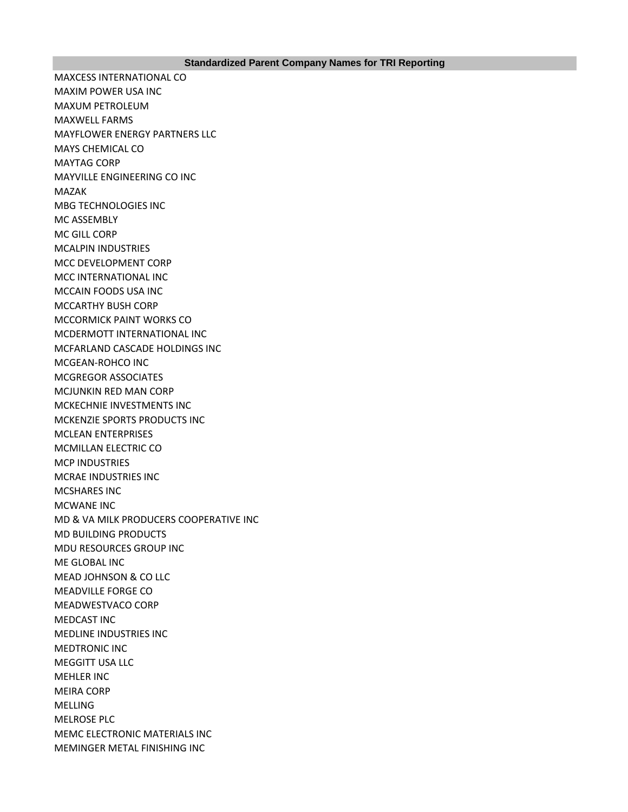MAXCESS INTERNATIONAL CO MAXIM POWER USA INC MAXUM PETROLEUM MAXWELL FARMS MAYFLOWER ENERGY PARTNERS LLC MAYS CHEMICAL CO MAYTAG CORP MAYVILLE ENGINEERING CO INC MAZAK MBG TECHNOLOGIES INC MC ASSEMBLY MC GILL CORP MCALPIN INDUSTRIES MCC DEVELOPMENT CORP MCC INTERNATIONAL INC MCCAIN FOODS USA INC MCCARTHY BUSH CORP MCCORMICK PAINT WORKS CO MCDERMOTT INTERNATIONAL INC MCFARLAND CASCADE HOLDINGS INC MCGEAN-ROHCO INC MCGREGOR ASSOCIATES MCJUNKIN RED MAN CORP MCKECHNIE INVESTMENTS INC MCKENZIE SPORTS PRODUCTS INC MCLEAN ENTERPRISES MCMILLAN ELECTRIC CO MCP INDUSTRIES MCRAE INDUSTRIES INC MCSHARES INC MCWANE INC MD & VA MILK PRODUCERS COOPERATIVE INC MD BUILDING PRODUCTS MDU RESOURCES GROUP INC ME GLOBAL INC MEAD JOHNSON & CO LLC MEADVILLE FORGE CO MEADWESTVACO CORP MEDCAST INC MEDLINE INDUSTRIES INC MEDTRONIC INC MEGGITT USA LLC MEHLER INC MEIRA CORP MELLING MELROSE PLC MEMC ELECTRONIC MATERIALS INC MEMINGER METAL FINISHING INC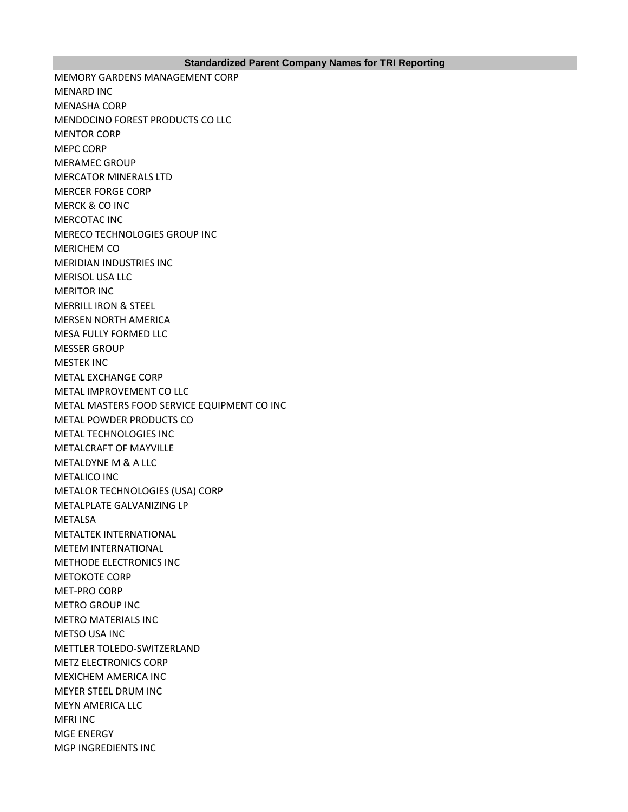MEMORY GARDENS MANAGEMENT CORP MENARD INC MENASHA CORP MENDOCINO FOREST PRODUCTS CO LLC MENTOR CORP MEPC CORP MERAMEC GROUP MERCATOR MINERALS LTD MERCER FORGE CORP MERCK & CO INC MERCOTAC INC MERECO TECHNOLOGIES GROUP INC MERICHEM CO MERIDIAN INDUSTRIES INC MERISOL USA LLC MERITOR INC MERRILL IRON & STEEL MERSEN NORTH AMERICA MESA FULLY FORMED LLC MESSER GROUP MESTEK INC METAL EXCHANGE CORP METAL IMPROVEMENT CO LLC METAL MASTERS FOOD SERVICE EQUIPMENT CO INC METAL POWDER PRODUCTS CO METAL TECHNOLOGIES INC METALCRAFT OF MAYVILLE METALDYNE M & A LLC METALICO INC METALOR TECHNOLOGIES (USA) CORP METALPLATE GALVANIZING LP METALSA METALTEK INTERNATIONAL METEM INTERNATIONAL METHODE ELECTRONICS INC METOKOTE CORP MET-PRO CORP METRO GROUP INC METRO MATERIALS INC METSO USA INC METTLER TOLEDO-SWITZERLAND METZ ELECTRONICS CORP MEXICHEM AMERICA INC MEYER STEEL DRUM INC MEYN AMERICA LLC MFRI INC MGE ENERGY MGP INGREDIENTS INC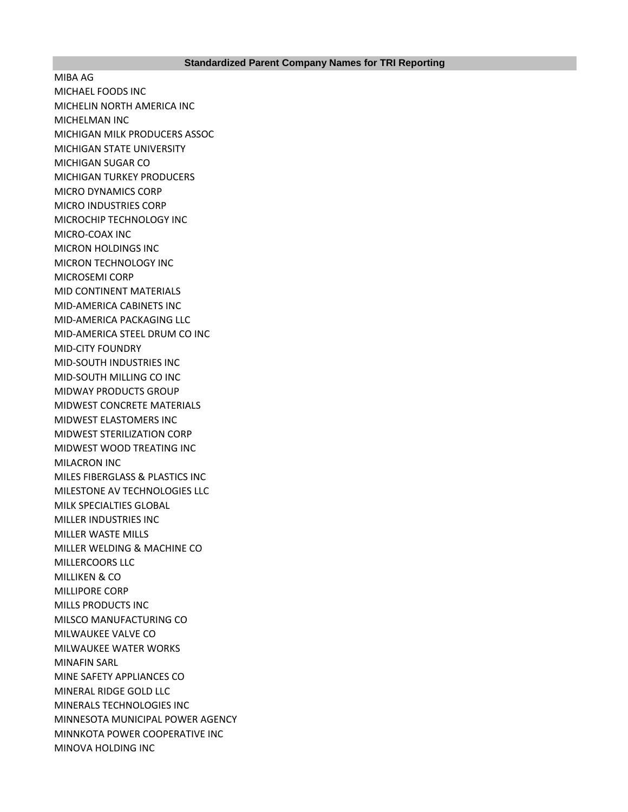MIBA AG MICHAEL FOODS INC MICHELIN NORTH AMERICA INC MICHELMAN INC MICHIGAN MILK PRODUCERS ASSOC MICHIGAN STATE UNIVERSITY MICHIGAN SUGAR CO MICHIGAN TURKEY PRODUCERS MICRO DYNAMICS CORP MICRO INDUSTRIES CORP MICROCHIP TECHNOLOGY INC MICRO-COAX INC MICRON HOLDINGS INC MICRON TECHNOLOGY INC MICROSEMI CORP MID CONTINENT MATERIALS MID-AMERICA CABINETS INC MID-AMERICA PACKAGING LLC MID-AMERICA STEEL DRUM CO INC MID-CITY FOUNDRY MID-SOUTH INDUSTRIES INC MID-SOUTH MILLING CO INC MIDWAY PRODUCTS GROUP MIDWEST CONCRETE MATERIALS MIDWEST ELASTOMERS INC MIDWEST STERILIZATION CORP MIDWEST WOOD TREATING INC MILACRON INC MILES FIBERGLASS & PLASTICS INC MILESTONE AV TECHNOLOGIES LLC MILK SPECIALTIES GLOBAL MILLER INDUSTRIES INC MILLER WASTE MILLS MILLER WELDING & MACHINE CO MILLERCOORS LLC MILLIKEN & CO MILLIPORE CORP MILLS PRODUCTS INC MILSCO MANUFACTURING CO MILWAUKEE VALVE CO MILWAUKEE WATER WORKS MINAFIN SARL MINE SAFETY APPLIANCES CO MINERAL RIDGE GOLD LLC MINERALS TECHNOLOGIES INC MINNESOTA MUNICIPAL POWER AGENCY MINNKOTA POWER COOPERATIVE INC MINOVA HOLDING INC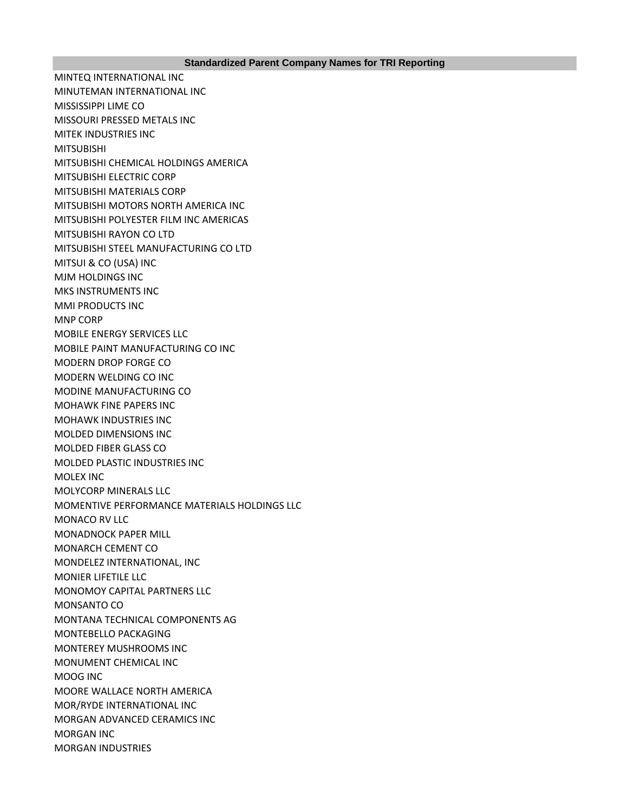MINTEQ INTERNATIONAL INC MINUTEMAN INTERNATIONAL INC MISSISSIPPI LIME CO MISSOURI PRESSED METALS INC MITEK INDUSTRIES INC MITSUBISHI MITSUBISHI CHEMICAL HOLDINGS AMERICA MITSUBISHI ELECTRIC CORP MITSUBISHI MATERIALS CORP MITSUBISHI MOTORS NORTH AMERICA INC MITSUBISHI POLYESTER FILM INC AMERICAS MITSUBISHI RAYON CO LTD MITSUBISHI STEEL MANUFACTURING CO LTD MITSUI & CO (USA) INC MJM HOLDINGS INC MKS INSTRUMENTS INC MMI PRODUCTS INC MNP CORP MOBILE ENERGY SERVICES LLC MOBILE PAINT MANUFACTURING CO INC MODERN DROP FORGE CO MODERN WELDING CO INC MODINE MANUFACTURING CO MOHAWK FINE PAPERS INC MOHAWK INDUSTRIES INC MOLDED DIMENSIONS INC MOLDED FIBER GLASS CO MOLDED PLASTIC INDUSTRIES INC MOLEX INC MOLYCORP MINERALS LLC MOMENTIVE PERFORMANCE MATERIALS HOLDINGS LLC MONACO RV LLC MONADNOCK PAPER MILL MONARCH CEMENT CO MONDELEZ INTERNATIONAL, INC MONIER LIFETILE LLC MONOMOY CAPITAL PARTNERS LLC MONSANTO CO MONTANA TECHNICAL COMPONENTS AG MONTEBELLO PACKAGING MONTEREY MUSHROOMS INC MONUMENT CHEMICAL INC MOOG INC MOORE WALLACE NORTH AMERICA MOR/RYDE INTERNATIONAL INC MORGAN ADVANCED CERAMICS INC MORGAN INC MORGAN INDUSTRIES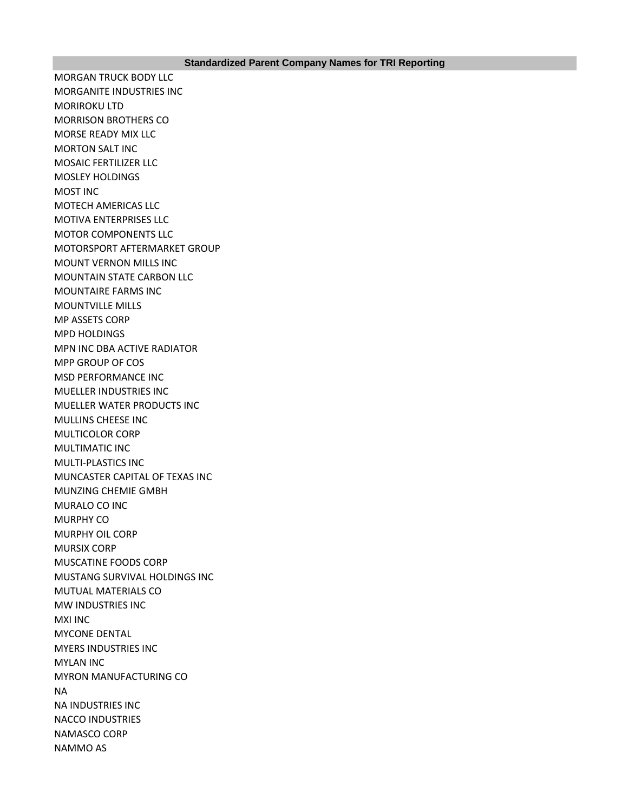MORGAN TRUCK BODY LLC MORGANITE INDUSTRIES INC MORIROKU LTD MORRISON BROTHERS CO MORSE READY MIX LLC MORTON SALT INC MOSAIC FERTILIZER LLC MOSLEY HOLDINGS MOST INC MOTECH AMERICAS LLC MOTIVA ENTERPRISES LLC MOTOR COMPONENTS LLC MOTORSPORT AFTERMARKET GROUP MOUNT VERNON MILLS INC MOUNTAIN STATE CARBON LLC MOUNTAIRE FARMS INC MOUNTVILLE MILLS MP ASSETS CORP MPD HOLDINGS MPN INC DBA ACTIVE RADIATOR MPP GROUP OF COS MSD PERFORMANCE INC MUELLER INDUSTRIES INC MUELLER WATER PRODUCTS INC MULLINS CHEESE INC MULTICOLOR CORP MULTIMATIC INC MULTI-PLASTICS INC MUNCASTER CAPITAL OF TEXAS INC MUNZING CHEMIE GMBH MURALO CO INC MURPHY CO MURPHY OIL CORP MURSIX CORP MUSCATINE FOODS CORP MUSTANG SURVIVAL HOLDINGS INC MUTUAL MATERIALS CO MW INDUSTRIES INC MXI INC MYCONE DENTAL MYERS INDUSTRIES INC MYLAN INC MYRON MANUFACTURING CO NA NA INDUSTRIES INC NACCO INDUSTRIES NAMASCO CORP NAMMO AS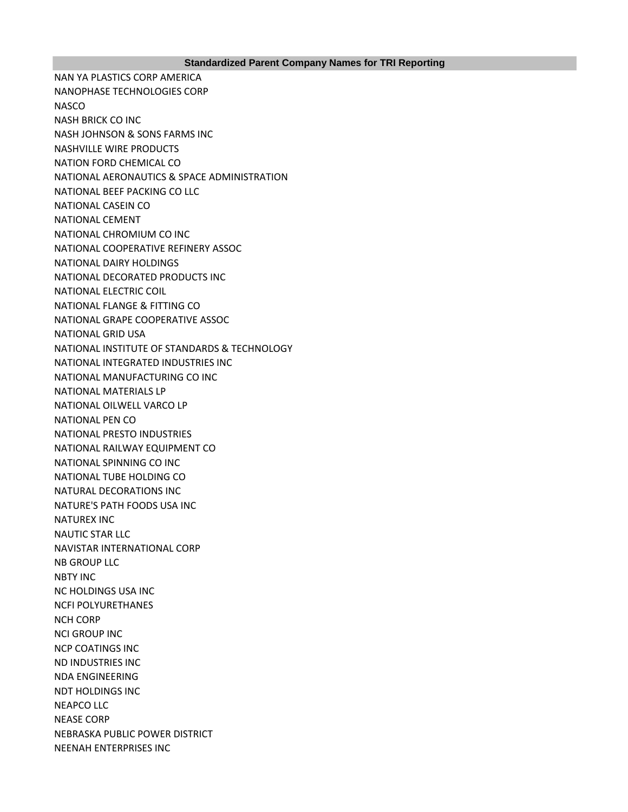## **Standardized Parent Company Names for TRI Reporting**

NAN YA PLASTICS CORP AMERICA NANOPHASE TECHNOLOGIES CORP **NASCO** NASH BRICK CO INC NASH JOHNSON & SONS FARMS INC NASHVILLE WIRE PRODUCTS NATION FORD CHEMICAL CO NATIONAL AERONAUTICS & SPACE ADMINISTRATION NATIONAL BEEF PACKING CO LLC NATIONAL CASEIN CO NATIONAL CEMENT NATIONAL CHROMIUM CO INC NATIONAL COOPERATIVE REFINERY ASSOC NATIONAL DAIRY HOLDINGS NATIONAL DECORATED PRODUCTS INC NATIONAL ELECTRIC COIL NATIONAL FLANGE & FITTING CO NATIONAL GRAPE COOPERATIVE ASSOC NATIONAL GRID USA NATIONAL INSTITUTE OF STANDARDS & TECHNOLOGY NATIONAL INTEGRATED INDUSTRIES INC NATIONAL MANUFACTURING CO INC NATIONAL MATERIALS LP NATIONAL OILWELL VARCO LP NATIONAL PEN CO NATIONAL PRESTO INDUSTRIES NATIONAL RAILWAY EQUIPMENT CO NATIONAL SPINNING CO INC NATIONAL TUBE HOLDING CO NATURAL DECORATIONS INC NATURE'S PATH FOODS USA INC NATUREX INC NAUTIC STAR LLC NAVISTAR INTERNATIONAL CORP NB GROUP LLC NBTY INC NC HOLDINGS USA INC NCFI POLYURETHANES NCH CORP NCI GROUP INC NCP COATINGS INC ND INDUSTRIES INC NDA ENGINEERING NDT HOLDINGS INC NEAPCO LLC NEASE CORP NEBRASKA PUBLIC POWER DISTRICT NEENAH ENTERPRISES INC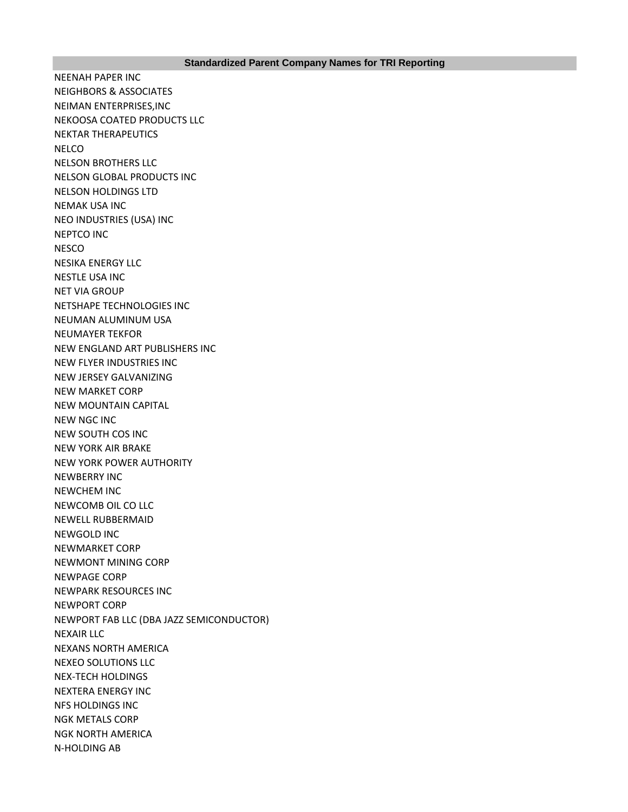NEENAH PAPER INC NEIGHBORS & ASSOCIATES NEIMAN ENTERPRISES,INC NEKOOSA COATED PRODUCTS LLC NEKTAR THERAPEUTICS **NELCO** NELSON BROTHERS LLC NELSON GLOBAL PRODUCTS INC NELSON HOLDINGS LTD NEMAK USA INC NEO INDUSTRIES (USA) INC NEPTCO INC **NESCO** NESIKA ENERGY LLC NESTLE USA INC NET VIA GROUP NETSHAPE TECHNOLOGIES INC NEUMAN ALUMINUM USA NEUMAYER TEKFOR NEW ENGLAND ART PUBLISHERS INC NEW FLYER INDUSTRIES INC NEW JERSEY GALVANIZING NEW MARKET CORP NEW MOUNTAIN CAPITAL NEW NGC INC NEW SOUTH COS INC NEW YORK AIR BRAKE NEW YORK POWER AUTHORITY NEWBERRY INC NEWCHEM INC NEWCOMB OIL CO LLC NEWELL RUBBERMAID NEWGOLD INC NEWMARKET CORP NEWMONT MINING CORP NEWPAGE CORP NEWPARK RESOURCES INC NEWPORT CORP NEWPORT FAB LLC (DBA JAZZ SEMICONDUCTOR) NEXAIR LLC NEXANS NORTH AMERICA NEXEO SOLUTIONS LLC NEX-TECH HOLDINGS NEXTERA ENERGY INC NFS HOLDINGS INC NGK METALS CORP NGK NORTH AMERICA N-HOLDING AB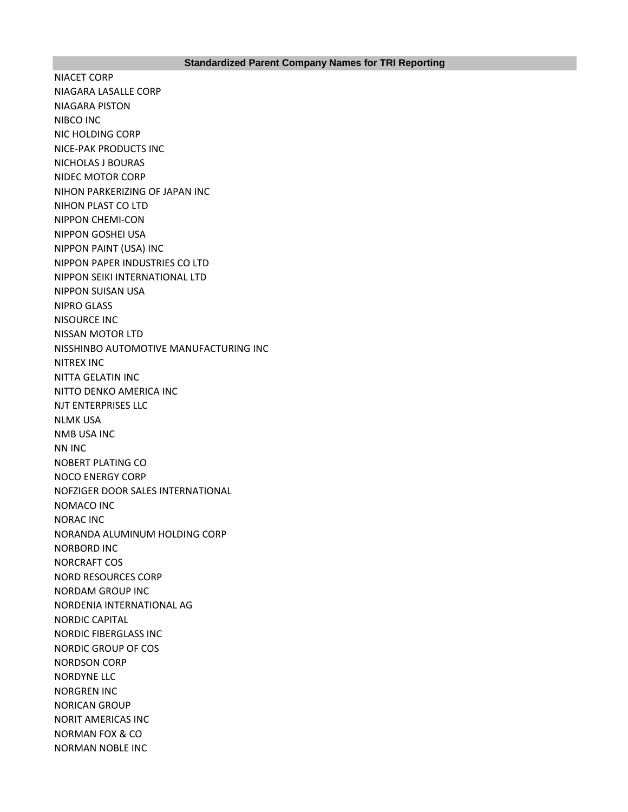NIACET CORP NIAGARA LASALLE CORP NIAGARA PISTON NIBCO INC NIC HOLDING CORP NICE-PAK PRODUCTS INC NICHOLAS J BOURAS NIDEC MOTOR CORP NIHON PARKERIZING OF JAPAN INC NIHON PLAST CO LTD NIPPON CHEMI-CON NIPPON GOSHEI USA NIPPON PAINT (USA) INC NIPPON PAPER INDUSTRIES CO LTD NIPPON SEIKI INTERNATIONAL LTD NIPPON SUISAN USA NIPRO GLASS NISOURCE INC NISSAN MOTOR LTD NISSHINBO AUTOMOTIVE MANUFACTURING INC NITREX INC NITTA GELATIN INC NITTO DENKO AMERICA INC NJT ENTERPRISES LLC NLMK USA NMB USA INC NN INC NOBERT PLATING CO NOCO ENERGY CORP NOFZIGER DOOR SALES INTERNATIONAL NOMACO INC NORAC INC NORANDA ALUMINUM HOLDING CORP NORBORD INC NORCRAFT COS NORD RESOURCES CORP NORDAM GROUP INC NORDENIA INTERNATIONAL AG NORDIC CAPITAL NORDIC FIBERGLASS INC NORDIC GROUP OF COS NORDSON CORP NORDYNE LLC NORGREN INC NORICAN GROUP NORIT AMERICAS INC NORMAN FOX & CO NORMAN NOBLE INC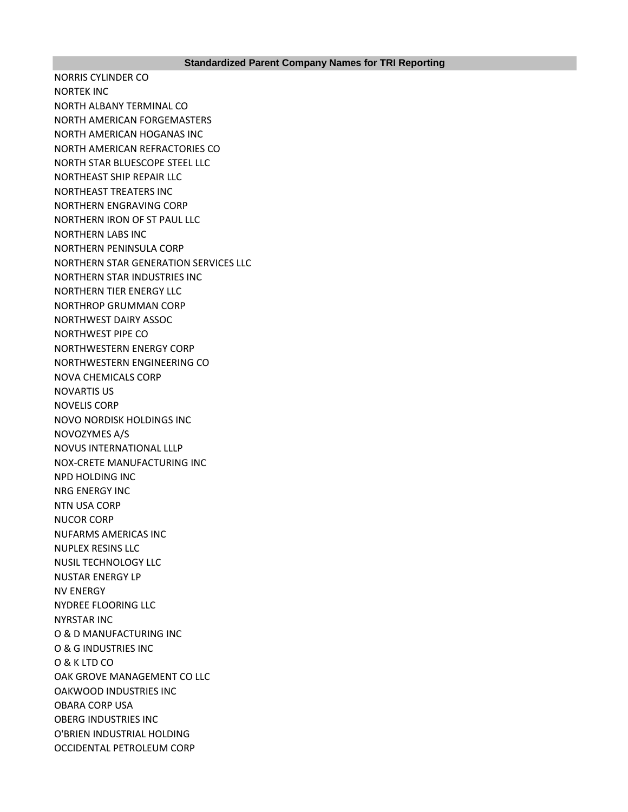NORRIS CYLINDER CO NORTEK INC NORTH ALBANY TERMINAL CO NORTH AMERICAN FORGEMASTERS NORTH AMERICAN HOGANAS INC NORTH AMERICAN REFRACTORIES CO NORTH STAR BLUESCOPE STEEL LLC NORTHEAST SHIP REPAIR LLC NORTHEAST TREATERS INC NORTHERN ENGRAVING CORP NORTHERN IRON OF ST PAUL LLC NORTHERN LABS INC NORTHERN PENINSULA CORP NORTHERN STAR GENERATION SERVICES LLC NORTHERN STAR INDUSTRIES INC NORTHERN TIER ENERGY LLC NORTHROP GRUMMAN CORP NORTHWEST DAIRY ASSOC NORTHWEST PIPE CO NORTHWESTERN ENERGY CORP NORTHWESTERN ENGINEERING CO NOVA CHEMICALS CORP NOVARTIS US NOVELIS CORP NOVO NORDISK HOLDINGS INC NOVOZYMES A/S NOVUS INTERNATIONAL LLLP NOX-CRETE MANUFACTURING INC NPD HOLDING INC NRG ENERGY INC NTN USA CORP NUCOR CORP NUFARMS AMERICAS INC NUPLEX RESINS LLC NUSIL TECHNOLOGY LLC NUSTAR ENERGY LP NV ENERGY NYDREE FLOORING LLC NYRSTAR INC O & D MANUFACTURING INC O & G INDUSTRIES INC O & K LTD CO OAK GROVE MANAGEMENT CO LLC OAKWOOD INDUSTRIES INC OBARA CORP USA OBERG INDUSTRIES INC O'BRIEN INDUSTRIAL HOLDING OCCIDENTAL PETROLEUM CORP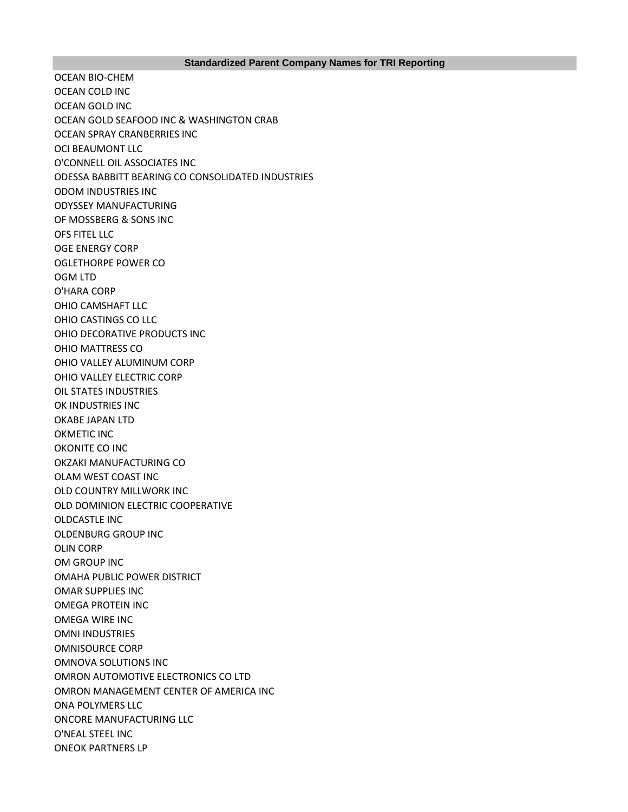OCEAN BIO-CHEM OCEAN COLD INC OCEAN GOLD INC OCEAN GOLD SEAFOOD INC & WASHINGTON CRAB OCEAN SPRAY CRANBERRIES INC OCI BEAUMONT LLC O'CONNELL OIL ASSOCIATES INC ODESSA BABBITT BEARING CO CONSOLIDATED INDUSTRIES ODOM INDUSTRIES INC ODYSSEY MANUFACTURING OF MOSSBERG & SONS INC OFS FITEL LLC OGE ENERGY CORP OGLETHORPE POWER CO OGM LTD O'HARA CORP OHIO CAMSHAFT LLC OHIO CASTINGS CO LLC OHIO DECORATIVE PRODUCTS INC OHIO MATTRESS CO OHIO VALLEY ALUMINUM CORP OHIO VALLEY ELECTRIC CORP OIL STATES INDUSTRIES OK INDUSTRIES INC OKABE JAPAN LTD OKMETIC INC OKONITE CO INC OKZAKI MANUFACTURING CO OLAM WEST COAST INC OLD COUNTRY MILLWORK INC OLD DOMINION ELECTRIC COOPERATIVE OLDCASTLE INC OLDENBURG GROUP INC OLIN CORP OM GROUP INC OMAHA PUBLIC POWER DISTRICT OMAR SUPPLIES INC OMEGA PROTEIN INC OMEGA WIRE INC OMNI INDUSTRIES OMNISOURCE CORP OMNOVA SOLUTIONS INC OMRON AUTOMOTIVE ELECTRONICS CO LTD OMRON MANAGEMENT CENTER OF AMERICA INC ONA POLYMERS LLC ONCORE MANUFACTURING LLC O'NEAL STEEL INC ONEOK PARTNERS LP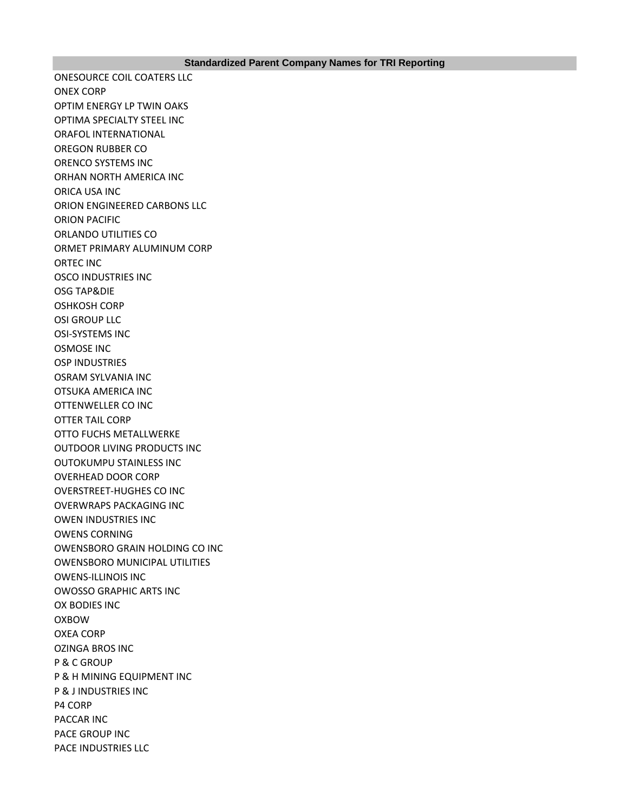ONESOURCE COIL COATERS LLC ONEX CORP OPTIM ENERGY LP TWIN OAKS OPTIMA SPECIALTY STEEL INC ORAFOL INTERNATIONAL OREGON RUBBER CO ORENCO SYSTEMS INC ORHAN NORTH AMERICA INC ORICA USA INC ORION ENGINEERED CARBONS LLC ORION PACIFIC ORLANDO UTILITIES CO ORMET PRIMARY ALUMINUM CORP ORTEC INC OSCO INDUSTRIES INC OSG TAP&DIE OSHKOSH CORP OSI GROUP LLC OSI-SYSTEMS INC OSMOSE INC OSP INDUSTRIES OSRAM SYLVANIA INC OTSUKA AMERICA INC OTTENWELLER CO INC OTTER TAIL CORP OTTO FUCHS METALLWERKE OUTDOOR LIVING PRODUCTS INC OUTOKUMPU STAINLESS INC OVERHEAD DOOR CORP OVERSTREET-HUGHES CO INC OVERWRAPS PACKAGING INC OWEN INDUSTRIES INC OWENS CORNING OWENSBORO GRAIN HOLDING CO INC OWENSBORO MUNICIPAL UTILITIES OWENS-ILLINOIS INC OWOSSO GRAPHIC ARTS INC OX BODIES INC OXBOW OXEA CORP OZINGA BROS INC P & C GROUP P & H MINING EQUIPMENT INC P & J INDUSTRIES INC P4 CORP PACCAR INC PACE GROUP INC PACE INDUSTRIES LLC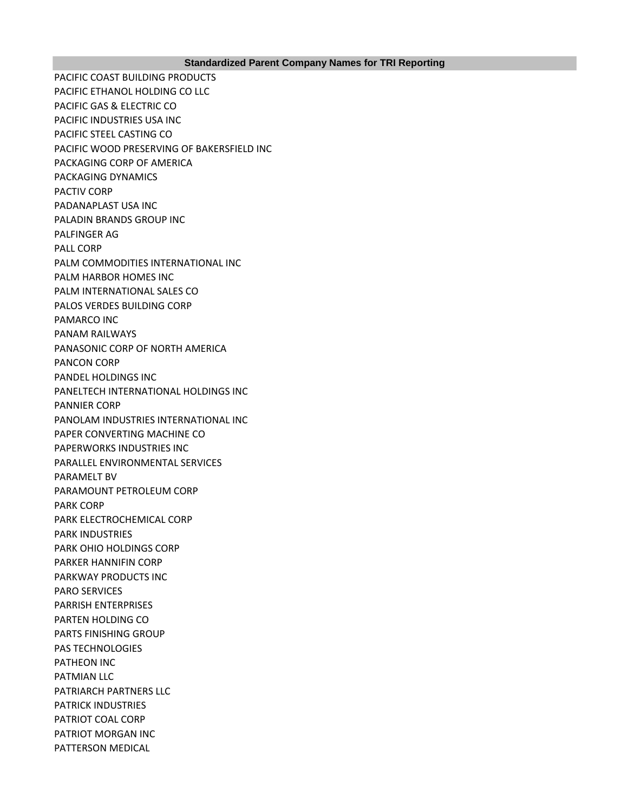PACIFIC COAST BUILDING PRODUCTS PACIFIC ETHANOL HOLDING CO LLC PACIFIC GAS & ELECTRIC CO PACIFIC INDUSTRIES USA INC PACIFIC STEEL CASTING CO PACIFIC WOOD PRESERVING OF BAKERSFIELD INC PACKAGING CORP OF AMERICA PACKAGING DYNAMICS PACTIV CORP PADANAPLAST USA INC PALADIN BRANDS GROUP INC PALFINGER AG PALL CORP PALM COMMODITIES INTERNATIONAL INC PALM HARBOR HOMES INC PALM INTERNATIONAL SALES CO PALOS VERDES BUILDING CORP PAMARCO INC PANAM RAILWAYS PANASONIC CORP OF NORTH AMERICA PANCON CORP PANDEL HOLDINGS INC PANELTECH INTERNATIONAL HOLDINGS INC PANNIER CORP PANOLAM INDUSTRIES INTERNATIONAL INC PAPER CONVERTING MACHINE CO PAPERWORKS INDUSTRIES INC PARALLEL ENVIRONMENTAL SERVICES PARAMELT BV PARAMOUNT PETROLEUM CORP PARK CORP PARK ELECTROCHEMICAL CORP PARK INDUSTRIES PARK OHIO HOLDINGS CORP PARKER HANNIFIN CORP PARKWAY PRODUCTS INC PARO SERVICES PARRISH ENTERPRISES PARTEN HOLDING CO PARTS FINISHING GROUP PAS TECHNOLOGIES PATHEON INC PATMIAN LLC PATRIARCH PARTNERS LLC PATRICK INDUSTRIES PATRIOT COAL CORP PATRIOT MORGAN INC PATTERSON MEDICAL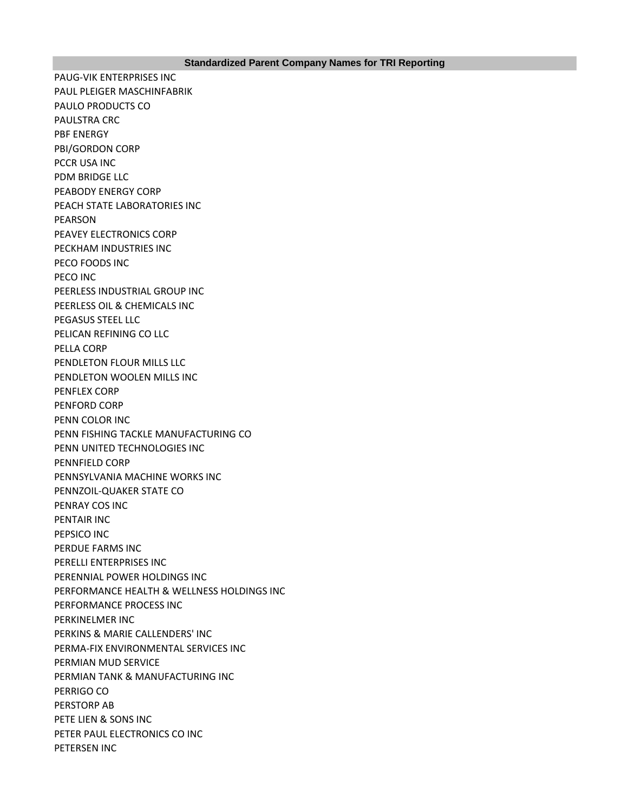PAUG-VIK ENTERPRISES INC PAUL PLEIGER MASCHINFABRIK PAULO PRODUCTS CO PAULSTRA CRC PBF ENERGY PBI/GORDON CORP PCCR USA INC PDM BRIDGE LLC PEABODY ENERGY CORP PEACH STATE LABORATORIES INC PEARSON PEAVEY ELECTRONICS CORP PECKHAM INDUSTRIES INC PECO FOODS INC PECO INC PEERLESS INDUSTRIAL GROUP INC PEERLESS OIL & CHEMICALS INC PEGASUS STEEL LLC PELICAN REFINING CO LLC PELLA CORP PENDLETON FLOUR MILLS LLC PENDLETON WOOLEN MILLS INC PENFLEX CORP PENFORD CORP PENN COLOR INC PENN FISHING TACKLE MANUFACTURING CO PENN UNITED TECHNOLOGIES INC PENNFIELD CORP PENNSYLVANIA MACHINE WORKS INC PENNZOIL-QUAKER STATE CO PENRAY COS INC PENTAIR INC PEPSICO INC PERDUE FARMS INC PERELLI ENTERPRISES INC PERENNIAL POWER HOLDINGS INC PERFORMANCE HEALTH & WELLNESS HOLDINGS INC PERFORMANCE PROCESS INC PERKINELMER INC PERKINS & MARIE CALLENDERS' INC PERMA-FIX ENVIRONMENTAL SERVICES INC PERMIAN MUD SERVICE PERMIAN TANK & MANUFACTURING INC PERRIGO CO PERSTORP AB PETE LIEN & SONS INC PETER PAUL ELECTRONICS CO INC PETERSEN INC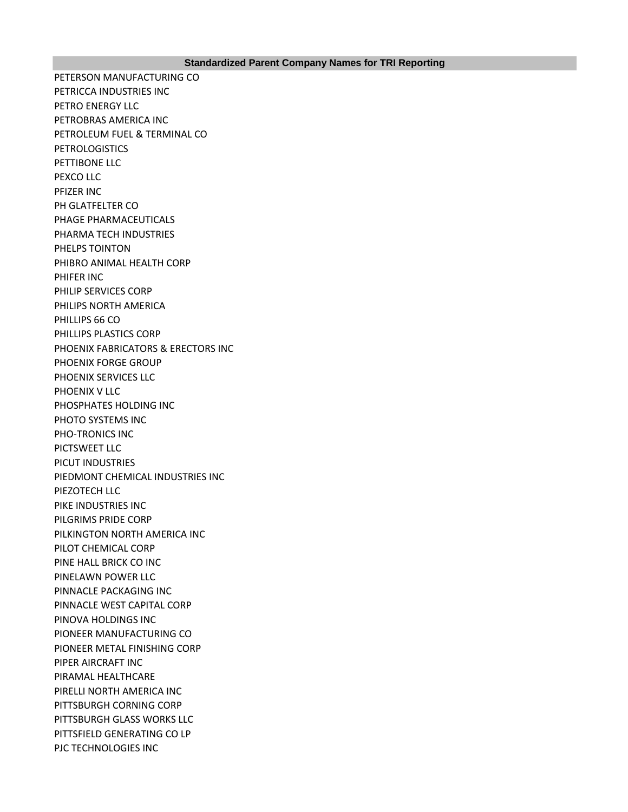PETERSON MANUFACTURING CO PETRICCA INDUSTRIES INC PETRO ENERGY LLC PETROBRAS AMERICA INC PETROLEUM FUEL & TERMINAL CO **PETROLOGISTICS** PETTIBONE LLC PEXCO LLC PFIZER INC PH GLATFELTER CO PHAGE PHARMACEUTICALS PHARMA TECH INDUSTRIES PHELPS TOINTON PHIBRO ANIMAL HEALTH CORP PHIFER INC PHILIP SERVICES CORP PHILIPS NORTH AMERICA PHILLIPS 66 CO PHILLIPS PLASTICS CORP PHOENIX FABRICATORS & ERECTORS INC PHOENIX FORGE GROUP PHOENIX SERVICES LLC PHOENIX V LLC PHOSPHATES HOLDING INC PHOTO SYSTEMS INC PHO-TRONICS INC PICTSWEET LLC PICUT INDUSTRIES PIEDMONT CHEMICAL INDUSTRIES INC PIEZOTECH LLC PIKE INDUSTRIES INC PILGRIMS PRIDE CORP PILKINGTON NORTH AMERICA INC PILOT CHEMICAL CORP PINE HALL BRICK CO INC PINELAWN POWER LLC PINNACLE PACKAGING INC PINNACLE WEST CAPITAL CORP PINOVA HOLDINGS INC PIONEER MANUFACTURING CO PIONEER METAL FINISHING CORP PIPER AIRCRAFT INC PIRAMAL HEALTHCARE PIRELLI NORTH AMERICA INC PITTSBURGH CORNING CORP PITTSBURGH GLASS WORKS LLC PITTSFIELD GENERATING CO LP PJC TECHNOLOGIES INC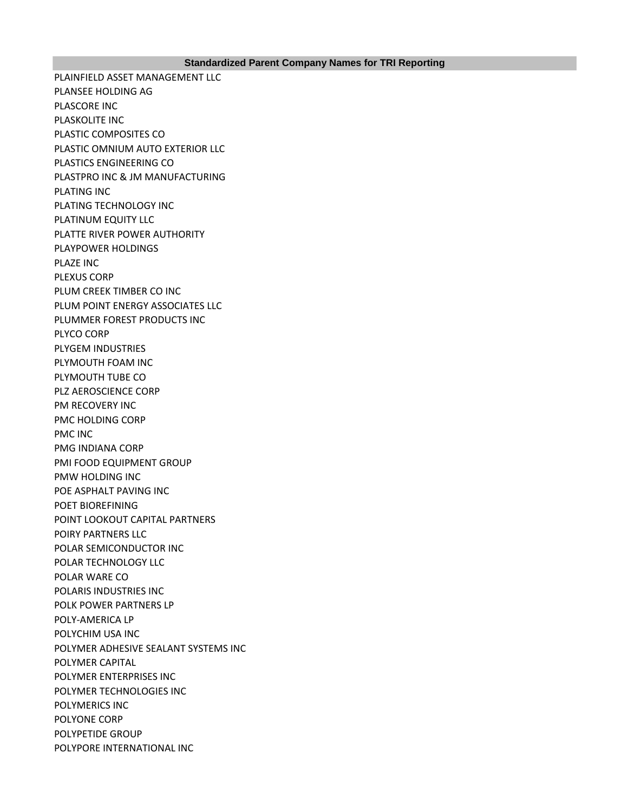## **Standardized Parent Company Names for TRI Reporting**

PLAINFIELD ASSET MANAGEMENT LLC PLANSEE HOLDING AG PLASCORE INC PLASKOLITE INC PLASTIC COMPOSITES CO PLASTIC OMNIUM AUTO EXTERIOR LLC PLASTICS ENGINEERING CO PLASTPRO INC & JM MANUFACTURING PLATING INC PLATING TECHNOLOGY INC PLATINUM EQUITY LLC PLATTE RIVER POWER AUTHORITY PLAYPOWER HOLDINGS PLAZE INC PLEXUS CORP PLUM CREEK TIMBER CO INC PLUM POINT ENERGY ASSOCIATES LLC PLUMMER FOREST PRODUCTS INC PLYCO CORP PLYGEM INDUSTRIES PLYMOUTH FOAM INC PLYMOUTH TUBE CO PLZ AEROSCIENCE CORP PM RECOVERY INC PMC HOLDING CORP PMC INC PMG INDIANA CORP PMI FOOD EQUIPMENT GROUP PMW HOLDING INC POE ASPHALT PAVING INC POET BIOREFINING POINT LOOKOUT CAPITAL PARTNERS POIRY PARTNERS LLC POLAR SEMICONDUCTOR INC POLAR TECHNOLOGY LLC POLAR WARE CO POLARIS INDUSTRIES INC POLK POWER PARTNERS LP POLY-AMERICA LP POLYCHIM USA INC POLYMER ADHESIVE SEALANT SYSTEMS INC POLYMER CAPITAL POLYMER ENTERPRISES INC POLYMER TECHNOLOGIES INC POLYMERICS INC POLYONE CORP POLYPETIDE GROUP POLYPORE INTERNATIONAL INC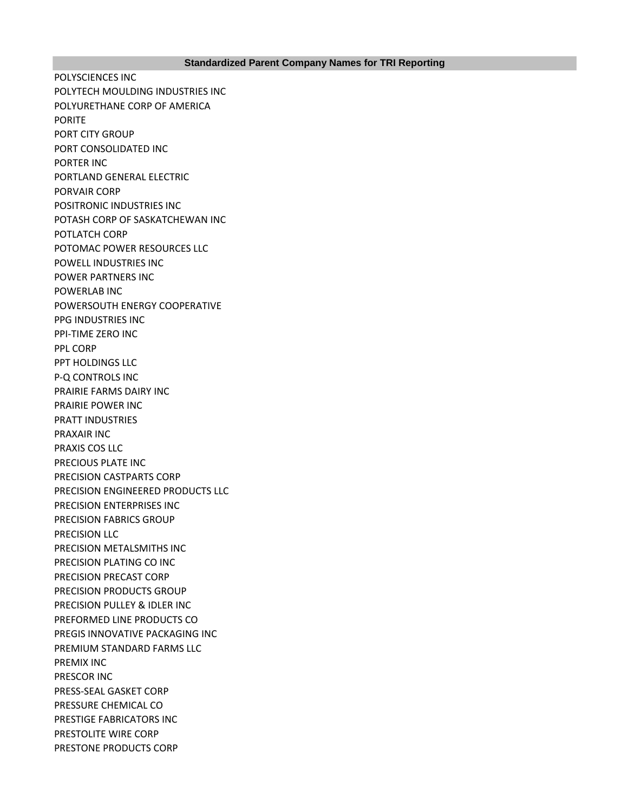POLYSCIENCES INC POLYTECH MOULDING INDUSTRIES INC POLYURETHANE CORP OF AMERICA PORITE PORT CITY GROUP PORT CONSOLIDATED INC PORTER INC PORTLAND GENERAL ELECTRIC PORVAIR CORP POSITRONIC INDUSTRIES INC POTASH CORP OF SASKATCHEWAN INC POTLATCH CORP POTOMAC POWER RESOURCES LLC POWELL INDUSTRIES INC POWER PARTNERS INC POWERLAB INC POWERSOUTH ENERGY COOPERATIVE PPG INDUSTRIES INC PPI-TIME ZERO INC PPL CORP PPT HOLDINGS LLC P-Q CONTROLS INC PRAIRIE FARMS DAIRY INC PRAIRIE POWER INC PRATT INDUSTRIES PRAXAIR INC PRAXIS COS LLC PRECIOUS PLATE INC PRECISION CASTPARTS CORP PRECISION ENGINEERED PRODUCTS LLC PRECISION ENTERPRISES INC PRECISION FABRICS GROUP PRECISION LLC PRECISION METALSMITHS INC PRECISION PLATING CO INC PRECISION PRECAST CORP PRECISION PRODUCTS GROUP PRECISION PULLEY & IDLER INC PREFORMED LINE PRODUCTS CO PREGIS INNOVATIVE PACKAGING INC PREMIUM STANDARD FARMS LLC PREMIX INC PRESCOR INC PRESS-SEAL GASKET CORP PRESSURE CHEMICAL CO PRESTIGE FABRICATORS INC PRESTOLITE WIRE CORP PRESTONE PRODUCTS CORP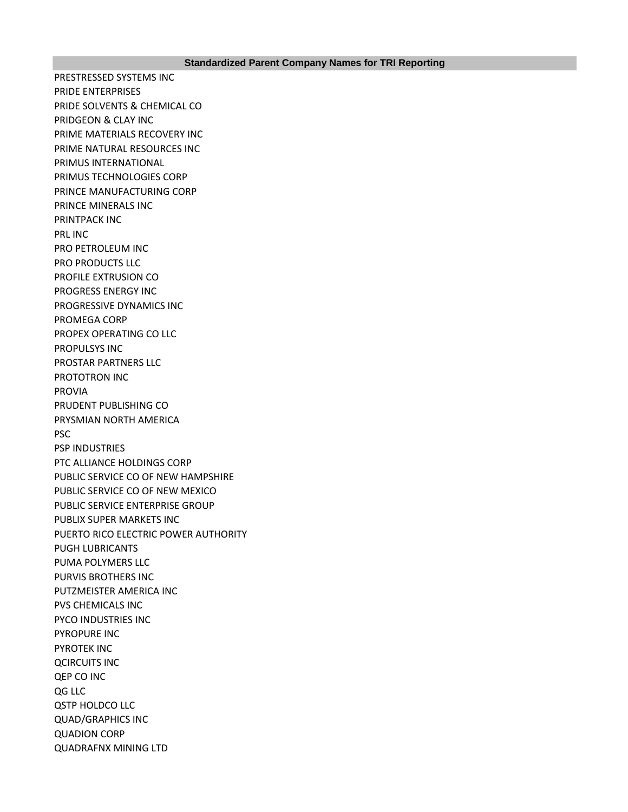PRESTRESSED SYSTEMS INC PRIDE ENTERPRISES PRIDE SOLVENTS & CHEMICAL CO PRIDGEON & CLAY INC PRIME MATERIALS RECOVERY INC PRIME NATURAL RESOURCES INC PRIMUS INTERNATIONAL PRIMUS TECHNOLOGIES CORP PRINCE MANUFACTURING CORP PRINCE MINERALS INC PRINTPACK INC PRL INC PRO PETROLEUM INC PRO PRODUCTS LLC PROFILE EXTRUSION CO PROGRESS ENERGY INC PROGRESSIVE DYNAMICS INC PROMEGA CORP PROPEX OPERATING CO LLC PROPULSYS INC PROSTAR PARTNERS LLC PROTOTRON INC PROVIA PRUDENT PUBLISHING CO PRYSMIAN NORTH AMERICA PSC PSP INDUSTRIES PTC ALLIANCE HOLDINGS CORP PUBLIC SERVICE CO OF NEW HAMPSHIRE PUBLIC SERVICE CO OF NEW MEXICO PUBLIC SERVICE ENTERPRISE GROUP PUBLIX SUPER MARKETS INC PUERTO RICO ELECTRIC POWER AUTHORITY PUGH LUBRICANTS PUMA POLYMERS LLC PURVIS BROTHERS INC PUTZMEISTER AMERICA INC PVS CHEMICALS INC PYCO INDUSTRIES INC PYROPURE INC PYROTEK INC QCIRCUITS INC QEP CO INC QG LLC QSTP HOLDCO LLC QUAD/GRAPHICS INC QUADION CORP QUADRAFNX MINING LTD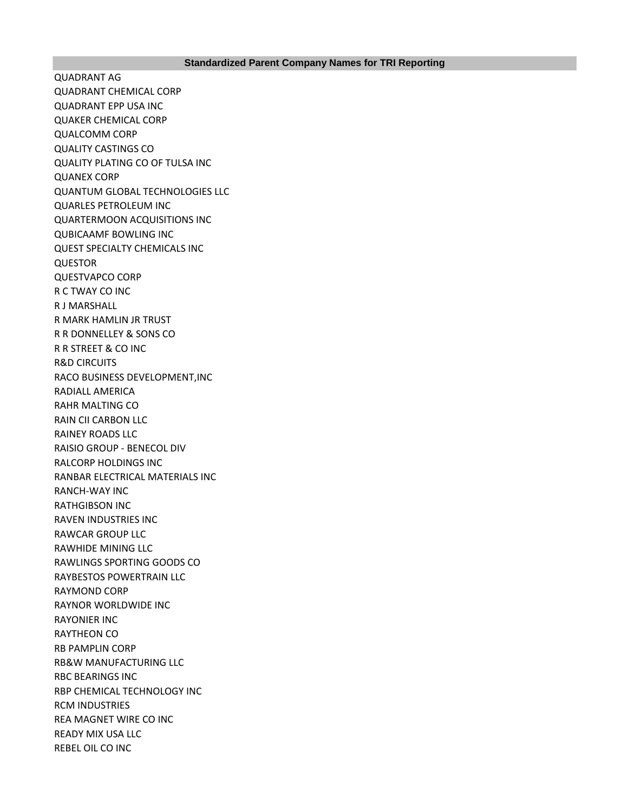QUADRANT AG QUADRANT CHEMICAL CORP QUADRANT EPP USA INC QUAKER CHEMICAL CORP QUALCOMM CORP QUALITY CASTINGS CO QUALITY PLATING CO OF TULSA INC QUANEX CORP QUANTUM GLOBAL TECHNOLOGIES LLC QUARLES PETROLEUM INC QUARTERMOON ACQUISITIONS INC QUBICAAMF BOWLING INC QUEST SPECIALTY CHEMICALS INC QUESTOR QUESTVAPCO CORP R C TWAY CO INC R J MARSHALL R MARK HAMLIN JR TRUST R R DONNELLEY & SONS CO R R STREET & CO INC R&D CIRCUITS RACO BUSINESS DEVELOPMENT,INC RADIALL AMERICA RAHR MALTING CO RAIN CII CARBON LLC RAINEY ROADS LLC RAISIO GROUP - BENECOL DIV RALCORP HOLDINGS INC RANBAR ELECTRICAL MATERIALS INC RANCH-WAY INC RATHGIBSON INC RAVEN INDUSTRIES INC RAWCAR GROUP LLC RAWHIDE MINING LLC RAWLINGS SPORTING GOODS CO RAYBESTOS POWERTRAIN LLC RAYMOND CORP RAYNOR WORLDWIDE INC RAYONIER INC RAYTHEON CO RB PAMPLIN CORP RB&W MANUFACTURING LLC RBC BEARINGS INC RBP CHEMICAL TECHNOLOGY INC RCM INDUSTRIES REA MAGNET WIRE CO INC READY MIX USA LLC REBEL OIL CO INC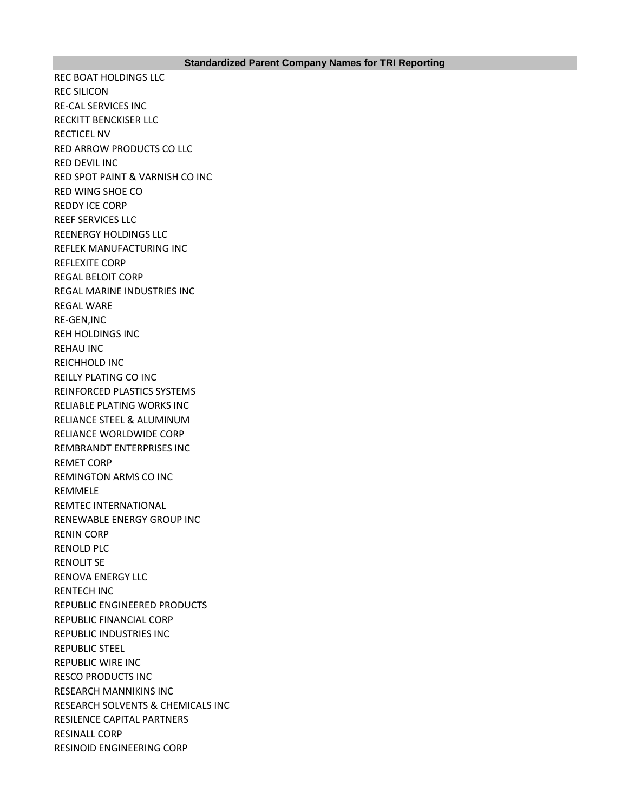REC BOAT HOLDINGS LLC REC SILICON RE-CAL SERVICES INC RECKITT BENCKISER LLC RECTICEL NV RED ARROW PRODUCTS CO LLC RED DEVIL INC RED SPOT PAINT & VARNISH CO INC RED WING SHOE CO REDDY ICE CORP REEF SERVICES LLC REENERGY HOLDINGS LLC REFLEK MANUFACTURING INC REFLEXITE CORP REGAL BELOIT CORP REGAL MARINE INDUSTRIES INC REGAL WARE RE-GEN,INC REH HOLDINGS INC REHAU INC REICHHOLD INC REILLY PLATING CO INC REINFORCED PLASTICS SYSTEMS RELIABLE PLATING WORKS INC RELIANCE STEEL & ALUMINUM RELIANCE WORLDWIDE CORP REMBRANDT ENTERPRISES INC REMET CORP REMINGTON ARMS CO INC REMMELE REMTEC INTERNATIONAL RENEWABLE ENERGY GROUP INC RENIN CORP RENOLD PLC RENOLIT SE RENOVA ENERGY LLC RENTECH INC REPUBLIC ENGINEERED PRODUCTS REPUBLIC FINANCIAL CORP REPUBLIC INDUSTRIES INC REPUBLIC STEEL REPUBLIC WIRE INC RESCO PRODUCTS INC RESEARCH MANNIKINS INC RESEARCH SOLVENTS & CHEMICALS INC RESILENCE CAPITAL PARTNERS RESINALL CORP RESINOID ENGINEERING CORP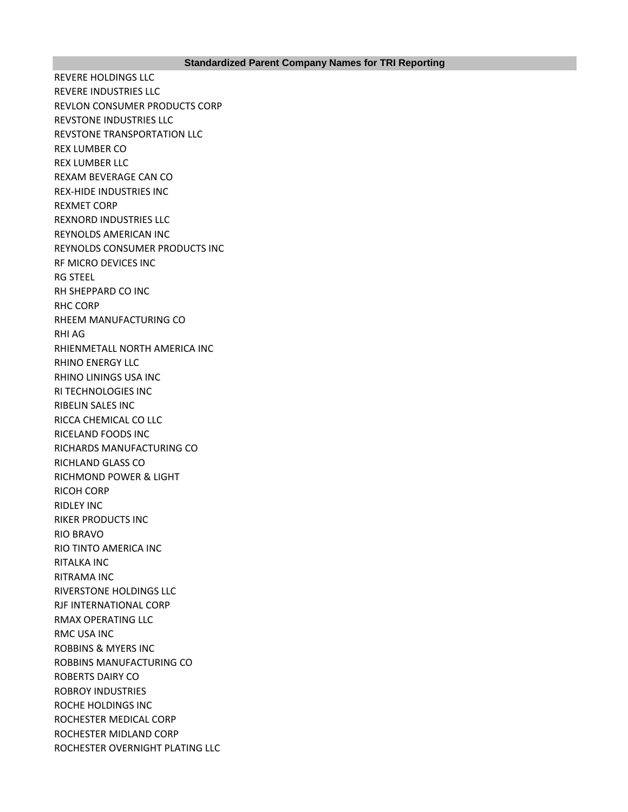REVERE HOLDINGS LLC REVERE INDUSTRIES LLC REVLON CONSUMER PRODUCTS CORP REVSTONE INDUSTRIES LLC REVSTONE TRANSPORTATION LLC REX LUMBER CO REX LUMBER LLC REXAM BEVERAGE CAN CO REX-HIDE INDUSTRIES INC REXMET CORP REXNORD INDUSTRIES LLC REYNOLDS AMERICAN INC REYNOLDS CONSUMER PRODUCTS INC RF MICRO DEVICES INC RG STEEL RH SHEPPARD CO INC RHC CORP RHEEM MANUFACTURING CO RHI AG RHIENMETALL NORTH AMERICA INC RHINO ENERGY LLC RHINO LININGS USA INC RI TECHNOLOGIES INC RIBELIN SALES INC RICCA CHEMICAL CO LLC RICELAND FOODS INC RICHARDS MANUFACTURING CO RICHLAND GLASS CO RICHMOND POWER & LIGHT RICOH CORP RIDLEY INC RIKER PRODUCTS INC RIO BRAVO RIO TINTO AMERICA INC RITALKA INC RITRAMA INC RIVERSTONE HOLDINGS LLC RJF INTERNATIONAL CORP RMAX OPERATING LLC RMC USA INC ROBBINS & MYERS INC ROBBINS MANUFACTURING CO ROBERTS DAIRY CO ROBROY INDUSTRIES ROCHE HOLDINGS INC ROCHESTER MEDICAL CORP ROCHESTER MIDLAND CORP ROCHESTER OVERNIGHT PLATING LLC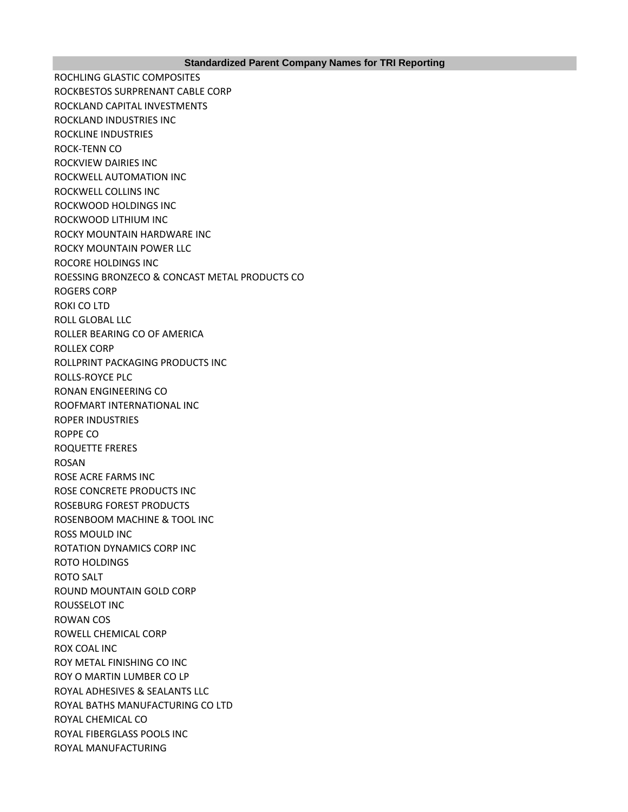ROCHLING GLASTIC COMPOSITES ROCKBESTOS SURPRENANT CABLE CORP ROCKLAND CAPITAL INVESTMENTS ROCKLAND INDUSTRIES INC ROCKLINE INDUSTRIES ROCK-TENN CO ROCKVIEW DAIRIES INC ROCKWELL AUTOMATION INC ROCKWELL COLLINS INC ROCKWOOD HOLDINGS INC ROCKWOOD LITHIUM INC ROCKY MOUNTAIN HARDWARE INC ROCKY MOUNTAIN POWER LLC ROCORE HOLDINGS INC ROESSING BRONZECO & CONCAST METAL PRODUCTS CO ROGERS CORP ROKI CO LTD ROLL GLOBAL LLC ROLLER BEARING CO OF AMERICA ROLLEX CORP ROLLPRINT PACKAGING PRODUCTS INC ROLLS-ROYCE PLC RONAN ENGINEERING CO ROOFMART INTERNATIONAL INC ROPER INDUSTRIES ROPPE CO ROQUETTE FRERES ROSAN ROSE ACRE FARMS INC ROSE CONCRETE PRODUCTS INC ROSEBURG FOREST PRODUCTS ROSENBOOM MACHINE & TOOL INC ROSS MOULD INC ROTATION DYNAMICS CORP INC ROTO HOLDINGS ROTO SALT ROUND MOUNTAIN GOLD CORP ROUSSELOT INC ROWAN COS ROWELL CHEMICAL CORP ROX COAL INC ROY METAL FINISHING CO INC ROY O MARTIN LUMBER CO LP ROYAL ADHESIVES & SEALANTS LLC ROYAL BATHS MANUFACTURING CO LTD ROYAL CHEMICAL CO ROYAL FIBERGLASS POOLS INC ROYAL MANUFACTURING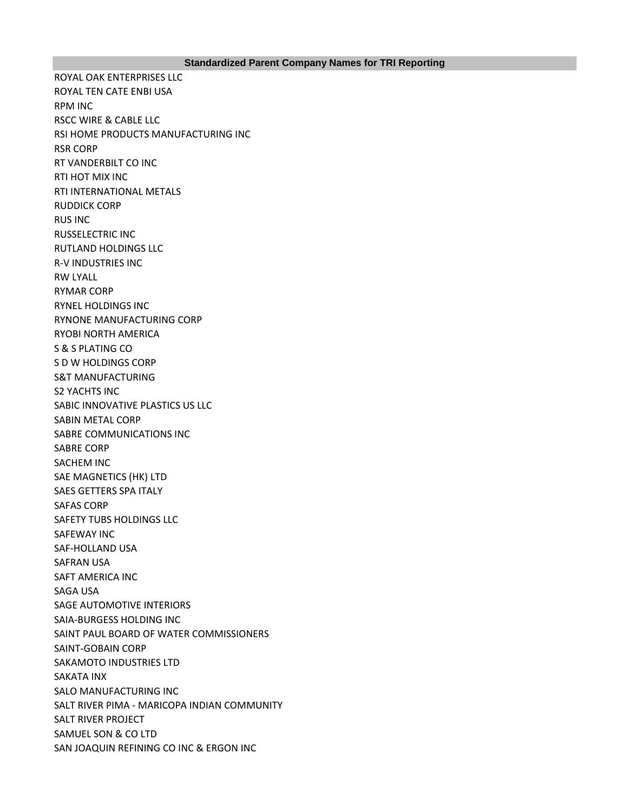## **Standardized Parent Company Names for TRI Reporting**

ROYAL OAK ENTERPRISES LLC ROYAL TEN CATE ENBI USA RPM INC RSCC WIRE & CABLE LLC RSI HOME PRODUCTS MANUFACTURING INC RSR CORP RT VANDERBILT CO INC RTI HOT MIX INC RTI INTERNATIONAL METALS RUDDICK CORP RUS INC RUSSELECTRIC INC RUTLAND HOLDINGS LLC R-V INDUSTRIES INC RW LYALL RYMAR CORP RYNEL HOLDINGS INC RYNONE MANUFACTURING CORP RYOBI NORTH AMERICA S & S PLATING CO S D W HOLDINGS CORP S&T MANUFACTURING S2 YACHTS INC SABIC INNOVATIVE PLASTICS US LLC SABIN METAL CORP SABRE COMMUNICATIONS INC SABRE CORP SACHEM INC SAE MAGNETICS (HK) LTD SAES GETTERS SPA ITALY SAFAS CORP SAFETY TUBS HOLDINGS LLC SAFEWAY INC SAF-HOLLAND USA SAFRAN USA SAFT AMERICA INC SAGA USA SAGE AUTOMOTIVE INTERIORS SAIA-BURGESS HOLDING INC SAINT PAUL BOARD OF WATER COMMISSIONERS SAINT-GOBAIN CORP SAKAMOTO INDUSTRIES LTD SAKATA INX SALO MANUFACTURING INC SALT RIVER PIMA - MARICOPA INDIAN COMMUNITY SALT RIVER PROJECT SAMUEL SON & CO LTD SAN JOAQUIN REFINING CO INC & ERGON INC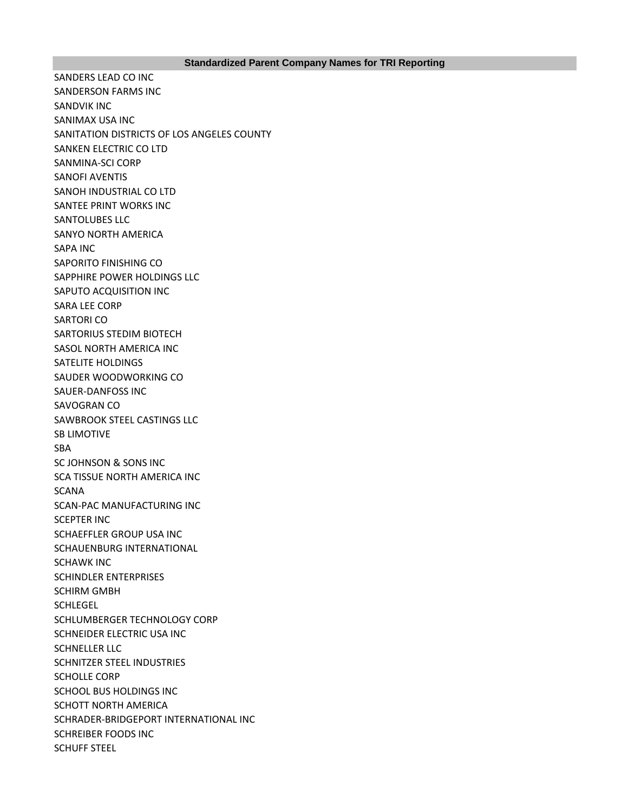SANDERS LEAD CO INC SANDERSON FARMS INC SANDVIK INC SANIMAX USA INC SANITATION DISTRICTS OF LOS ANGELES COUNTY SANKEN ELECTRIC CO LTD SANMINA-SCI CORP SANOFI AVENTIS SANOH INDUSTRIAL CO LTD SANTEE PRINT WORKS INC SANTOLUBES LLC SANYO NORTH AMERICA SAPA INC SAPORITO FINISHING CO SAPPHIRE POWER HOLDINGS LLC SAPUTO ACQUISITION INC SARA LEE CORP SARTORI CO SARTORIUS STEDIM BIOTECH SASOL NORTH AMERICA INC SATELITE HOLDINGS SAUDER WOODWORKING CO SAUER-DANFOSS INC SAVOGRAN CO SAWBROOK STEEL CASTINGS LLC SB LIMOTIVE SBA SC JOHNSON & SONS INC SCA TISSUE NORTH AMERICA INC **SCANA** SCAN-PAC MANUFACTURING INC SCEPTER INC SCHAEFFLER GROUP USA INC SCHAUENBURG INTERNATIONAL SCHAWK INC SCHINDLER ENTERPRISES SCHIRM GMBH **SCHLEGEL** SCHLUMBERGER TECHNOLOGY CORP SCHNEIDER ELECTRIC USA INC SCHNELLER LLC SCHNITZER STEEL INDUSTRIES SCHOLLE CORP SCHOOL BUS HOLDINGS INC SCHOTT NORTH AMERICA SCHRADER-BRIDGEPORT INTERNATIONAL INC SCHREIBER FOODS INC SCHUFF STEEL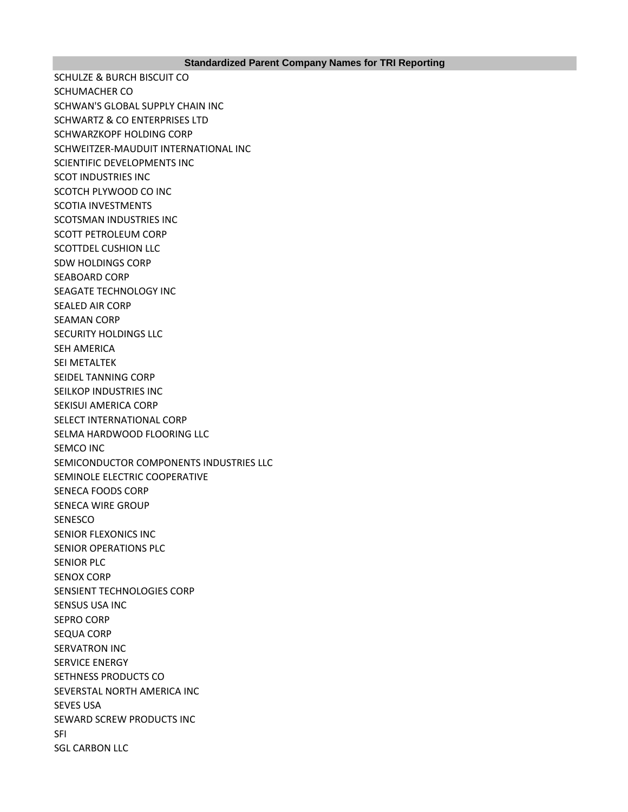SCHULZE & BURCH BISCUIT CO SCHUMACHER CO SCHWAN'S GLOBAL SUPPLY CHAIN INC SCHWARTZ & CO ENTERPRISES LTD SCHWARZKOPF HOLDING CORP SCHWEITZER-MAUDUIT INTERNATIONAL INC SCIENTIFIC DEVELOPMENTS INC SCOT INDUSTRIES INC SCOTCH PLYWOOD CO INC SCOTIA INVESTMENTS SCOTSMAN INDUSTRIES INC SCOTT PETROLEUM CORP SCOTTDEL CUSHION LLC SDW HOLDINGS CORP SEABOARD CORP SEAGATE TECHNOLOGY INC SEALED AIR CORP SEAMAN CORP SECURITY HOLDINGS LLC SEH AMERICA SEI METALTEK SEIDEL TANNING CORP SEILKOP INDUSTRIES INC SEKISUI AMERICA CORP SELECT INTERNATIONAL CORP SELMA HARDWOOD FLOORING LLC SEMCO INC SEMICONDUCTOR COMPONENTS INDUSTRIES LLC SEMINOLE ELECTRIC COOPERATIVE SENECA FOODS CORP SENECA WIRE GROUP SENESCO SENIOR FLEXONICS INC SENIOR OPERATIONS PLC SENIOR PLC SENOX CORP SENSIENT TECHNOLOGIES CORP SENSUS USA INC SEPRO CORP SEQUA CORP SERVATRON INC SERVICE ENERGY SETHNESS PRODUCTS CO SEVERSTAL NORTH AMERICA INC SEVES USA SEWARD SCREW PRODUCTS INC SFI SGL CARBON LLC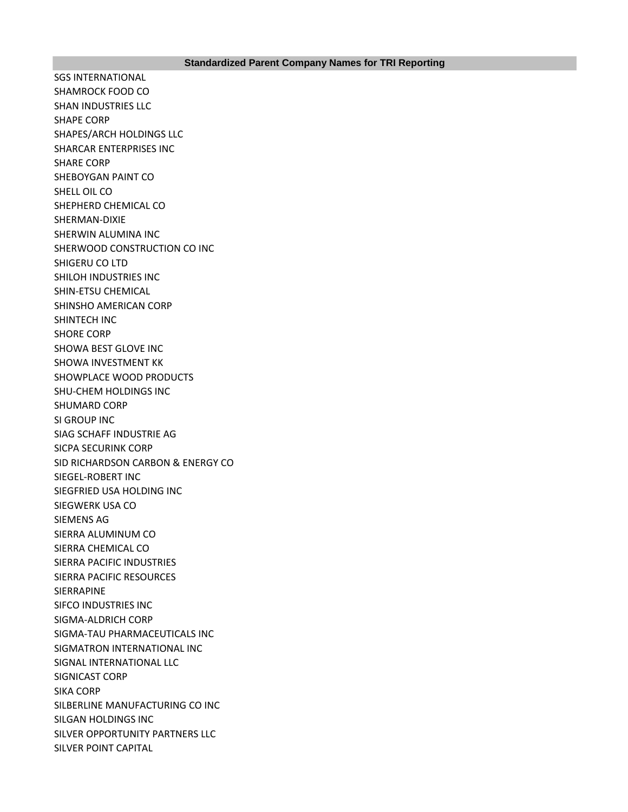SGS INTERNATIONAL SHAMROCK FOOD CO SHAN INDUSTRIES LLC SHAPE CORP SHAPES/ARCH HOLDINGS LLC SHARCAR ENTERPRISES INC SHARE CORP SHEBOYGAN PAINT CO SHELL OIL CO SHEPHERD CHEMICAL CO SHERMAN-DIXIE SHERWIN ALUMINA INC SHERWOOD CONSTRUCTION CO INC SHIGERU CO LTD SHILOH INDUSTRIES INC SHIN-ETSU CHEMICAL SHINSHO AMERICAN CORP SHINTECH INC SHORE CORP SHOWA BEST GLOVE INC SHOWA INVESTMENT KK SHOWPLACE WOOD PRODUCTS SHU-CHEM HOLDINGS INC SHUMARD CORP SI GROUP INC SIAG SCHAFF INDUSTRIE AG SICPA SECURINK CORP SID RICHARDSON CARBON & ENERGY CO SIEGEL-ROBERT INC SIEGFRIED USA HOLDING INC SIEGWERK USA CO SIEMENS AG SIERRA ALUMINUM CO SIERRA CHEMICAL CO SIERRA PACIFIC INDUSTRIES SIERRA PACIFIC RESOURCES SIERRAPINE SIFCO INDUSTRIES INC SIGMA-ALDRICH CORP SIGMA-TAU PHARMACEUTICALS INC SIGMATRON INTERNATIONAL INC SIGNAL INTERNATIONAL LLC SIGNICAST CORP SIKA CORP SILBERLINE MANUFACTURING CO INC SILGAN HOLDINGS INC SILVER OPPORTUNITY PARTNERS LLC SILVER POINT CAPITAL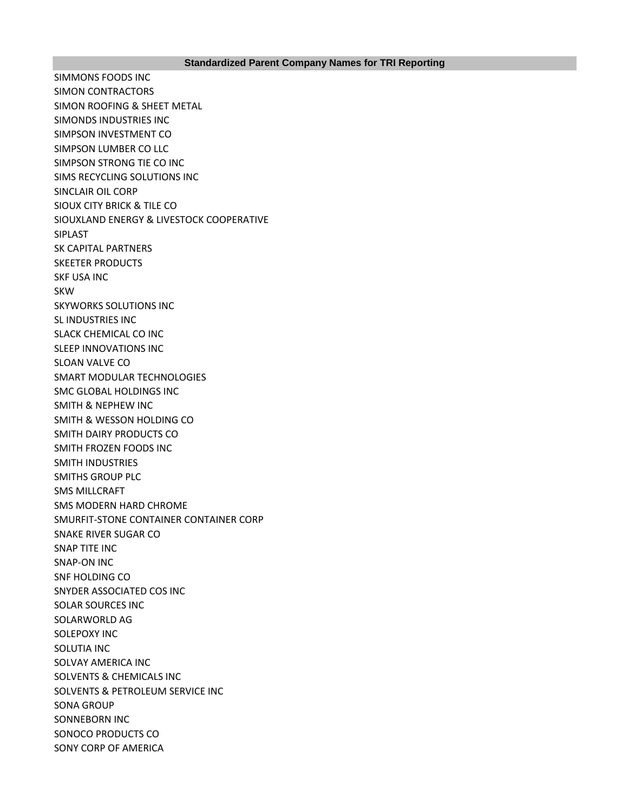SIMMONS FOODS INC SIMON CONTRACTORS SIMON ROOFING & SHEET METAL SIMONDS INDUSTRIES INC SIMPSON INVESTMENT CO SIMPSON LUMBER CO LLC SIMPSON STRONG TIE CO INC SIMS RECYCLING SOLUTIONS INC SINCLAIR OIL CORP SIOUX CITY BRICK & TILE CO SIOUXLAND ENERGY & LIVESTOCK COOPERATIVE SIPLAST SK CAPITAL PARTNERS SKEETER PRODUCTS SKF USA INC SKW SKYWORKS SOLUTIONS INC SL INDUSTRIES INC SLACK CHEMICAL CO INC SLEEP INNOVATIONS INC SLOAN VALVE CO SMART MODULAR TECHNOLOGIES SMC GLOBAL HOLDINGS INC SMITH & NEPHEW INC SMITH & WESSON HOLDING CO SMITH DAIRY PRODUCTS CO SMITH FROZEN FOODS INC SMITH INDUSTRIES SMITHS GROUP PLC SMS MILLCRAFT SMS MODERN HARD CHROME SMURFIT-STONE CONTAINER CONTAINER CORP SNAKE RIVER SUGAR CO SNAP TITE INC SNAP-ON INC SNF HOLDING CO SNYDER ASSOCIATED COS INC SOLAR SOURCES INC SOLARWORLD AG SOLEPOXY INC SOLUTIA INC SOLVAY AMERICA INC SOLVENTS & CHEMICALS INC SOLVENTS & PETROLEUM SERVICE INC SONA GROUP SONNEBORN INC SONOCO PRODUCTS CO SONY CORP OF AMERICA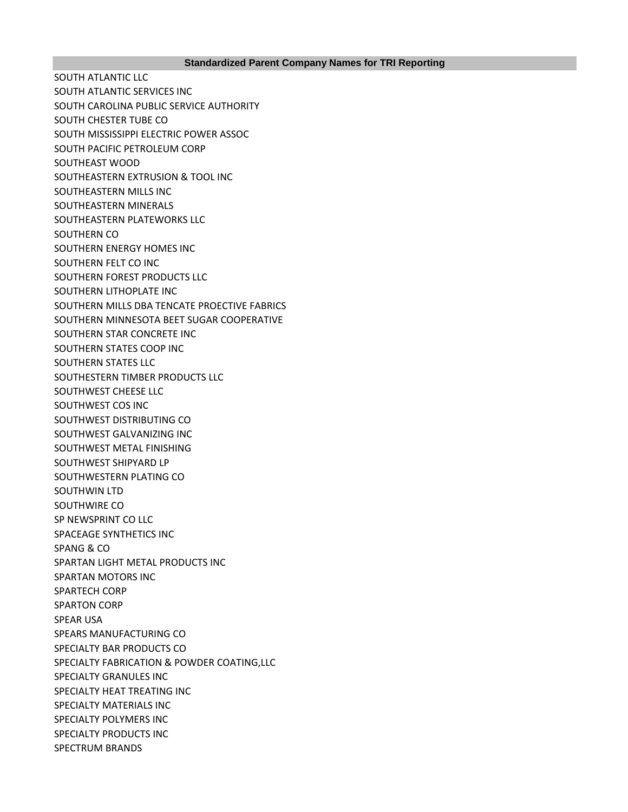SOUTH ATLANTIC LLC SOUTH ATLANTIC SERVICES INC SOUTH CAROLINA PUBLIC SERVICE AUTHORITY SOUTH CHESTER TUBE CO SOUTH MISSISSIPPI ELECTRIC POWER ASSOC SOUTH PACIFIC PETROLEUM CORP SOUTHEAST WOOD SOUTHEASTERN EXTRUSION & TOOL INC SOUTHEASTERN MILLS INC SOUTHEASTERN MINERALS SOUTHEASTERN PLATEWORKS LLC SOUTHERN CO SOUTHERN ENERGY HOMES INC SOUTHERN FELT CO INC SOUTHERN FOREST PRODUCTS LLC SOUTHERN LITHOPLATE INC SOUTHERN MILLS DBA TENCATE PROECTIVE FABRICS SOUTHERN MINNESOTA BEET SUGAR COOPERATIVE SOUTHERN STAR CONCRETE INC SOUTHERN STATES COOP INC SOUTHERN STATES LLC SOUTHESTERN TIMBER PRODUCTS LLC SOUTHWEST CHEESE LLC SOUTHWEST COS INC SOUTHWEST DISTRIBUTING CO SOUTHWEST GALVANIZING INC SOUTHWEST METAL FINISHING SOUTHWEST SHIPYARD LP SOUTHWESTERN PLATING CO SOUTHWIN LTD SOUTHWIRE CO SP NEWSPRINT CO LLC SPACEAGE SYNTHETICS INC SPANG & CO SPARTAN LIGHT METAL PRODUCTS INC SPARTAN MOTORS INC SPARTECH CORP SPARTON CORP SPEAR USA SPEARS MANUFACTURING CO SPECIALTY BAR PRODUCTS CO SPECIALTY FABRICATION & POWDER COATING,LLC SPECIALTY GRANULES INC SPECIALTY HEAT TREATING INC. SPECIALTY MATERIALS INC SPECIALTY POLYMERS INC SPECIALTY PRODUCTS INC SPECTRUM BRANDS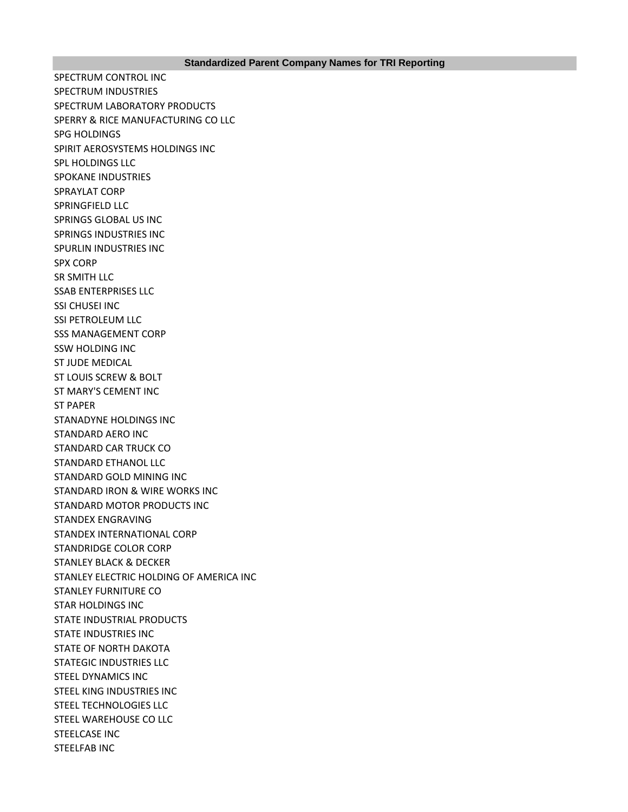SPECTRUM CONTROL INC SPECTRUM INDUSTRIES SPECTRUM LABORATORY PRODUCTS SPERRY & RICE MANUFACTURING CO LLC SPG HOLDINGS SPIRIT AEROSYSTEMS HOLDINGS INC SPL HOLDINGS LLC SPOKANE INDUSTRIES SPRAYLAT CORP SPRINGFIELD LLC SPRINGS GLOBAL US INC SPRINGS INDUSTRIES INC SPURLIN INDUSTRIES INC SPX CORP SR SMITH LLC SSAB ENTERPRISES LLC SSI CHUSEI INC SSI PETROLEUM LLC SSS MANAGEMENT CORP SSW HOLDING INC ST JUDE MEDICAL ST LOUIS SCREW & BOLT ST MARY'S CEMENT INC ST PAPER STANADYNE HOLDINGS INC STANDARD AERO INC STANDARD CAR TRUCK CO STANDARD ETHANOL LLC STANDARD GOLD MINING INC STANDARD IRON & WIRE WORKS INC STANDARD MOTOR PRODUCTS INC STANDEX ENGRAVING STANDEX INTERNATIONAL CORP STANDRIDGE COLOR CORP STANLEY BLACK & DECKER STANLEY ELECTRIC HOLDING OF AMERICA INC STANLEY FURNITURE CO STAR HOLDINGS INC STATE INDUSTRIAL PRODUCTS STATE INDUSTRIES INC STATE OF NORTH DAKOTA STATEGIC INDUSTRIES LLC STEEL DYNAMICS INC STEEL KING INDUSTRIES INC STEEL TECHNOLOGIES LLC STEEL WAREHOUSE CO LLC STEELCASE INC STEELFAB INC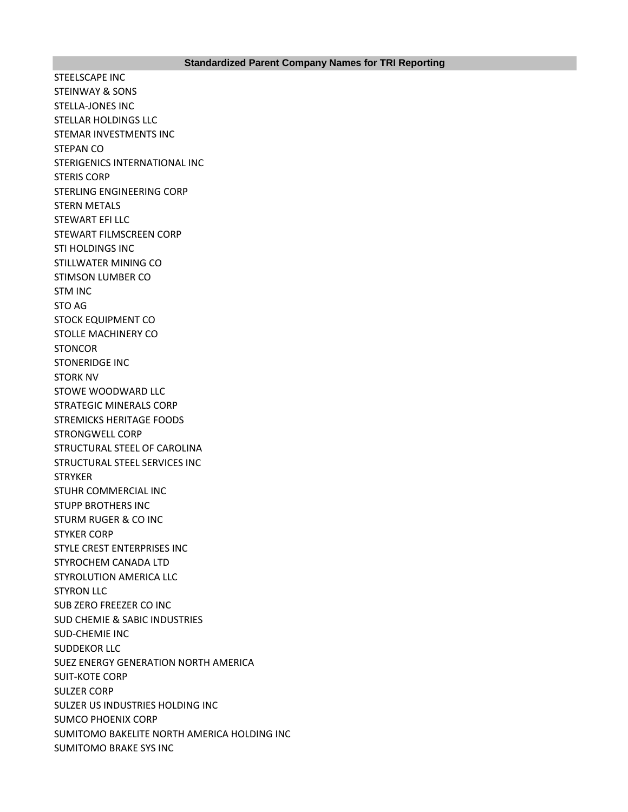STEELSCAPE INC STEINWAY & SONS STELLA-JONES INC STELLAR HOLDINGS LLC STEMAR INVESTMENTS INC STEPAN CO STERIGENICS INTERNATIONAL INC STERIS CORP STERLING ENGINEERING CORP STERN METALS STEWART EFI LLC STEWART FILMSCREEN CORP STI HOLDINGS INC STILLWATER MINING CO STIMSON LUMBER CO STM INC STO AG STOCK EQUIPMENT CO STOLLE MACHINERY CO **STONCOR** STONERIDGE INC STORK NV STOWE WOODWARD LLC STRATEGIC MINERALS CORP STREMICKS HERITAGE FOODS STRONGWELL CORP STRUCTURAL STEEL OF CAROLINA STRUCTURAL STEEL SERVICES INC **STRYKER** STUHR COMMERCIAL INC STUPP BROTHERS INC STURM RUGER & CO INC STYKER CORP STYLE CREST ENTERPRISES INC STYROCHEM CANADA LTD STYROLUTION AMERICA LLC STYRON LLC SUB ZERO FREEZER CO INC SUD CHEMIE & SABIC INDUSTRIES SUD-CHEMIE INC SUDDEKOR LLC SUEZ ENERGY GENERATION NORTH AMERICA SUIT-KOTE CORP SULZER CORP SULZER US INDUSTRIES HOLDING INC SUMCO PHOENIX CORP SUMITOMO BAKELITE NORTH AMERICA HOLDING INC SUMITOMO BRAKE SYS INC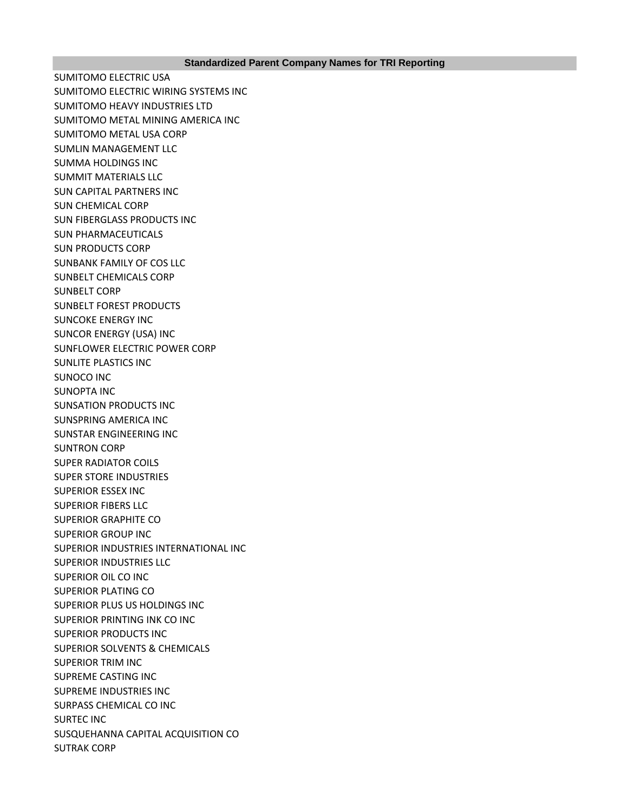SUMITOMO ELECTRIC USA SUMITOMO ELECTRIC WIRING SYSTEMS INC SUMITOMO HEAVY INDUSTRIES LTD SUMITOMO METAL MINING AMERICA INC SUMITOMO METAL USA CORP SUMLIN MANAGEMENT LLC SUMMA HOLDINGS INC SUMMIT MATERIALS LLC SUN CAPITAL PARTNERS INC SUN CHEMICAL CORP SUN FIBERGLASS PRODUCTS INC SUN PHARMACEUTICALS SUN PRODUCTS CORP SUNBANK FAMILY OF COS LLC SUNBELT CHEMICALS CORP SUNBELT CORP SUNBELT FOREST PRODUCTS SUNCOKE ENERGY INC SUNCOR ENERGY (USA) INC SUNFLOWER ELECTRIC POWER CORP SUNLITE PLASTICS INC SUNOCO INC SUNOPTA INC SUNSATION PRODUCTS INC SUNSPRING AMERICA INC SUNSTAR ENGINEERING INC SUNTRON CORP SUPER RADIATOR COILS SUPER STORE INDUSTRIES SUPERIOR ESSEX INC SUPERIOR FIBERS LLC SUPERIOR GRAPHITE CO SUPERIOR GROUP INC SUPERIOR INDUSTRIES INTERNATIONAL INC SUPERIOR INDUSTRIES LLC SUPERIOR OIL CO INC SUPERIOR PLATING CO SUPERIOR PLUS US HOLDINGS INC SUPERIOR PRINTING INK CO INC SUPERIOR PRODUCTS INC SUPERIOR SOLVENTS & CHEMICALS SUPERIOR TRIM INC SUPREME CASTING INC SUPREME INDUSTRIES INC SURPASS CHEMICAL CO INC SURTEC INC SUSQUEHANNA CAPITAL ACQUISITION CO SUTRAK CORP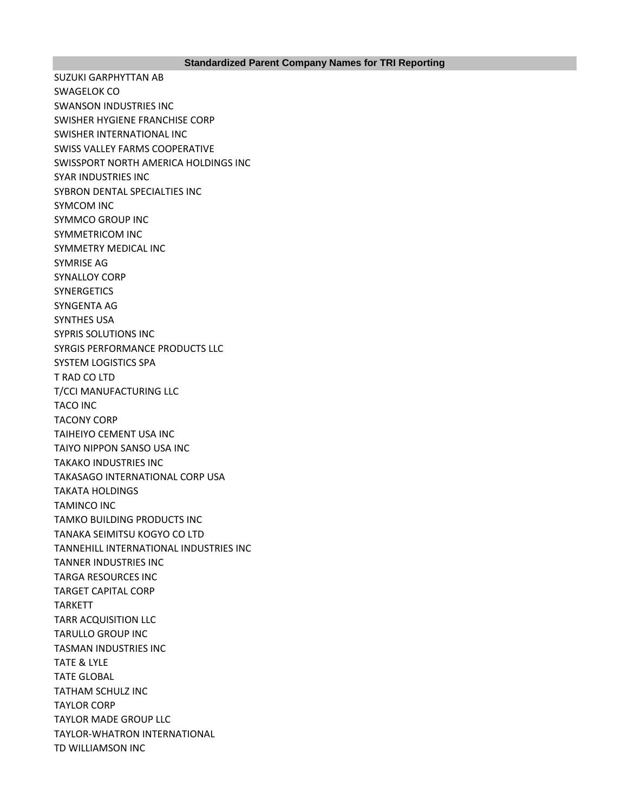SUZUKI GARPHYTTAN AB SWAGELOK CO SWANSON INDUSTRIES INC SWISHER HYGIENE FRANCHISE CORP SWISHER INTERNATIONAL INC SWISS VALLEY FARMS COOPERATIVE SWISSPORT NORTH AMERICA HOLDINGS INC SYAR INDUSTRIES INC SYBRON DENTAL SPECIALTIES INC SYMCOM INC SYMMCO GROUP INC SYMMETRICOM INC SYMMETRY MEDICAL INC SYMRISE AG SYNALLOY CORP **SYNERGETICS** SYNGENTA AG SYNTHES USA SYPRIS SOLUTIONS INC SYRGIS PERFORMANCE PRODUCTS LLC SYSTEM LOGISTICS SPA T RAD CO LTD T/CCI MANUFACTURING LLC TACO INC TACONY CORP TAIHEIYO CEMENT USA INC TAIYO NIPPON SANSO USA INC TAKAKO INDUSTRIES INC TAKASAGO INTERNATIONAL CORP USA TAKATA HOLDINGS TAMINCO INC TAMKO BUILDING PRODUCTS INC TANAKA SEIMITSU KOGYO CO LTD TANNEHILL INTERNATIONAL INDUSTRIES INC TANNER INDUSTRIES INC TARGA RESOURCES INC TARGET CAPITAL CORP TARKETT TARR ACQUISITION LLC TARULLO GROUP INC TASMAN INDUSTRIES INC TATE & LYLE TATE GLOBAL TATHAM SCHULZ INC TAYLOR CORP TAYLOR MADE GROUP LLC TAYLOR-WHATRON INTERNATIONAL TD WILLIAMSON INC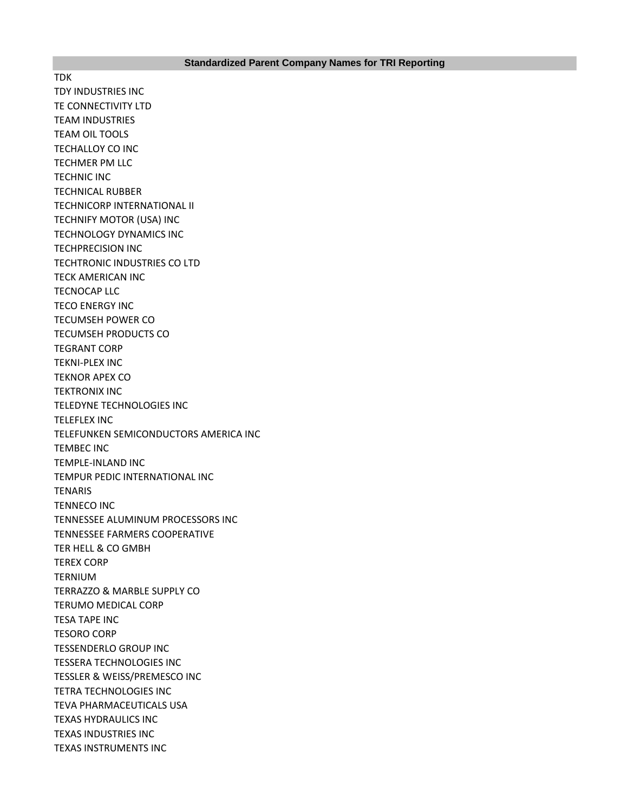TDK TDY INDUSTRIES INC TE CONNECTIVITY LTD TEAM INDUSTRIES TEAM OIL TOOLS TECHALLOY CO INC TECHMER PM LLC TECHNIC INC TECHNICAL RUBBER TECHNICORP INTERNATIONAL II TECHNIFY MOTOR (USA) INC TECHNOLOGY DYNAMICS INC TECHPRECISION INC TECHTRONIC INDUSTRIES CO LTD TECK AMERICAN INC TECNOCAP LLC TECO ENERGY INC TECUMSEH POWER CO TECUMSEH PRODUCTS CO TEGRANT CORP TEKNI-PLEX INC TEKNOR APEX CO TEKTRONIX INC TELEDYNE TECHNOLOGIES INC TELEFLEX INC TELEFUNKEN SEMICONDUCTORS AMERICA INC TEMBEC INC TEMPLE-INLAND INC TEMPUR PEDIC INTERNATIONAL INC **TENARIS** TENNECO INC TENNESSEE ALUMINUM PROCESSORS INC TENNESSEE FARMERS COOPERATIVE TER HELL & CO GMBH TEREX CORP TERNIUM TERRAZZO & MARBLE SUPPLY CO TERUMO MEDICAL CORP TESA TAPE INC TESORO CORP TESSENDERLO GROUP INC TESSERA TECHNOLOGIES INC TESSLER & WEISS/PREMESCO INC TETRA TECHNOLOGIES INC TEVA PHARMACEUTICALS USA TEXAS HYDRAULICS INC TEXAS INDUSTRIES INC TEXAS INSTRUMENTS INC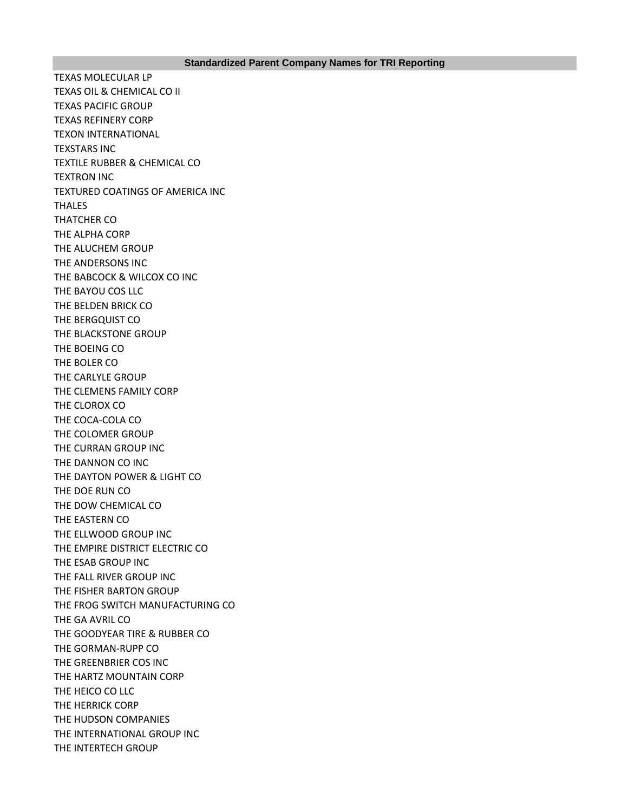## **Standardized Parent Company Names for TRI Reporting**

TEXAS MOLECULAR LP TEXAS OIL & CHEMICAL CO II TEXAS PACIFIC GROUP TEXAS REFINERY CORP TEXON INTERNATIONAL TEXSTARS INC TEXTILE RUBBER & CHEMICAL CO TEXTRON INC TEXTURED COATINGS OF AMERICA INC THALES THATCHER CO THE ALPHA CORP THE ALUCHEM GROUP THE ANDERSONS INC THE BABCOCK & WILCOX CO INC THE BAYOU COS LLC THE BELDEN BRICK CO THE BERGQUIST CO THE BLACKSTONE GROUP THE BOEING CO THE BOLER CO THE CARLYLE GROUP THE CLEMENS FAMILY CORP THE CLOROX CO THE COCA-COLA CO THE COLOMER GROUP THE CURRAN GROUP INC THE DANNON CO INC THE DAYTON POWER & LIGHT CO THE DOE RUN CO THE DOW CHEMICAL CO THE EASTERN CO THE ELLWOOD GROUP INC THE EMPIRE DISTRICT ELECTRIC CO THE ESAB GROUP INC THE FALL RIVER GROUP INC THE FISHER BARTON GROUP THE FROG SWITCH MANUFACTURING CO THE GA AVRIL CO THE GOODYEAR TIRE & RUBBER CO THE GORMAN-RUPP CO THE GREENBRIER COS INC THE HARTZ MOUNTAIN CORP THE HEICO CO LLC THE HERRICK CORP THE HUDSON COMPANIES THE INTERNATIONAL GROUP INC THE INTERTECH GROUP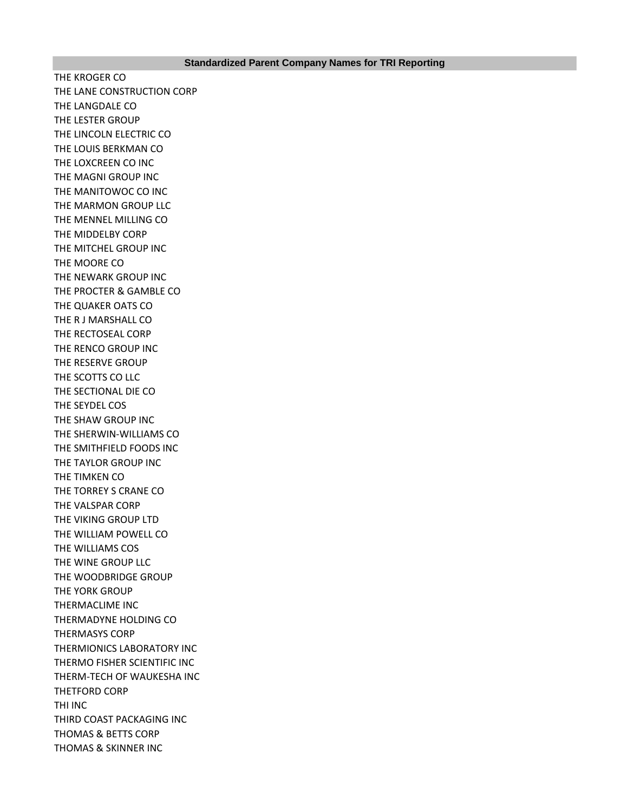THE KROGER CO THE LANE CONSTRUCTION CORP THE LANGDALE CO THE LESTER GROUP THE LINCOLN ELECTRIC CO THE LOUIS BERKMAN CO THE LOXCREEN CO INC THE MAGNI GROUP INC THE MANITOWOC CO INC THE MARMON GROUP LLC THE MENNEL MILLING CO THE MIDDELBY CORP THE MITCHEL GROUP INC THE MOORE CO THE NEWARK GROUP INC THE PROCTER & GAMBLE CO THE QUAKER OATS CO THE R J MARSHALL CO THE RECTOSEAL CORP THE RENCO GROUP INC THE RESERVE GROUP THE SCOTTS CO LLC THE SECTIONAL DIE CO THE SEYDEL COS THE SHAW GROUP INC THE SHERWIN-WILLIAMS CO THE SMITHFIELD FOODS INC THE TAYLOR GROUP INC THE TIMKEN CO THE TORREY S CRANE CO THE VALSPAR CORP THE VIKING GROUP LTD THE WILLIAM POWELL CO THE WILLIAMS COS THE WINE GROUP LLC THE WOODBRIDGE GROUP THE YORK GROUP THERMACLIME INC THERMADYNE HOLDING CO THERMASYS CORP THERMIONICS LABORATORY INC THERMO FISHER SCIENTIFIC INC THERM-TECH OF WAUKESHA INC THETFORD CORP THI INC THIRD COAST PACKAGING INC THOMAS & BETTS CORP THOMAS & SKINNER INC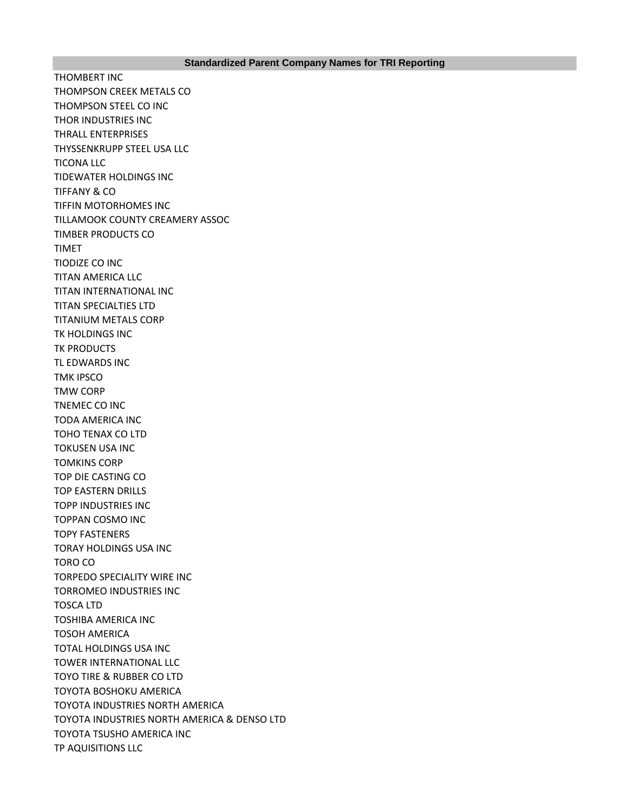THOMBERT INC THOMPSON CREEK METALS CO THOMPSON STEEL CO INC THOR INDUSTRIES INC THRALL ENTERPRISES THYSSENKRUPP STEEL USA LLC TICONA LLC TIDEWATER HOLDINGS INC TIFFANY & CO TIFFIN MOTORHOMES INC TILLAMOOK COUNTY CREAMERY ASSOC TIMBER PRODUCTS CO TIMET TIODIZE CO INC TITAN AMERICA LLC TITAN INTERNATIONAL INC TITAN SPECIALTIES LTD TITANIUM METALS CORP TK HOLDINGS INC **TK PRODUCTS** TL EDWARDS INC TMK IPSCO TMW CORP TNEMEC CO INC TODA AMERICA INC TOHO TENAX CO LTD TOKUSEN USA INC TOMKINS CORP TOP DIE CASTING CO TOP EASTERN DRILLS TOPP INDUSTRIES INC TOPPAN COSMO INC TOPY FASTENERS TORAY HOLDINGS USA INC TORO CO TORPEDO SPECIALITY WIRE INC TORROMEO INDUSTRIES INC TOSCA LTD TOSHIBA AMERICA INC TOSOH AMERICA TOTAL HOLDINGS USA INC TOWER INTERNATIONAL LLC TOYO TIRE & RUBBER CO LTD TOYOTA BOSHOKU AMERICA TOYOTA INDUSTRIES NORTH AMERICA TOYOTA INDUSTRIES NORTH AMERICA & DENSO LTD TOYOTA TSUSHO AMERICA INC TP AQUISITIONS LLC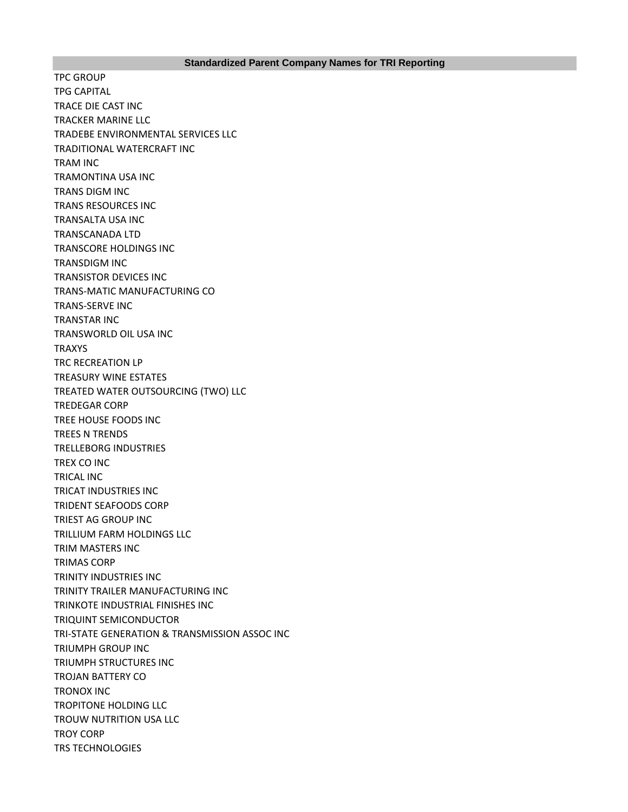TPC GROUP TPG CAPITAL TRACE DIE CAST INC TRACKER MARINE LLC TRADEBE ENVIRONMENTAL SERVICES LLC TRADITIONAL WATERCRAFT INC TRAM INC TRAMONTINA USA INC TRANS DIGM INC TRANS RESOURCES INC TRANSALTA USA INC TRANSCANADA LTD TRANSCORE HOLDINGS INC TRANSDIGM INC TRANSISTOR DEVICES INC TRANS-MATIC MANUFACTURING CO TRANS-SERVE INC TRANSTAR INC TRANSWORLD OIL USA INC TRAXYS TRC RECREATION LP TREASURY WINE ESTATES TREATED WATER OUTSOURCING (TWO) LLC TREDEGAR CORP TREE HOUSE FOODS INC TREES N TRENDS TRELLEBORG INDUSTRIES TREX CO INC TRICAL INC TRICAT INDUSTRIES INC TRIDENT SEAFOODS CORP TRIEST AG GROUP INC TRILLIUM FARM HOLDINGS LLC TRIM MASTERS INC TRIMAS CORP TRINITY INDUSTRIES INC TRINITY TRAILER MANUFACTURING INC TRINKOTE INDUSTRIAL FINISHES INC TRIQUINT SEMICONDUCTOR TRI-STATE GENERATION & TRANSMISSION ASSOC INC TRIUMPH GROUP INC TRIUMPH STRUCTURES INC TROJAN BATTERY CO TRONOX INC TROPITONE HOLDING LLC TROUW NUTRITION USA LLC TROY CORP TRS TECHNOLOGIES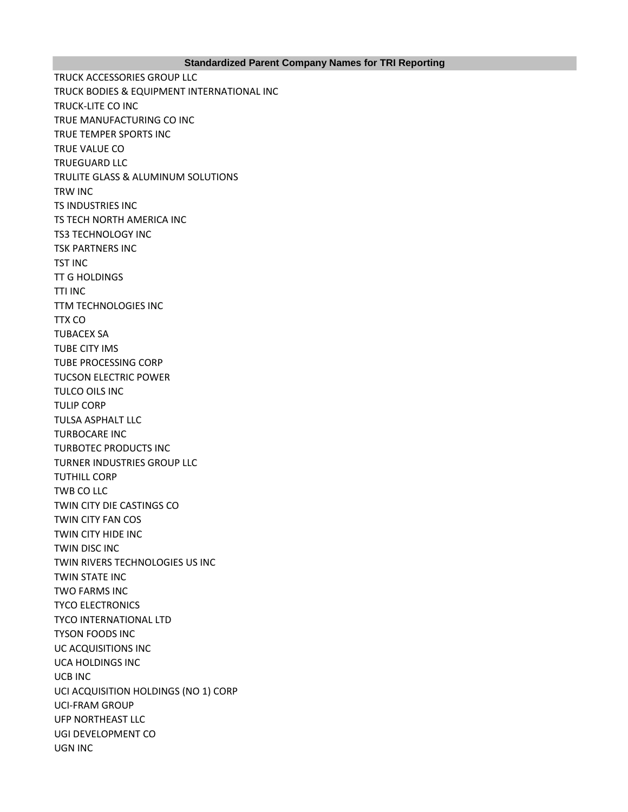## **Standardized Parent Company Names for TRI Reporting**

TRUCK ACCESSORIES GROUP LLC TRUCK BODIES & EQUIPMENT INTERNATIONAL INC TRUCK-LITE CO INC TRUE MANUFACTURING CO INC TRUE TEMPER SPORTS INC TRUE VALUE CO TRUEGUARD LLC TRULITE GLASS & ALUMINUM SOLUTIONS TRW INC TS INDUSTRIES INC TS TECH NORTH AMERICA INC TS3 TECHNOLOGY INC TSK PARTNERS INC TST INC TT G HOLDINGS TTI INC TTM TECHNOLOGIES INC TTX CO TUBACEX SA TUBE CITY IMS TUBE PROCESSING CORP TUCSON ELECTRIC POWER TULCO OILS INC TULIP CORP TULSA ASPHALT LLC TURBOCARE INC TURBOTEC PRODUCTS INC TURNER INDUSTRIES GROUP LLC TUTHILL CORP TWB CO LLC TWIN CITY DIE CASTINGS CO TWIN CITY FAN COS TWIN CITY HIDE INC TWIN DISC INC TWIN RIVERS TECHNOLOGIES US INC TWIN STATE INC TWO FARMS INC TYCO ELECTRONICS TYCO INTERNATIONAL LTD TYSON FOODS INC UC ACQUISITIONS INC UCA HOLDINGS INC UCB INC UCI ACQUISITION HOLDINGS (NO 1) CORP UCI-FRAM GROUP UFP NORTHEAST LLC UGI DEVELOPMENT CO UGN INC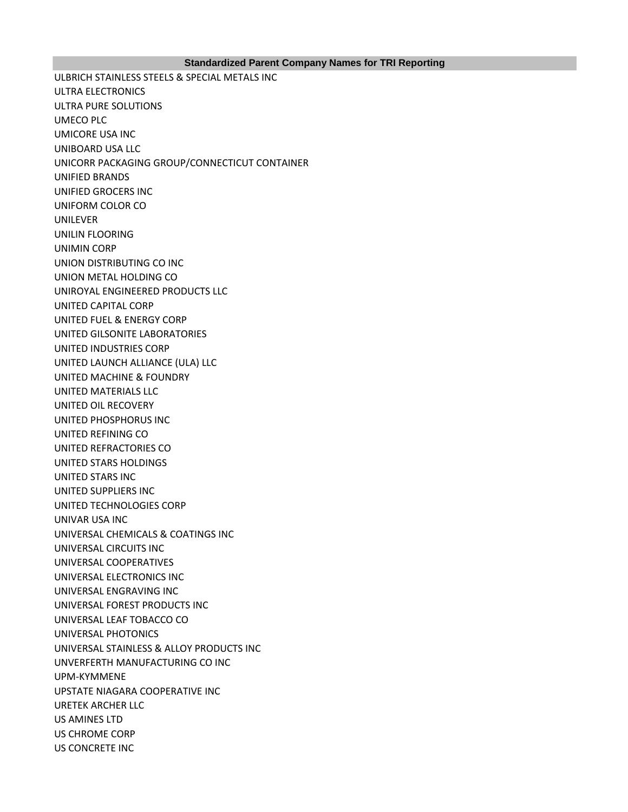## **Standardized Parent Company Names for TRI Reporting**

ULBRICH STAINLESS STEELS & SPECIAL METALS INC ULTRA ELECTRONICS ULTRA PURE SOLUTIONS UMECO PLC UMICORE USA INC UNIBOARD USA LLC UNICORR PACKAGING GROUP/CONNECTICUT CONTAINER UNIFIED BRANDS UNIFIED GROCERS INC UNIFORM COLOR CO UNILEVER UNILIN FLOORING UNIMIN CORP UNION DISTRIBUTING CO INC UNION METAL HOLDING CO UNIROYAL ENGINEERED PRODUCTS LLC UNITED CAPITAL CORP UNITED FUEL & ENERGY CORP UNITED GILSONITE LABORATORIES UNITED INDUSTRIES CORP UNITED LAUNCH ALLIANCE (ULA) LLC UNITED MACHINE & FOUNDRY UNITED MATERIALS LLC UNITED OIL RECOVERY UNITED PHOSPHORUS INC UNITED REFINING CO UNITED REFRACTORIES CO UNITED STARS HOLDINGS UNITED STARS INC UNITED SUPPLIERS INC UNITED TECHNOLOGIES CORP UNIVAR USA INC UNIVERSAL CHEMICALS & COATINGS INC UNIVERSAL CIRCUITS INC UNIVERSAL COOPERATIVES UNIVERSAL ELECTRONICS INC UNIVERSAL ENGRAVING INC UNIVERSAL FOREST PRODUCTS INC UNIVERSAL LEAF TOBACCO CO UNIVERSAL PHOTONICS UNIVERSAL STAINLESS & ALLOY PRODUCTS INC UNVERFERTH MANUFACTURING CO INC UPM-KYMMENE UPSTATE NIAGARA COOPERATIVE INC URETEK ARCHER LLC US AMINES LTD US CHROME CORP US CONCRETE INC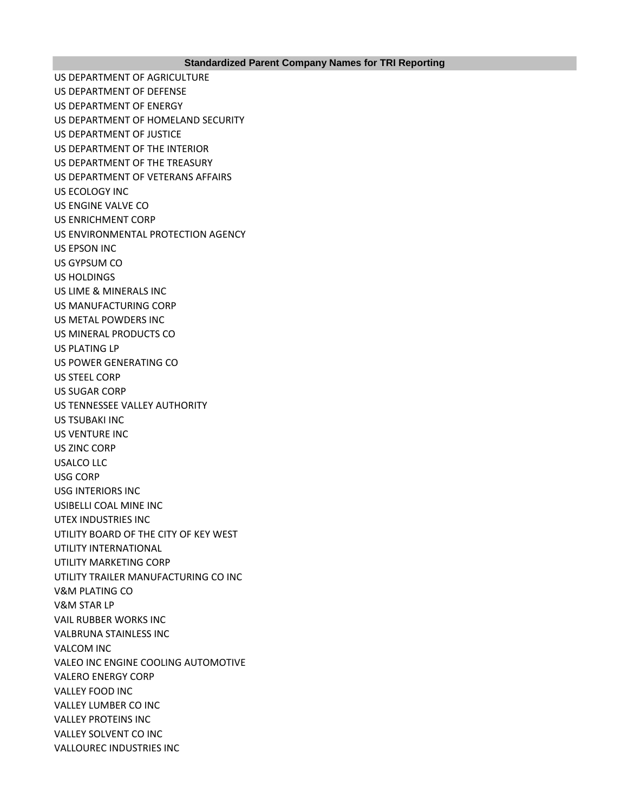US DEPARTMENT OF AGRICULTURE US DEPARTMENT OF DEFENSE US DEPARTMENT OF ENERGY US DEPARTMENT OF HOMELAND SECURITY US DEPARTMENT OF JUSTICE US DEPARTMENT OF THE INTERIOR US DEPARTMENT OF THE TREASURY US DEPARTMENT OF VETERANS AFFAIRS US ECOLOGY INC US ENGINE VALVE CO US ENRICHMENT CORP US ENVIRONMENTAL PROTECTION AGENCY US EPSON INC US GYPSUM CO US HOLDINGS US LIME & MINERALS INC US MANUFACTURING CORP US METAL POWDERS INC US MINERAL PRODUCTS CO US PLATING LP US POWER GENERATING CO US STEEL CORP US SUGAR CORP US TENNESSEE VALLEY AUTHORITY US TSUBAKI INC US VENTURE INC US ZINC CORP USALCO LLC USG CORP USG INTERIORS INC USIBELLI COAL MINE INC UTEX INDUSTRIES INC UTILITY BOARD OF THE CITY OF KEY WEST UTILITY INTERNATIONAL UTILITY MARKETING CORP UTILITY TRAILER MANUFACTURING CO INC V&M PLATING CO V&M STAR LP VAIL RUBBER WORKS INC VALBRUNA STAINLESS INC VALCOM INC VALEO INC ENGINE COOLING AUTOMOTIVE VALERO ENERGY CORP VALLEY FOOD INC VALLEY LUMBER CO INC VALLEY PROTEINS INC VALLEY SOLVENT CO INC VALLOUREC INDUSTRIES INC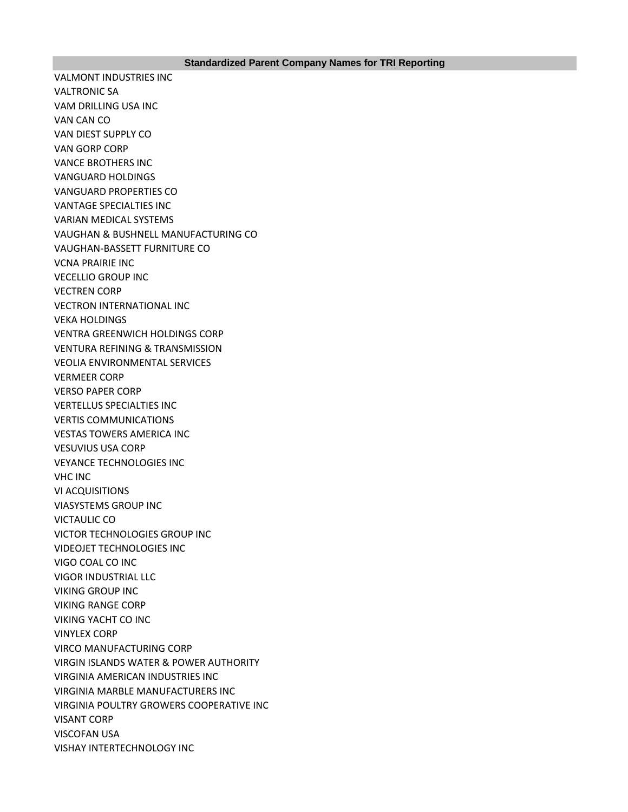VALMONT INDUSTRIES INC VALTRONIC SA VAM DRILLING USA INC VAN CAN CO VAN DIEST SUPPLY CO VAN GORP CORP VANCE BROTHERS INC VANGUARD HOLDINGS VANGUARD PROPERTIES CO VANTAGE SPECIALTIES INC VARIAN MEDICAL SYSTEMS VAUGHAN & BUSHNELL MANUFACTURING CO VAUGHAN-BASSETT FURNITURE CO VCNA PRAIRIE INC VECELLIO GROUP INC VECTREN CORP VECTRON INTERNATIONAL INC VEKA HOLDINGS VENTRA GREENWICH HOLDINGS CORP VENTURA REFINING & TRANSMISSION VEOLIA ENVIRONMENTAL SERVICES VERMEER CORP VERSO PAPER CORP VERTELLUS SPECIALTIES INC VERTIS COMMUNICATIONS VESTAS TOWERS AMERICA INC VESUVIUS USA CORP VEYANCE TECHNOLOGIES INC VHC INC VI ACQUISITIONS VIASYSTEMS GROUP INC VICTAULIC CO VICTOR TECHNOLOGIES GROUP INC VIDEOJET TECHNOLOGIES INC VIGO COAL CO INC VIGOR INDUSTRIAL LLC VIKING GROUP INC VIKING RANGE CORP VIKING YACHT CO INC VINYLEX CORP VIRCO MANUFACTURING CORP VIRGIN ISLANDS WATER & POWER AUTHORITY VIRGINIA AMERICAN INDUSTRIES INC VIRGINIA MARBLE MANUFACTURERS INC VIRGINIA POULTRY GROWERS COOPERATIVE INC VISANT CORP VISCOFAN USA VISHAY INTERTECHNOLOGY INC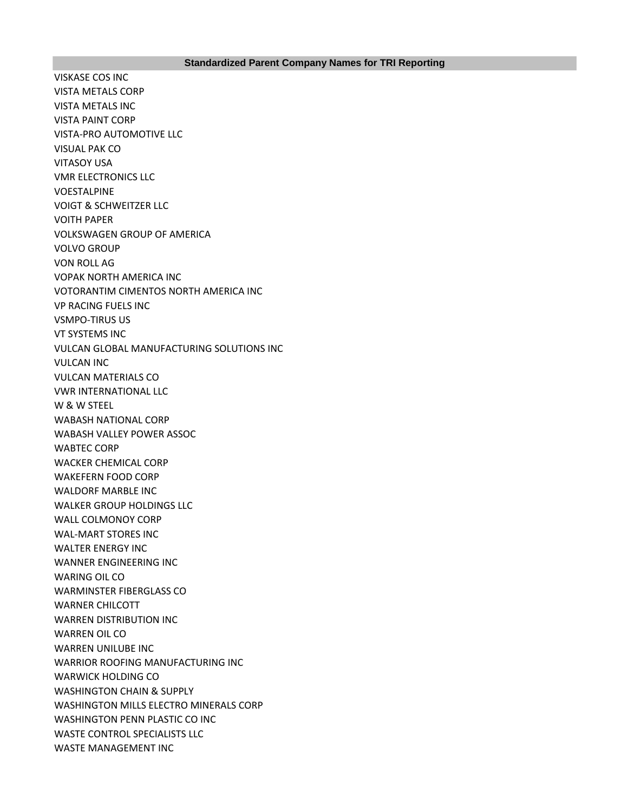VISKASE COS INC VISTA METALS CORP VISTA METALS INC VISTA PAINT CORP VISTA-PRO AUTOMOTIVE LLC VISUAL PAK CO VITASOY USA VMR ELECTRONICS LLC VOESTALPINE VOIGT & SCHWEITZER LLC VOITH PAPER VOLKSWAGEN GROUP OF AMERICA VOLVO GROUP VON ROLL AG VOPAK NORTH AMERICA INC VOTORANTIM CIMENTOS NORTH AMERICA INC VP RACING FUELS INC VSMPO-TIRUS US VT SYSTEMS INC VULCAN GLOBAL MANUFACTURING SOLUTIONS INC VULCAN INC VULCAN MATERIALS CO VWR INTERNATIONAL LLC W & W STEEL WABASH NATIONAL CORP WABASH VALLEY POWER ASSOC WABTEC CORP WACKER CHEMICAL CORP WAKEFERN FOOD CORP WALDORF MARBLE INC WALKER GROUP HOLDINGS LLC WALL COLMONOY CORP WAL-MART STORES INC WALTER ENERGY INC WANNER ENGINEERING INC WARING OIL CO WARMINSTER FIBERGLASS CO WARNER CHILCOTT WARREN DISTRIBUTION INC WARREN OIL CO WARREN UNILUBE INC WARRIOR ROOFING MANUFACTURING INC WARWICK HOLDING CO WASHINGTON CHAIN & SUPPLY WASHINGTON MILLS ELECTRO MINERALS CORP WASHINGTON PENN PLASTIC CO INC WASTE CONTROL SPECIALISTS LLC WASTE MANAGEMENT INC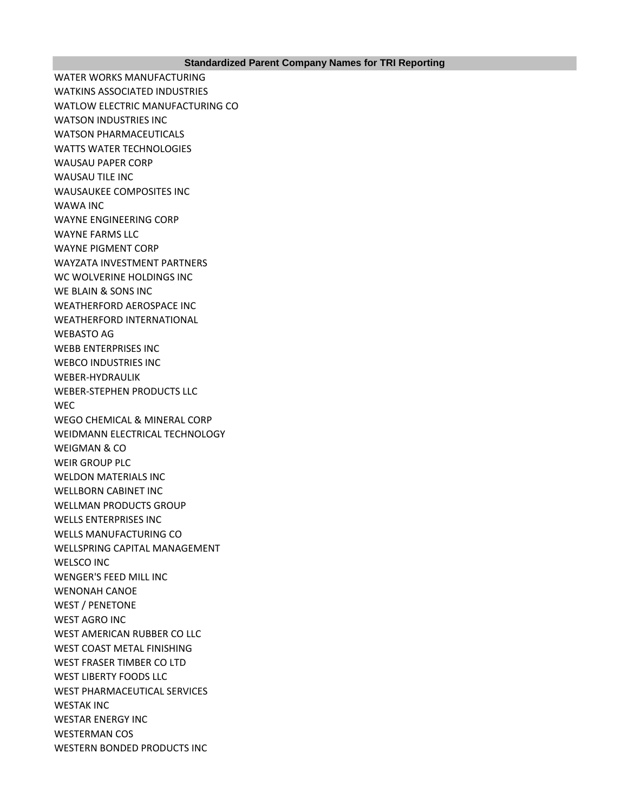WATER WORKS MANUFACTURING WATKINS ASSOCIATED INDUSTRIES WATLOW ELECTRIC MANUFACTURING CO WATSON INDUSTRIES INC WATSON PHARMACEUTICALS WATTS WATER TECHNOLOGIES WAUSAU PAPER CORP WAUSAU TILE INC WAUSAUKEE COMPOSITES INC WAWA INC WAYNE ENGINEERING CORP WAYNE FARMS LLC WAYNE PIGMENT CORP WAYZATA INVESTMENT PARTNERS WC WOLVERINE HOLDINGS INC WE BLAIN & SONS INC WEATHERFORD AEROSPACE INC WEATHERFORD INTERNATIONAL WEBASTO AG WEBB ENTERPRISES INC WEBCO INDUSTRIES INC WEBER-HYDRAULIK WEBER-STEPHEN PRODUCTS LLC **WEC** WEGO CHEMICAL & MINERAL CORP WEIDMANN ELECTRICAL TECHNOLOGY WEIGMAN & CO WEIR GROUP PLC WELDON MATERIALS INC WELLBORN CABINET INC WELLMAN PRODUCTS GROUP WELLS ENTERPRISES INC WELLS MANUFACTURING CO WELLSPRING CAPITAL MANAGEMENT WELSCO INC WENGER'S FEED MILL INC WENONAH CANOE WEST / PENETONE WEST AGRO INC WEST AMERICAN RUBBER CO LLC WEST COAST METAL FINISHING WEST FRASER TIMBER CO LTD WEST LIBERTY FOODS LLC WEST PHARMACEUTICAL SERVICES WESTAK INC WESTAR ENERGY INC WESTERMAN COS WESTERN BONDED PRODUCTS INC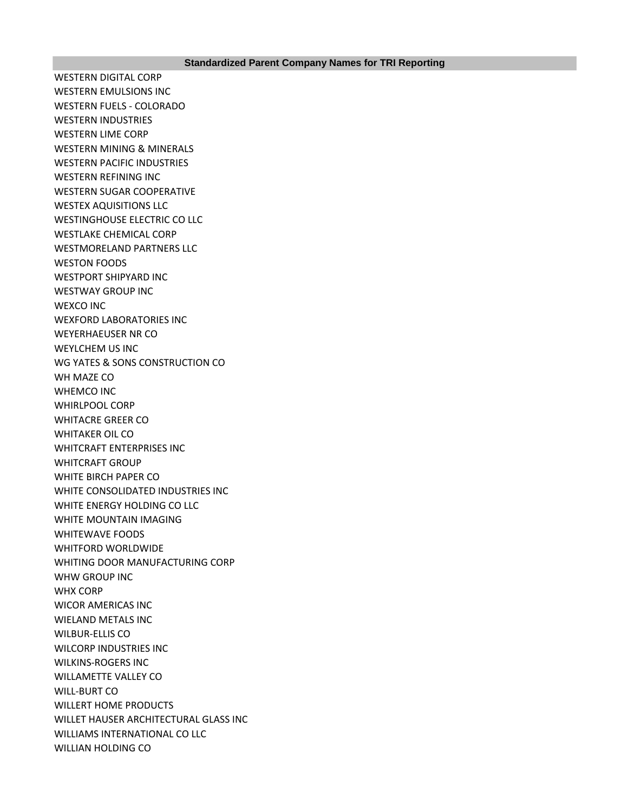WESTERN DIGITAL CORP WESTERN EMULSIONS INC WESTERN FUELS - COLORADO WESTERN INDUSTRIES WESTERN LIME CORP WESTERN MINING & MINERALS WESTERN PACIFIC INDUSTRIES WESTERN REFINING INC WESTERN SUGAR COOPERATIVE WESTEX AQUISITIONS LLC WESTINGHOUSE ELECTRIC CO LLC WESTLAKE CHEMICAL CORP WESTMORELAND PARTNERS LLC WESTON FOODS WESTPORT SHIPYARD INC WESTWAY GROUP INC WEXCO INC WEXFORD LABORATORIES INC WEYERHAEUSER NR CO WEYLCHEM US INC WG YATES & SONS CONSTRUCTION CO WH MAZE CO WHEMCO INC WHIRLPOOL CORP WHITACRE GREER CO WHITAKER OIL CO WHITCRAFT ENTERPRISES INC WHITCRAFT GROUP WHITE BIRCH PAPER CO WHITE CONSOLIDATED INDUSTRIES INC WHITE ENERGY HOLDING CO LLC WHITE MOUNTAIN IMAGING WHITEWAVE FOODS WHITFORD WORLDWIDE WHITING DOOR MANUFACTURING CORP WHW GROUP INC WHX CORP WICOR AMERICAS INC WIELAND METALS INC WILBUR-ELLIS CO WILCORP INDUSTRIES INC WILKINS-ROGERS INC WILLAMETTE VALLEY CO WILL-BURT CO WILLERT HOME PRODUCTS WILLET HAUSER ARCHITECTURAL GLASS INC WILLIAMS INTERNATIONAL CO LLC WILLIAN HOLDING CO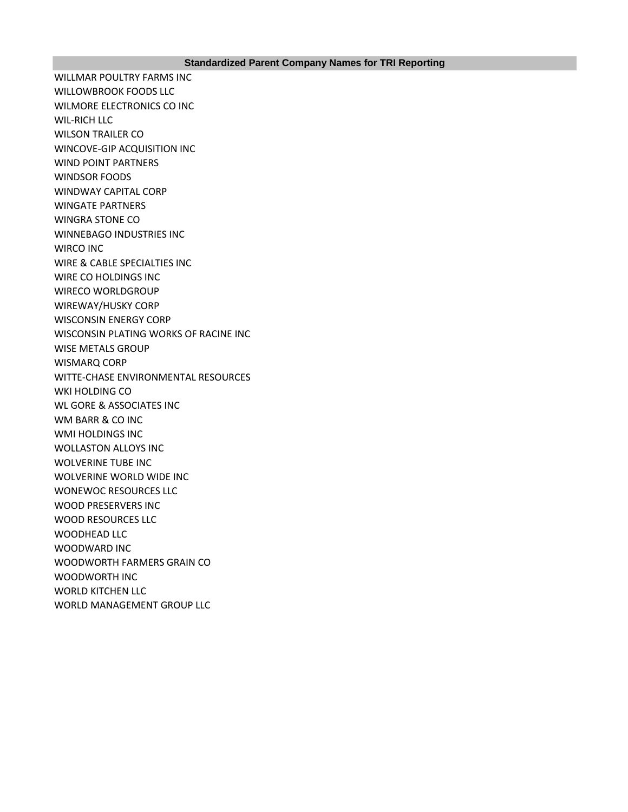WILLMAR POULTRY FARMS INC WILLOWBROOK FOODS LLC WILMORE ELECTRONICS CO INC WIL-RICH LLC WILSON TRAILER CO WINCOVE-GIP ACQUISITION INC WIND POINT PARTNERS WINDSOR FOODS WINDWAY CAPITAL CORP WINGATE PARTNERS WINGRA STONE CO WINNEBAGO INDUSTRIES INC WIRCO INC WIRE & CABLE SPECIALTIES INC WIRE CO HOLDINGS INC WIRECO WORLDGROUP WIREWAY/HUSKY CORP WISCONSIN ENERGY CORP WISCONSIN PLATING WORKS OF RACINE INC WISE METALS GROUP WISMARQ CORP WITTE-CHASE ENVIRONMENTAL RESOURCES WKI HOLDING CO WL GORE & ASSOCIATES INC WM BARR & CO INC WMI HOLDINGS INC WOLLASTON ALLOYS INC WOLVERINE TUBE INC WOLVERINE WORLD WIDE INC WONEWOC RESOURCES LLC WOOD PRESERVERS INC WOOD RESOURCES LLC WOODHEAD LLC WOODWARD INC WOODWORTH FARMERS GRAIN CO WOODWORTH INC WORLD KITCHEN LLC WORLD MANAGEMENT GROUP LLC